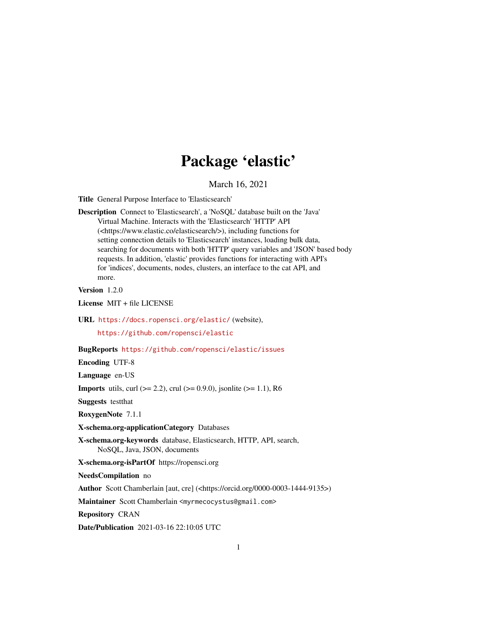# Package 'elastic'

March 16, 2021

<span id="page-0-0"></span>Title General Purpose Interface to 'Elasticsearch'

Description Connect to 'Elasticsearch', a 'NoSQL' database built on the 'Java' Virtual Machine. Interacts with the 'Elasticsearch' 'HTTP' API (<https://www.elastic.co/elasticsearch/>), including functions for setting connection details to 'Elasticsearch' instances, loading bulk data, searching for documents with both 'HTTP' query variables and 'JSON' based body requests. In addition, 'elastic' provides functions for interacting with API's for 'indices', documents, nodes, clusters, an interface to the cat API, and more.

Version 1.2.0

License MIT + file LICENSE

URL <https://docs.ropensci.org/elastic/> (website),

<https://github.com/ropensci/elastic>

### BugReports <https://github.com/ropensci/elastic/issues>

Encoding UTF-8

Language en-US

**Imports** utils, curl ( $>= 2.2$ ), crul ( $>= 0.9.0$ ), jsonlite ( $>= 1.1$ ), R6

Suggests testthat

RoxygenNote 7.1.1

X-schema.org-applicationCategory Databases

X-schema.org-keywords database, Elasticsearch, HTTP, API, search, NoSQL, Java, JSON, documents

X-schema.org-isPartOf https://ropensci.org

NeedsCompilation no

Author Scott Chamberlain [aut, cre] (<https://orcid.org/0000-0003-1444-9135>)

Maintainer Scott Chamberlain <myrmecocystus@gmail.com>

Repository CRAN

Date/Publication 2021-03-16 22:10:05 UTC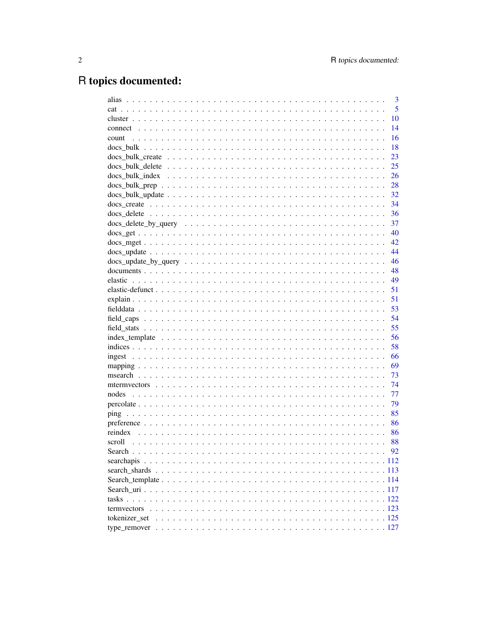# R topics documented:

| alias                                                                                                                 | 3  |
|-----------------------------------------------------------------------------------------------------------------------|----|
|                                                                                                                       | 5  |
|                                                                                                                       | 10 |
|                                                                                                                       | 14 |
| count                                                                                                                 | 16 |
|                                                                                                                       | 18 |
|                                                                                                                       | 23 |
| 25                                                                                                                    |    |
|                                                                                                                       | 26 |
| 28                                                                                                                    |    |
| 32                                                                                                                    |    |
| 34                                                                                                                    |    |
| 36                                                                                                                    |    |
| 37                                                                                                                    |    |
| 40                                                                                                                    |    |
| 42                                                                                                                    |    |
| 44<br>$\text{docs\_update} \dots \dots \dots \dots \dots \dots \dots \dots \dots \dots \dots \dots \dots \dots \dots$ |    |
| 46                                                                                                                    |    |
| 48                                                                                                                    |    |
| 49                                                                                                                    |    |
| 51                                                                                                                    |    |
| 51                                                                                                                    |    |
| 53                                                                                                                    |    |
| 54                                                                                                                    |    |
| 55                                                                                                                    |    |
| 56                                                                                                                    |    |
| 58                                                                                                                    |    |
| 66                                                                                                                    |    |
| 69                                                                                                                    |    |
| 73                                                                                                                    |    |
| 74                                                                                                                    |    |
| 77<br>nodes                                                                                                           |    |
| 79                                                                                                                    |    |
| 85                                                                                                                    |    |
| 86                                                                                                                    |    |
| 86                                                                                                                    |    |
| 88                                                                                                                    |    |
|                                                                                                                       | 92 |
| searchapis                                                                                                            |    |
|                                                                                                                       |    |
|                                                                                                                       |    |
|                                                                                                                       |    |
|                                                                                                                       |    |
|                                                                                                                       |    |
|                                                                                                                       |    |
|                                                                                                                       |    |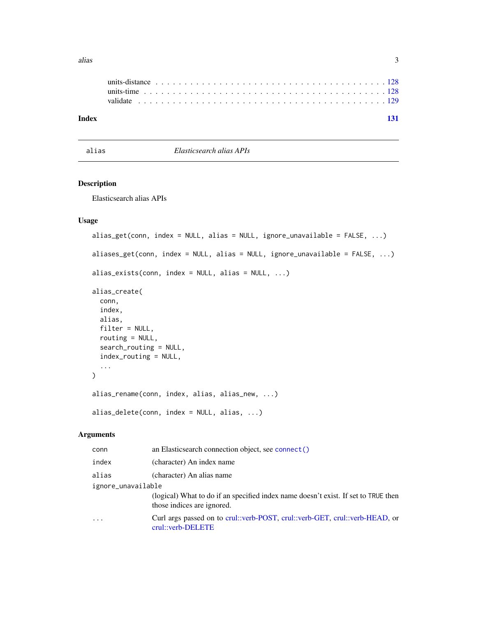<span id="page-2-0"></span>

| Index |                                                                                                                                                                                                                                |  |  |  |  |  |  |  |  |  |  |  |  |  |  |  |  |  |  |
|-------|--------------------------------------------------------------------------------------------------------------------------------------------------------------------------------------------------------------------------------|--|--|--|--|--|--|--|--|--|--|--|--|--|--|--|--|--|--|
|       | validate experience in the contract of the contract of the contract of the contract of the contract of the contract of the contract of the contract of the contract of the contract of the contract of the contract of the con |  |  |  |  |  |  |  |  |  |  |  |  |  |  |  |  |  |  |
|       |                                                                                                                                                                                                                                |  |  |  |  |  |  |  |  |  |  |  |  |  |  |  |  |  |  |
|       |                                                                                                                                                                                                                                |  |  |  |  |  |  |  |  |  |  |  |  |  |  |  |  |  |  |

alias *Elasticsearch alias APIs*

# Description

Elasticsearch alias APIs

# Usage

```
alias_get(conn, index = NULL, alias = NULL, ignore_unavailable = FALSE, ...)
aliases_get(conn, index = NULL, alias = NULL, ignore_unavailable = FALSE, ...)
alias_exists(conn, index = NULL, alias = NULL, ...)
alias_create(
 conn,
  index,
 alias,
  filter = NULL,
  routing = NULL,
  search_routing = NULL,
  index_routing = NULL,
  ...
)
alias_rename(conn, index, alias, alias_new, ...)
alias_delete(conn, index = NULL, alias, ...)
```

| conn               | an Elasticsearch connection object, see connect ()                                                               |
|--------------------|------------------------------------------------------------------------------------------------------------------|
| index              | (character) An index name                                                                                        |
| alias              | (character) An alias name                                                                                        |
| ignore_unavailable |                                                                                                                  |
|                    | (logical) What to do if an specified index name doesn't exist. If set to TRUE then<br>those indices are ignored. |
|                    | Curl args passed on to crul::verb-POST, crul::verb-GET, crul::verb-HEAD, or<br>crul::verb-DELETE                 |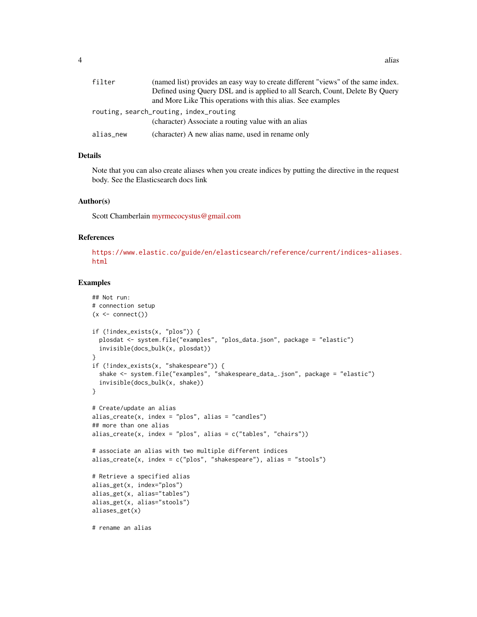| filter    | (named list) provides an easy way to create different "views" of the same index. |
|-----------|----------------------------------------------------------------------------------|
|           | Defined using Query DSL and is applied to all Search, Count, Delete By Query     |
|           | and More Like This operations with this alias. See examples                      |
|           | routing, search_routing, index_routing                                           |
|           | (character) Associate a routing value with an alias                              |
| alias_new | (character) A new alias name, used in rename only                                |

# Details

Note that you can also create aliases when you create indices by putting the directive in the request body. See the Elasticsearch docs link

#### Author(s)

Scott Chamberlain [myrmecocystus@gmail.com](mailto:myrmecocystus@gmail.com)

# References

[https://www.elastic.co/guide/en/elasticsearch/reference/current/indices-aliases.](https://www.elastic.co/guide/en/elasticsearch/reference/current/indices-aliases.html) [html](https://www.elastic.co/guide/en/elasticsearch/reference/current/indices-aliases.html)

#### Examples

```
## Not run:
# connection setup
(x \leq connect())
if (!index_exists(x, "plos")) {
  plosdat <- system.file("examples", "plos_data.json", package = "elastic")
  invisible(docs_bulk(x, plosdat))
}
if (!index_exists(x, "shakespeare")) {
  shake <- system.file("examples", "shakespeare_data_.json", package = "elastic")
  invisible(docs_bulk(x, shake))
}
# Create/update an alias
alias_create(x, index = "plos", alias = "candles")## more than one alias
alias_create(x, index = "plos", alias = c("tables", "chains"))# associate an alias with two multiple different indices
alias_create(x, index = c("plos", "shakespeace"), alias = "stools")# Retrieve a specified alias
alias_get(x, index="plos")
alias_get(x, alias="tables")
alias_get(x, alias="stools")
aliases_get(x)
# rename an alias
```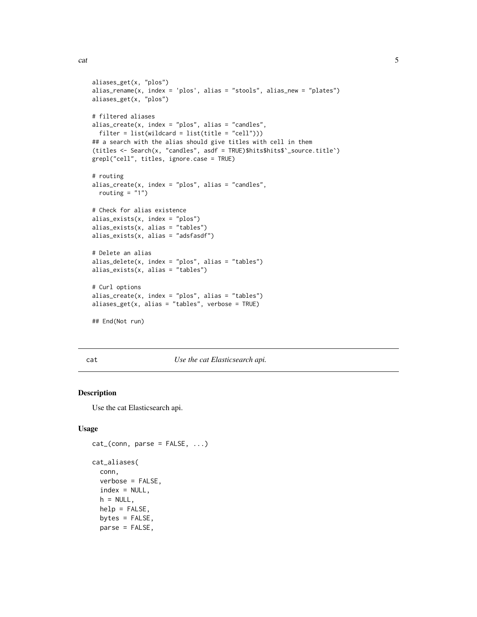```
cat 5 and 5 and 5 and 5 and 5 and 5 and 5 and 5 and 5 and 5 and 5 and 5 and 5 and 5 and 5 and 5 and 5 and 5 and 5 and 5 and 5 and 5 and 5 and 5 and 5 and 5 and 5 and 5 and 5 and 5 and 5 and 5 and 5 and 5 and 5 and 5 and 5
```

```
aliases_get(x, "plos")
alias_rename(x, index = 'plos', alias = "stools", alias_new = "plates")
aliases_get(x, "plos")
# filtered aliases
alias_create(x, index = "plos", alias = "candles",
  filter = list(wildcard = list(title = "cell")))
## a search with the alias should give titles with cell in them
(titles <- Search(x, "candles", asdf = TRUE)$hits$hits$`_source.title`)
grepl("cell", titles, ignore.case = TRUE)
# routing
alias\_create(x, index = "plos", alias = "candles",routing = "1")
# Check for alias existence
alias_exists(x, index = "plos")
alias_exists(x, alias = "tables")
alias_exists(x, alias = "adsfasdf")
# Delete an alias
alias_delete(x, index = "plos", alias = "tables")
alias_exists(x, alias = "tables")
# Curl options
alias\_create(x, index = "plos", alias = "tables")aliases_get(x, alias = "tables", verbose = TRUE)
## End(Not run)
```
cat *Use the cat Elasticsearch api.*

#### <span id="page-4-1"></span>Description

Use the cat Elasticsearch api.

#### Usage

```
cat_{c}(conn, parse = FALSE, ...)cat_aliases(
  conn,
  verbose = FALSE,
  index = NULL,h = NULL,
  help = FALSE,
  bytes = FALSE,
  parse = FALSE,
```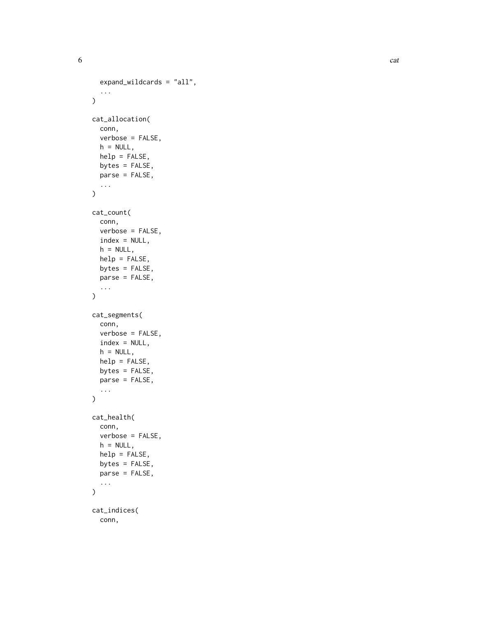$\epsilon$  6 categories that the contract of  $\epsilon$  categories that the contract of  $\epsilon$  categories that the contract of  $\epsilon$  categories that the contract of  $\epsilon$  categories that the contract of  $\epsilon$  categories that the contract

```
expand_wildcards = "all",
  ...
\mathcal{L}cat_allocation(
  conn,
  verbose = FALSE,
  h = NULL,help = FALSE,
  bytes = FALSE,
  parse = FALSE,
  ...
\mathcal{L}cat_count(
  conn,
  verbose = FALSE,
  index = NULL,
  h = NULL,help = FALSE,
  bytes = FALSE,
  parse = FALSE,
  ...
\mathcal{L}cat_segments(
  conn,
  verbose = FALSE,
  index = NULL,
  h = NULL,help = FALSE,
  bytes = FALSE,
  parse = FALSE,
  ...
\mathcal{L}cat_health(
  conn,
  verbose = FALSE,
  h = NULL,help = FALSE,
  bytes = FALSE,
  parse = FALSE,
  ...
\mathcal{L}cat_indices(
  conn,
```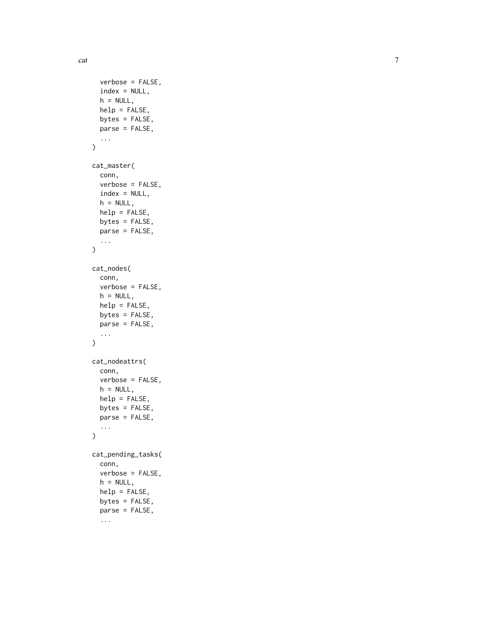cat

```
verbose = FALSE,
  index = NULL,h = NULL,help = FALSE,
  bytes = FALSE,
  parse = FALSE,
  ...
\mathcal{L}cat_master(
  conn,
  verbose = FALSE,
  index = NULL,h = NULL,help = FALSE,
  bytes = FALSE,
  parse = FALSE,
  ...
\lambdacat_nodes(
  conn,
  verbose = FALSE,
  h = NULL,help = FALSE,
  bytes = FALSE,
  parse = FALSE,
  ...
)
cat_nodeattrs(
  conn,
  verbose = FALSE,
  h = NULL,help = FALSE,
  bytes = FALSE,
  parse = FALSE,
  ...
\mathcal{L}cat_pending_tasks(
  conn,
  verbose = FALSE,
  h = NULL,help = FALSE,
  bytes = FALSE,
  parse = FALSE,
  ...
```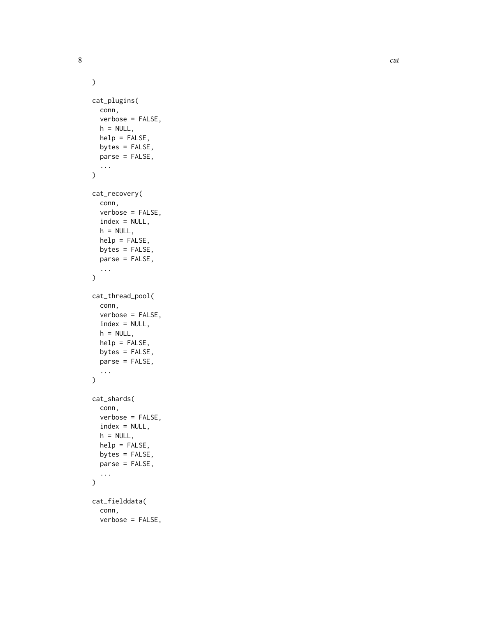8 cat contract the contract of the contract of the contract of the contract of the contract of the contract of the contract of the contract of the contract of the contract of the contract of the contract of the contract of

```
\mathcal{L}cat_plugins(
  conn,
  verbose = FALSE,
  h = NULL,help = FALSE,
  bytes = FALSE,
  parse = FALSE,
  ...
\mathcal{L}cat_recovery(
  conn,
  verbose = FALSE,
  index = NULL,h = NULL,help = FALSE,
  bytes = FALSE,
  parse = FALSE,
  ...
\mathcal{L}cat_thread_pool(
  conn,
  verbose = FALSE,
  index = NULL,
  h = NULL,help = FALSE,
  bytes = FALSE,
  parse = FALSE,
  ...
)
cat_shards(
  conn,
  verbose = FALSE,
  index = NULL,
  h = NULL,help = FALSE,
  bytes = FALSE,
  parse = FALSE,
  ...
\mathcal{L}cat_fielddata(
  conn,
  verbose = FALSE,
```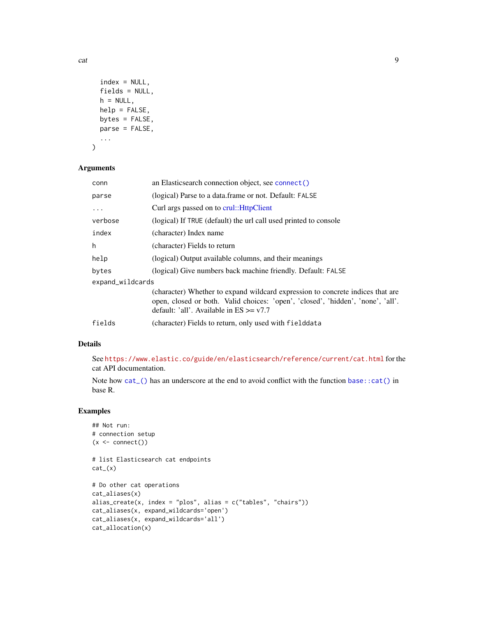```
index = NULL,fields = NULL,
  h = NULL,help = FALSE,
 bytes = FALSE,
 parse = FALSE,
  ...
\lambda
```
#### Arguments

| conn             | an Elasticsearch connection object, see connect()                                                                                                                                                                |
|------------------|------------------------------------------------------------------------------------------------------------------------------------------------------------------------------------------------------------------|
| parse            | (logical) Parse to a data frame or not. Default: FALSE                                                                                                                                                           |
| $\ddotsc$        | Curl args passed on to crul:: HttpClient                                                                                                                                                                         |
| verbose          | (logical) If TRUE (default) the url call used printed to console                                                                                                                                                 |
| index            | (character) Index name                                                                                                                                                                                           |
| h                | (character) Fields to return                                                                                                                                                                                     |
| help             | (logical) Output available columns, and their meanings                                                                                                                                                           |
| bytes            | (logical) Give numbers back machine friendly. Default: FALSE                                                                                                                                                     |
| expand_wildcards |                                                                                                                                                                                                                  |
|                  | (character) Whether to expand wildcard expression to concrete indices that are<br>open, closed or both. Valid choices: 'open', 'closed', 'hidden', 'none', 'all'.<br>default: 'all'. Available in $ES \geq v7.7$ |
| fields           | (character) Fields to return, only used with fielddata                                                                                                                                                           |

# Details

See <https://www.elastic.co/guide/en/elasticsearch/reference/current/cat.html> for the cat API documentation.

Note how [cat\\_\(\)](#page-4-1) has an underscore at the end to avoid conflict with the function [base::cat\(\)](#page-0-0) in base R.

# Examples

```
## Not run:
# connection setup
(x < - \text{connect}())# list Elasticsearch cat endpoints
cat_{-}(x)# Do other cat operations
cat_aliases(x)
alias_create(x, index = "plos", alias = c("tables", "chairs"))
cat_aliases(x, expand_wildcards='open')
cat_aliases(x, expand_wildcards='all')
cat_allocation(x)
```
cat care and  $\sim$  9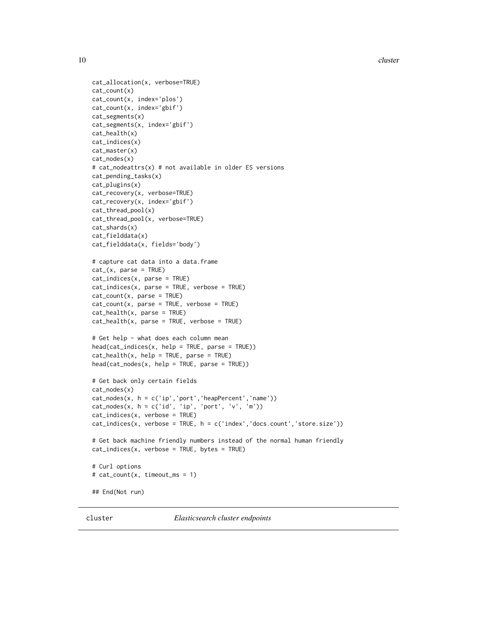10 cluster and the contract of the contract of the contract of the contract of the contract of the contract of the contract of the contract of the contract of the contract of the contract of the contract of the contract of

```
cat_allocation(x, verbose=TRUE)
cat_count(x)
cat_count(x, index='plos')
cat_count(x, index='gbif')
cat_segments(x)
cat_segments(x, index='gbif')
cat_health(x)
cat_indices(x)
cat_master(x)
cat_nodes(x)
# cat_nodeattrs(x) # not available in older ES versions
cat_pending_tasks(x)
cat_plugins(x)
cat_recovery(x, verbose=TRUE)
cat_recovery(x, index='gbif')
cat_thread_pool(x)
cat_thread_pool(x, verbose=TRUE)
cat_shards(x)
cat_fielddata(x)
cat_fielddata(x, fields='body')
# capture cat data into a data.frame
cat_(x, parse = TRUE)
cat_indices(x, parse = TRUE)
cat_indices(x, parse = TRUE, verbose = TRUE)
cat_count(x, parse = TRUE)cat_count(x, parse = TRUE, verbose = TRUE)cat_health(x, parse = TRUE)
cat\_health(x, parse = TRUE, verbose = TRUE)# Get help - what does each column mean
head(cat_indices(x, help = TRUE, parse = TRUE))
cat\_health(x, help = TRUE, parse = TRUE)head(cat_nodes(x, help = TRUE, parse = TRUE))
# Get back only certain fields
cat_nodes(x)
cat_nodes(x, h = c('ip','port','heapPercent','name'))
cat\_nodes(x, h = c('id', 'ip', 'port', 'v', 'm'))cat_indices(x, verbose = TRUE)
cat_indices(x, verbose = TRUE, h = c('index','docs.count','store.size'))
# Get back machine friendly numbers instead of the normal human friendly
cat_indices(x, verbose = TRUE, bytes = TRUE)
# Curl options
# cat_count(x, timeout_ms = 1)
## End(Not run)
```
cluster *Elasticsearch cluster endpoints*

<span id="page-9-0"></span>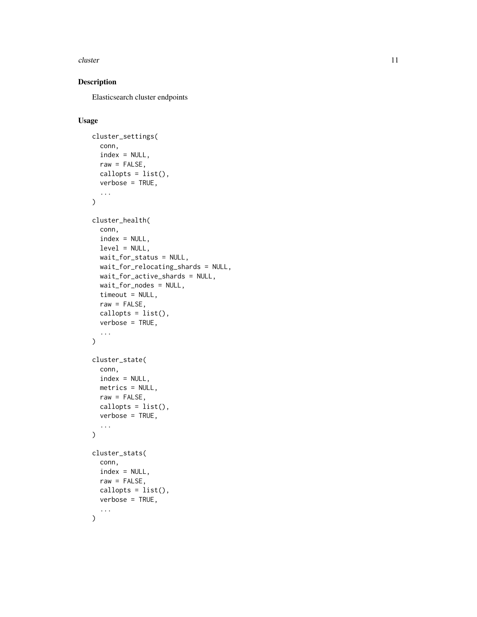#### cluster that the contract of the contract of the contract of the contract of the contract of the contract of the contract of the contract of the contract of the contract of the contract of the contract of the contract of t

# Description

Elasticsearch cluster endpoints

# Usage

```
cluster_settings(
  conn,
  index = NULL,
  raw = FALSE,
 callopts = list(),
 verbose = TRUE,
  ...
\mathcal{L}cluster_health(
  conn,
  index = NULL,level = NULL,
 wait_for_status = NULL,
 wait_for_relocating_shards = NULL,
 wait_for_active_shards = NULL,
 wait_for_nodes = NULL,
  timeout = NULL,
  raw = FALSE,callopts = list(),
  verbose = TRUE,
  ...
\mathcal{L}cluster_state(
  conn,
  index = NULL,metrics = NULL,
 raw = FALSE,callopts = list(),verbose = TRUE,
  ...
\mathcal{L}cluster_stats(
  conn,
  index = NULL,
  raw = FALSE,
 callopts = list(),verbose = TRUE,
  ...
)
```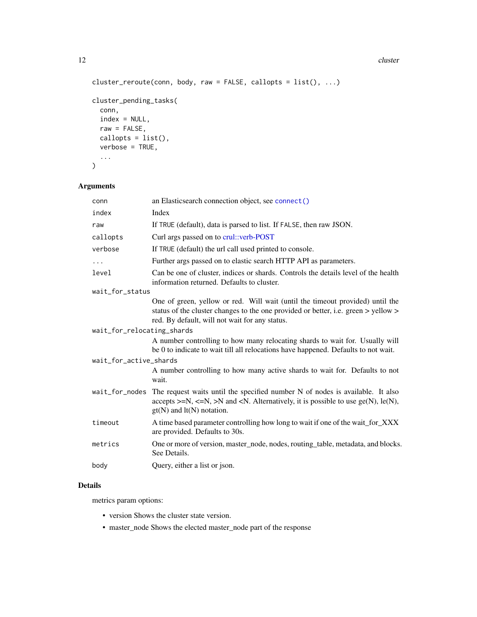12 cluster

```
cluster_reroute(conn, body, raw = FALSE, callopts = list(), ...)
cluster_pending_tasks(
 conn,
 index = NULL,
 raw = FALSE,callopts = list(),verbose = TRUE,
  ...
\mathcal{L}
```
# Arguments

| conn                       | an Elasticsearch connection object, see connect()                                                                                                                                                                     |
|----------------------------|-----------------------------------------------------------------------------------------------------------------------------------------------------------------------------------------------------------------------|
| index                      | Index                                                                                                                                                                                                                 |
| raw                        | If TRUE (default), data is parsed to list. If FALSE, then raw JSON.                                                                                                                                                   |
| callopts                   | Curl args passed on to crul: verb-POST                                                                                                                                                                                |
| verbose                    | If TRUE (default) the url call used printed to console.                                                                                                                                                               |
| $\cdots$                   | Further args passed on to elastic search HTTP API as parameters.                                                                                                                                                      |
| level                      | Can be one of cluster, indices or shards. Controls the details level of the health<br>information returned. Defaults to cluster.                                                                                      |
| wait_for_status            |                                                                                                                                                                                                                       |
|                            | One of green, yellow or red. Will wait (until the timeout provided) until the<br>status of the cluster changes to the one provided or better, i.e. green > yellow ><br>red. By default, will not wait for any status. |
| wait_for_relocating_shards |                                                                                                                                                                                                                       |
|                            | A number controlling to how many relocating shards to wait for. Usually will<br>be 0 to indicate to wait till all relocations have happened. Defaults to not wait.                                                    |
| wait_for_active_shards     |                                                                                                                                                                                                                       |
|                            | A number controlling to how many active shards to wait for. Defaults to not<br>wait.                                                                                                                                  |
| wait_for_nodes             | The request waits until the specified number N of nodes is available. It also<br>accepts $>= N, \leq N$ , $> N$ and $< N$ . Alternatively, it is possible to use ge(N), le(N),<br>$gt(N)$ and $lt(N)$ notation.       |
| timeout                    | A time based parameter controlling how long to wait if one of the wait_for_XXX<br>are provided. Defaults to 30s.                                                                                                      |
| metrics                    | One or more of version, master_node, nodes, routing_table, metadata, and blocks.<br>See Details.                                                                                                                      |
| body                       | Query, either a list or json.                                                                                                                                                                                         |
|                            |                                                                                                                                                                                                                       |

### Details

metrics param options:

- version Shows the cluster state version.
- master\_node Shows the elected master\_node part of the response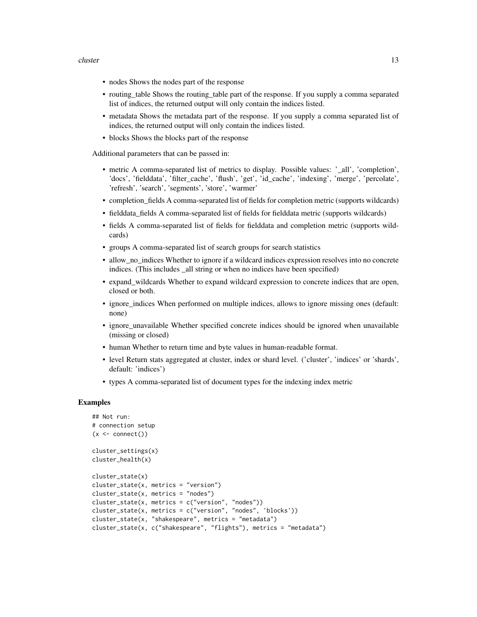#### cluster that the contract of the contract of the contract of the contract of the contract of the contract of the contract of the contract of the contract of the contract of the contract of the contract of the contract of t

- nodes Shows the nodes part of the response
- routing\_table Shows the routing\_table part of the response. If you supply a comma separated list of indices, the returned output will only contain the indices listed.
- metadata Shows the metadata part of the response. If you supply a comma separated list of indices, the returned output will only contain the indices listed.
- blocks Shows the blocks part of the response

Additional parameters that can be passed in:

- metric A comma-separated list of metrics to display. Possible values: '\_all', 'completion', 'docs', 'fielddata', 'filter\_cache', 'flush', 'get', 'id\_cache', 'indexing', 'merge', 'percolate', 'refresh', 'search', 'segments', 'store', 'warmer'
- completion\_fields A comma-separated list of fields for completion metric (supports wildcards)
- fielddata\_fields A comma-separated list of fields for fielddata metric (supports wildcards)
- fields A comma-separated list of fields for fielddata and completion metric (supports wildcards)
- groups A comma-separated list of search groups for search statistics
- allow\_no\_indices Whether to ignore if a wildcard indices expression resolves into no concrete indices. (This includes \_all string or when no indices have been specified)
- expand\_wildcards Whether to expand wildcard expression to concrete indices that are open, closed or both.
- ignore\_indices When performed on multiple indices, allows to ignore missing ones (default: none)
- ignore\_unavailable Whether specified concrete indices should be ignored when unavailable (missing or closed)
- human Whether to return time and byte values in human-readable format.
- level Return stats aggregated at cluster, index or shard level. ('cluster', 'indices' or 'shards', default: 'indices')
- types A comma-separated list of document types for the indexing index metric

#### Examples

```
## Not run:
# connection setup
(x \leq \text{connect}())cluster_settings(x)
cluster_health(x)
cluster_state(x)
cluster_state(x, metrics = "version")
cluster_state(x, metrics = "nodes")
cluster\_state(x, metrics = c("version", "nodes"))cluster_state(x, metrics = c("version", "nodes", 'blocks'))
cluster_state(x, "shakespeare", metrics = "metadata")
cluster_state(x, c("shakespeare", "flights"), metrics = "metadata")
```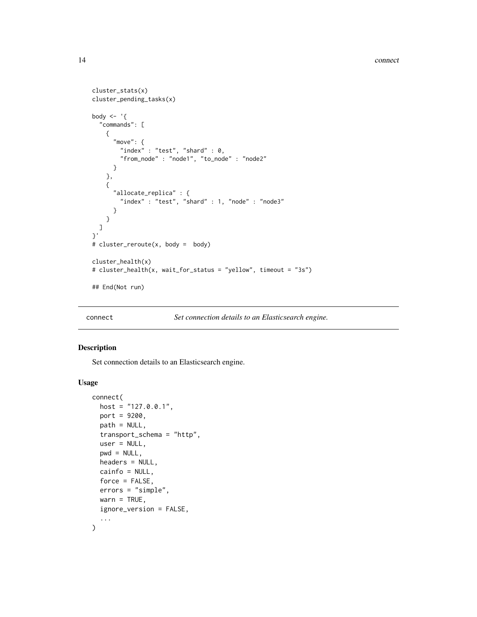```
cluster_stats(x)
cluster_pending_tasks(x)
body \leq - '{
  "commands": [
    {
      "move": {
        "index" : "test", "shard" : \theta,
        "from_node" : "node1", "to_node" : "node2"
      }
    },
    {
      "allocate_replica" : {
        "index" : "test", "shard" : 1, "node" : "node3"
      }
    }
 ]
}'
# cluster_reroute(x, body = body)
cluster_health(x)
# cluster_health(x, wait_for_status = "yellow", timeout = "3s")
## End(Not run)
```
<span id="page-13-1"></span>connect *Set connection details to an Elasticsearch engine.*

# Description

Set connection details to an Elasticsearch engine.

#### Usage

```
connect(
  host = "127.0.0.1",
 port = 9200,
 path = NULL,
  transport_schema = "http",
  user = NULL,
  pwd = NULL,
  headers = NULL,
  cainfo = NULL,
  force = FALSE,
 errors = "simple",
 warn = TRUE,
  ignore_version = FALSE,
  ...
)
```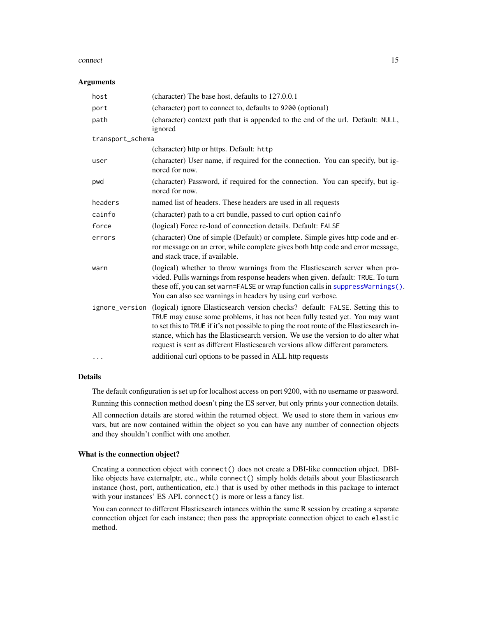#### connect that the connect is a set of the connect of the connect is  $\sim 15$

#### Arguments

| host             | (character) The base host, defaults to 127.0.0.1                                                                                                                                                                                                                                                                                                                                                                                                 |
|------------------|--------------------------------------------------------------------------------------------------------------------------------------------------------------------------------------------------------------------------------------------------------------------------------------------------------------------------------------------------------------------------------------------------------------------------------------------------|
| port             | (character) port to connect to, defaults to 9200 (optional)                                                                                                                                                                                                                                                                                                                                                                                      |
| path             | (character) context path that is appended to the end of the url. Default: NULL,<br>ignored                                                                                                                                                                                                                                                                                                                                                       |
| transport_schema |                                                                                                                                                                                                                                                                                                                                                                                                                                                  |
|                  | (character) http or https. Default: http                                                                                                                                                                                                                                                                                                                                                                                                         |
| user             | (character) User name, if required for the connection. You can specify, but ig-<br>nored for now.                                                                                                                                                                                                                                                                                                                                                |
| pwd              | (character) Password, if required for the connection. You can specify, but ig-<br>nored for now.                                                                                                                                                                                                                                                                                                                                                 |
| headers          | named list of headers. These headers are used in all requests                                                                                                                                                                                                                                                                                                                                                                                    |
| cainfo           | (character) path to a crt bundle, passed to curl option cainfo                                                                                                                                                                                                                                                                                                                                                                                   |
| force            | (logical) Force re-load of connection details. Default: FALSE                                                                                                                                                                                                                                                                                                                                                                                    |
| errors           | (character) One of simple (Default) or complete. Simple gives http code and er-<br>ror message on an error, while complete gives both http code and error message,<br>and stack trace, if available.                                                                                                                                                                                                                                             |
| warn             | (logical) whether to throw warnings from the Elasticsearch server when pro-<br>vided. Pulls warnings from response headers when given. default: TRUE. To turn<br>these off, you can set warn=FALSE or wrap function calls in suppressWarnings().<br>You can also see warnings in headers by using curl verbose.                                                                                                                                  |
|                  | ignore_version (logical) ignore Elasticsearch version checks? default: FALSE. Setting this to<br>TRUE may cause some problems, it has not been fully tested yet. You may want<br>to set this to TRUE if it's not possible to ping the root route of the Elasticsearch in-<br>stance, which has the Elasticsearch version. We use the version to do alter what<br>request is sent as different Elasticsearch versions allow different parameters. |
| .                | additional curl options to be passed in ALL http requests                                                                                                                                                                                                                                                                                                                                                                                        |

# Details

The default configuration is set up for localhost access on port 9200, with no username or password.

Running this connection method doesn't ping the ES server, but only prints your connection details.

All connection details are stored within the returned object. We used to store them in various env vars, but are now contained within the object so you can have any number of connection objects and they shouldn't conflict with one another.

#### What is the connection object?

Creating a connection object with connect() does not create a DBI-like connection object. DBIlike objects have externalptr, etc., while connect() simply holds details about your Elasticsearch instance (host, port, authentication, etc.) that is used by other methods in this package to interact with your instances' ES API. connect() is more or less a fancy list.

You can connect to different Elasticsearch intances within the same R session by creating a separate connection object for each instance; then pass the appropriate connection object to each elastic method.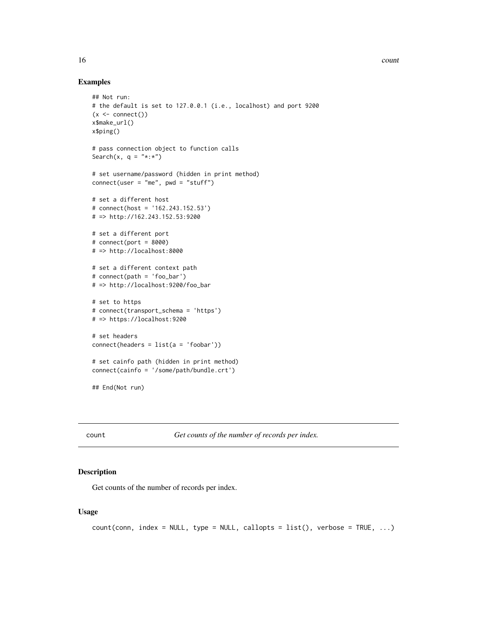#### <span id="page-15-0"></span>Examples

```
## Not run:
# the default is set to 127.0.0.1 (i.e., localhost) and port 9200
(x \leq connect())
x$make_url()
x$ping()
# pass connection object to function calls
Search(x, q = "*.*")
# set username/password (hidden in print method)
connect(user = "me", pwd = "stuff")# set a different host
# connect(host = '162.243.152.53')
# => http://162.243.152.53:9200
# set a different port
# connect(port = 8000)
# => http://localhost:8000
# set a different context path
# connect(path = 'foo_bar')
# => http://localhost:9200/foo_bar
# set to https
# connect(transport_schema = 'https')
# => https://localhost:9200
# set headers
connect(headers = list(a = 'footar') )# set cainfo path (hidden in print method)
connect(cainfo = '/some/path/bundle.crt')
## End(Not run)
```
count *Get counts of the number of records per index.*

# Description

Get counts of the number of records per index.

#### Usage

```
count(conn, index = NULL, type = NULL, callback = list(), verbose = TRUE, ...)
```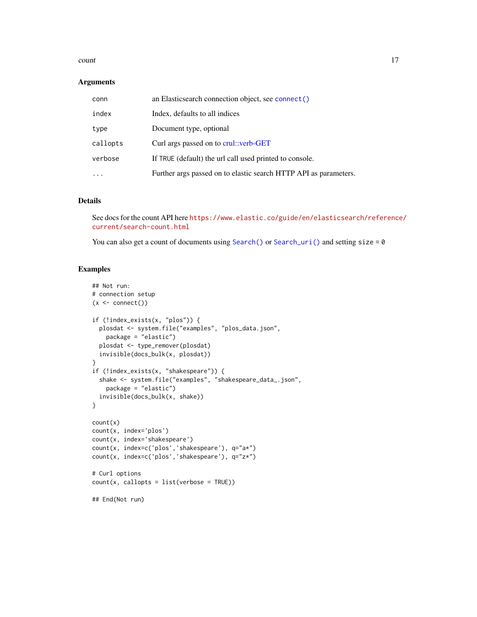#### count and the count of the count of the count of the count of the count of the count of the count of the count of the count of the count of the count of the count of the count of the count of the count of the count of the

#### Arguments

| conn     | an Elasticsearch connection object, see connect()                |
|----------|------------------------------------------------------------------|
| index    | Index, defaults to all indices                                   |
| type     | Document type, optional                                          |
| callopts | Curl args passed on to crul::verb-GET                            |
| verbose  | If TRUE (default) the url call used printed to console.          |
|          | Further args passed on to elastic search HTTP API as parameters. |

# Details

See docs for the count API here [https://www.elastic.co/guide/en/elasticsearch/reference](https://www.elastic.co/guide/en/elasticsearch/reference/current/search-count.html)/ [current/search-count.html](https://www.elastic.co/guide/en/elasticsearch/reference/current/search-count.html)

You can also get a count of documents using [Search\(\)](#page-91-1) or [Search\\_uri\(\)](#page-116-1) and setting size =  $0$ 

# Examples

```
## Not run:
# connection setup
(x \leq connect())
if (!index_exists(x, "plos")) {
  plosdat <- system.file("examples", "plos_data.json",
   package = "elastic")
  plosdat <- type_remover(plosdat)
  invisible(docs_bulk(x, plosdat))
}
if (!index_exists(x, "shakespeare")) {
  shake <- system.file("examples", "shakespeare_data_.json",
   package = "elastic")
  invisible(docs_bulk(x, shake))
}
count(x)
count(x, index='plos')
count(x, index='shakespeare')
count(x, index=c('plos','shakespeare'), q="a*")
count(x, index=c('plos','shakespeare'), q="z*")
# Curl options
count(x, callopts = list(verbose = TRUE))## End(Not run)
```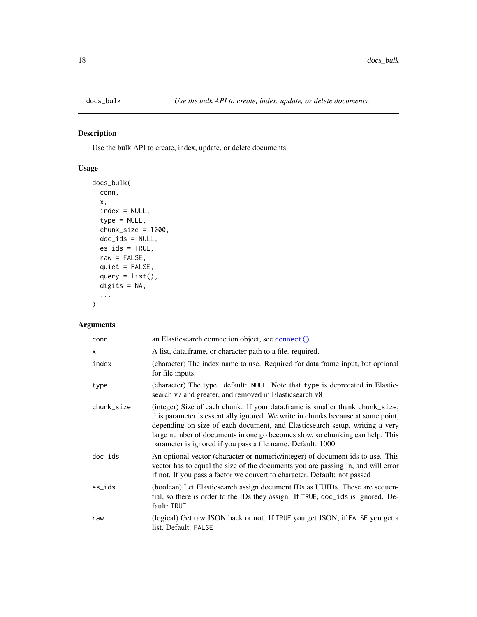<span id="page-17-1"></span><span id="page-17-0"></span>

# Description

Use the bulk API to create, index, update, or delete documents.

# Usage

```
docs_bulk(
  conn,
  x,
  index = NULL,type = NULL,
  chunk_size = 1000,doc_ids = NULL,
 es\_ids = TRUE,raw = FALSE,quiet = FALSE,
  query = list(),
 digits = NA,
  ...
)
```

| conn       | an Elasticsearch connection object, see connect()                                                                                                                                                                                                                                                                                                                                               |
|------------|-------------------------------------------------------------------------------------------------------------------------------------------------------------------------------------------------------------------------------------------------------------------------------------------------------------------------------------------------------------------------------------------------|
| X          | A list, data.frame, or character path to a file. required.                                                                                                                                                                                                                                                                                                                                      |
| index      | (character) The index name to use. Required for data.frame input, but optional<br>for file inputs.                                                                                                                                                                                                                                                                                              |
| type       | (character) The type. default: NULL. Note that type is deprecated in Elastic-<br>search v7 and greater, and removed in Elasticsearch v8                                                                                                                                                                                                                                                         |
| chunk_size | (integer) Size of each chunk. If your data frame is smaller thank chunk_size,<br>this parameter is essentially ignored. We write in chunks because at some point,<br>depending on size of each document, and Elasticsearch setup, writing a very<br>large number of documents in one go becomes slow, so chunking can help. This<br>parameter is ignored if you pass a file name. Default: 1000 |
| $doc\_ids$ | An optional vector (character or numeric/integer) of document ids to use. This<br>vector has to equal the size of the documents you are passing in, and will error<br>if not. If you pass a factor we convert to character. Default: not passed                                                                                                                                                 |
| es_ids     | (boolean) Let Elasticsearch assign document IDs as UUIDs. These are sequen-<br>tial, so there is order to the IDs they assign. If TRUE, doc_ids is ignored. De-<br>fault: TRUE                                                                                                                                                                                                                  |
| raw        | (logical) Get raw JSON back or not. If TRUE you get JSON; if FALSE you get a<br>list. Default: FALSE                                                                                                                                                                                                                                                                                            |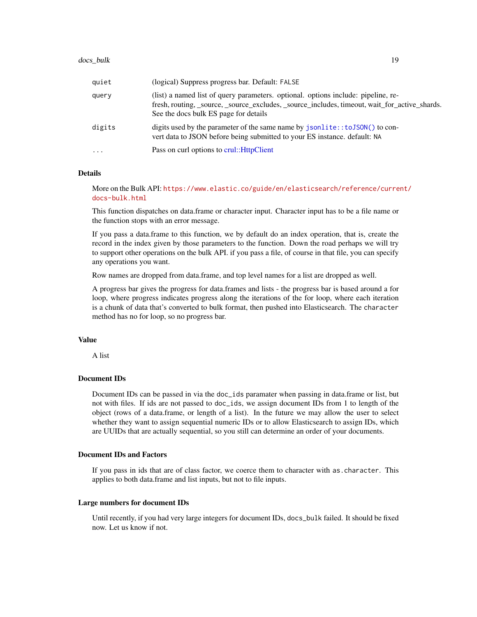| quiet    | (logical) Suppress progress bar. Default: FALSE                                                                                                                                                                             |
|----------|-----------------------------------------------------------------------------------------------------------------------------------------------------------------------------------------------------------------------------|
| query    | (list) a named list of query parameters, optional, options include: pipeline, re-<br>fresh, routing, _source, _source_excludes, _source_includes, timeout, wait_for_active_shards.<br>See the docs bulk ES page for details |
| digits   | digits used by the parameter of the same name by jsonlite::toJSON() to con-<br>vert data to JSON before being submitted to your ES instance. default: NA                                                                    |
| $\cdots$ | Pass on curl options to crul:: HttpClient                                                                                                                                                                                   |

#### Details

More on the Bulk API: [https://www.elastic.co/guide/en/elasticsearch/reference/curre](https://www.elastic.co/guide/en/elasticsearch/reference/current/docs-bulk.html)nt/ [docs-bulk.html](https://www.elastic.co/guide/en/elasticsearch/reference/current/docs-bulk.html)

This function dispatches on data.frame or character input. Character input has to be a file name or the function stops with an error message.

If you pass a data.frame to this function, we by default do an index operation, that is, create the record in the index given by those parameters to the function. Down the road perhaps we will try to support other operations on the bulk API. if you pass a file, of course in that file, you can specify any operations you want.

Row names are dropped from data.frame, and top level names for a list are dropped as well.

A progress bar gives the progress for data.frames and lists - the progress bar is based around a for loop, where progress indicates progress along the iterations of the for loop, where each iteration is a chunk of data that's converted to bulk format, then pushed into Elasticsearch. The character method has no for loop, so no progress bar.

### Value

A list

#### Document IDs

Document IDs can be passed in via the doc\_ids paramater when passing in data.frame or list, but not with files. If ids are not passed to doc\_ids, we assign document IDs from 1 to length of the object (rows of a data.frame, or length of a list). In the future we may allow the user to select whether they want to assign sequential numeric IDs or to allow Elasticsearch to assign IDs, which are UUIDs that are actually sequential, so you still can determine an order of your documents.

#### Document IDs and Factors

If you pass in ids that are of class factor, we coerce them to character with as.character. This applies to both data.frame and list inputs, but not to file inputs.

#### Large numbers for document IDs

Until recently, if you had very large integers for document IDs, docs\_bulk failed. It should be fixed now. Let us know if not.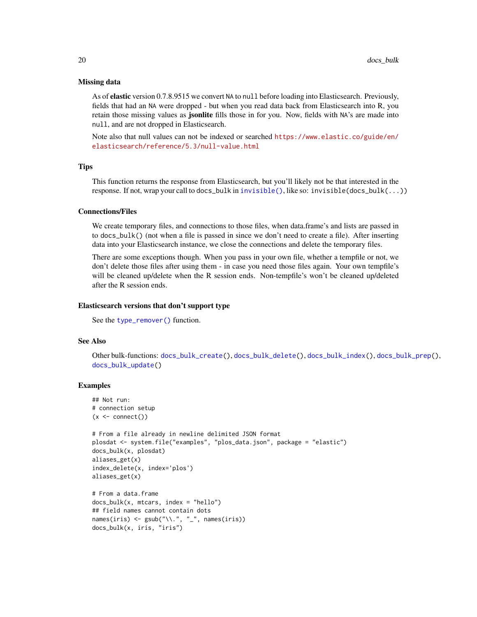#### Missing data

As of elastic version 0.7.8.9515 we convert NA to null before loading into Elasticsearch. Previously, fields that had an NA were dropped - but when you read data back from Elasticsearch into R, you retain those missing values as **jsonlite** fills those in for you. Now, fields with NA's are made into null, and are not dropped in Elasticsearch.

Note also that null values can not be indexed or searched [https://www.elastic.co/guide/en/](https://www.elastic.co/guide/en/elasticsearch/reference/5.3/null-value.html) [elasticsearch/reference/5.3/null-value.html](https://www.elastic.co/guide/en/elasticsearch/reference/5.3/null-value.html)

#### **Tips**

This function returns the response from Elasticsearch, but you'll likely not be that interested in the response. If not, wrap your call to docs\_bulk in [invisible\(\)](#page-0-0), like so: invisible(docs\_bulk(...))

#### Connections/Files

We create temporary files, and connections to those files, when data.frame's and lists are passed in to docs\_bulk() (not when a file is passed in since we don't need to create a file). After inserting data into your Elasticsearch instance, we close the connections and delete the temporary files.

There are some exceptions though. When you pass in your own file, whether a tempfile or not, we don't delete those files after using them - in case you need those files again. Your own tempfile's will be cleaned up/delete when the R session ends. Non-tempfile's won't be cleaned up/deleted after the R session ends.

#### Elasticsearch versions that don't support type

See the [type\\_remover\(\)](#page-126-1) function.

#### See Also

Other bulk-functions: [docs\\_bulk\\_create\(](#page-22-1)), [docs\\_bulk\\_delete\(](#page-24-1)), [docs\\_bulk\\_index\(](#page-25-1)), [docs\\_bulk\\_prep\(](#page-27-1)), [docs\\_bulk\\_update\(](#page-31-1))

# Examples

```
## Not run:
# connection setup
(x \leq - \text{connect}())# From a file already in newline delimited JSON format
plosdat <- system.file("examples", "plos_data.json", package = "elastic")
docs_bulk(x, plosdat)
aliases_get(x)
index_delete(x, index='plos')
aliases_get(x)
# From a data.frame
docs_bulk(x, mtcars, index = "hello")
## field names cannot contain dots
names(iris) <- gsub("\\'.", "-"., names(iris))docs_bulk(x, iris, "iris")
```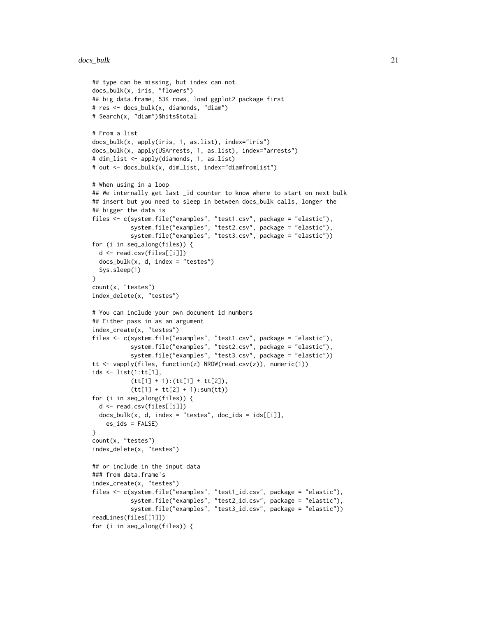#### docs\_bulk 21

```
## type can be missing, but index can not
docs_bulk(x, iris, "flowers")
## big data.frame, 53K rows, load ggplot2 package first
# res <- docs_bulk(x, diamonds, "diam")
# Search(x, "diam")$hits$total
# From a list
docs_bulk(x, apply(iris, 1, as.list), index="iris")
docs_bulk(x, apply(USArrests, 1, as.list), index="arrests")
# dim_list <- apply(diamonds, 1, as.list)
# out <- docs_bulk(x, dim_list, index="diamfromlist")
# When using in a loop
## We internally get last _id counter to know where to start on next bulk
## insert but you need to sleep in between docs_bulk calls, longer the
## bigger the data is
files <- c(system.file("examples", "test1.csv", package = "elastic"),
           system.file("examples", "test2.csv", package = "elastic"),
           system.file("examples", "test3.csv", package = "elastic"))
for (i in seq_along(files)) {
 d <- read.csv(files[[i]])
 docs_bulk(x, d, index = "tests")Sys.sleep(1)
}
count(x, "testes")
index_delete(x, "testes")
# You can include your own document id numbers
## Either pass in as an argument
index_create(x, "testes")
files <- c(system.file("examples", "test1.csv", package = "elastic"),
           system.file("examples", "test2.csv", package = "elastic"),
           system.file("examples", "test3.csv", package = "elastic"))
tt <- vapply(files, function(z) NROW(read.csv(z)), numeric(1))
ids <- list(1:tt[1],
           (tt[1] + 1):(tt[1] + tt[2]),
           (tt[1] + tt[2] + 1):sum(t))for (i in seq_along(files)) {
 d <- read.csv(files[[i]])
 docs_bulk(x, d, index = "tests", docids =ids[[i]],es_ids = FALSE)
}
count(x, "testes")
index_delete(x, "testes")
## or include in the input data
### from data.frame's
index_create(x, "testes")
files <- c(system.file("examples", "test1_id.csv", package = "elastic"),
           system.file("examples", "test2_id.csv", package = "elastic"),
           system.file("examples", "test3_id.csv", package = "elastic"))
readLines(files[[1]])
for (i in seq_along(files)) {
```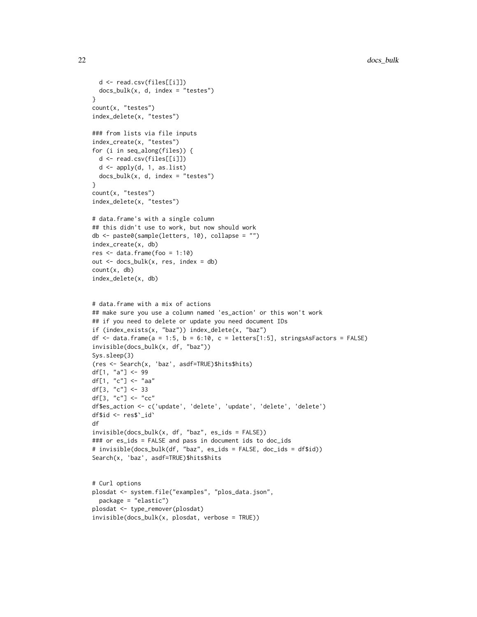```
d <- read.csv(files[[i]])
  docs_bulk(x, d, index = "tests")}
count(x, "testes")
index_delete(x, "testes")
### from lists via file inputs
index_create(x, "testes")
for (i in seq_along(files)) {
  d <- read.csv(files[[i]])
  d <- apply(d, 1, as.list)
  docs_bulk(x, d, index = "testes")
}
count(x, "testes")
index_delete(x, "testes")
# data.frame's with a single column
## this didn't use to work, but now should work
db <- paste0(sample(letters, 10), collapse = "")
index_create(x, db)
res \le data.frame(foo = 1:10)
out \leq docs_bulk(x, res, index = db)
count(x, db)
index_delete(x, db)
# data.frame with a mix of actions
## make sure you use a column named 'es_action' or this won't work
## if you need to delete or update you need document IDs
if (index_exists(x, "baz")) index_delete(x, "baz")
df <- data.frame(a = 1:5, b = 6:10, c = letters[1:5], stringsAsFactors = FALSE)
invisible(docs_bulk(x, df, "baz"))
Sys.sleep(3)
(res <- Search(x, 'baz', asdf=TRUE)$hits$hits)
df[1, "a"] <- 99
df[1, "c"] \leq "aa"
df[3, "c"] <-33df[3, "c"] <- "cc"df$es_action <- c('update', 'delete', 'update', 'delete', 'delete')
df$id <- res$`_id`
df
invisible(docs_bulk(x, df, "baz", es_ids = FALSE))
### or es_ids = FALSE and pass in document ids to doc_ids
# invisible(docs_bulk(df, "baz", es_ids = FALSE, doc_ids = df$id))
Search(x, 'baz', asdf=TRUE)$hits$hits
# Curl options
plosdat <- system.file("examples", "plos_data.json",
  package = "elastic")
plosdat <- type_remover(plosdat)
invisible(docs_bulk(x, plosdat, verbose = TRUE))
```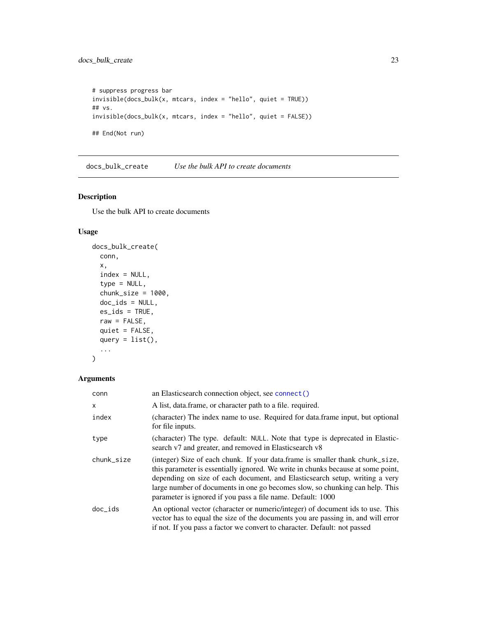```
# suppress progress bar
invisible(docs_bulk(x, mtcars, index = "hello", quiet = TRUE))
## vs.
invisible(docs_bulk(x, mtcars, index = "hello", quiet = FALSE))
## End(Not run)
```
<span id="page-22-1"></span>docs\_bulk\_create *Use the bulk API to create documents*

# Description

Use the bulk API to create documents

### Usage

```
docs_bulk_create(
 conn,
  x,
  index = NULL,
  type = NULL,
  chunk_size = 1000,doc\_ids = NULL,es\_ids = TRUE,raw = FALSE,
 quiet = FALSE,
  query = list(),
  ...
\mathcal{L}
```

| conn       | an Elasticsearch connection object, see connect()                                                                                                                                                                                                                                                                                                                                               |
|------------|-------------------------------------------------------------------------------------------------------------------------------------------------------------------------------------------------------------------------------------------------------------------------------------------------------------------------------------------------------------------------------------------------|
| X          | A list, data frame, or character path to a file. required.                                                                                                                                                                                                                                                                                                                                      |
| index      | (character) The index name to use. Required for data.frame input, but optional<br>for file inputs.                                                                                                                                                                                                                                                                                              |
| type       | (character) The type. default: NULL. Note that type is deprecated in Elastic-<br>search v7 and greater, and removed in Elasticsearch v8                                                                                                                                                                                                                                                         |
| chunk_size | (integer) Size of each chunk. If your data.frame is smaller thank chunk_size,<br>this parameter is essentially ignored. We write in chunks because at some point,<br>depending on size of each document, and Elasticsearch setup, writing a very<br>large number of documents in one go becomes slow, so chunking can help. This<br>parameter is ignored if you pass a file name. Default: 1000 |
| $doc\_ids$ | An optional vector (character or numeric/integer) of document ids to use. This<br>vector has to equal the size of the documents you are passing in, and will error<br>if not. If you pass a factor we convert to character. Default: not passed                                                                                                                                                 |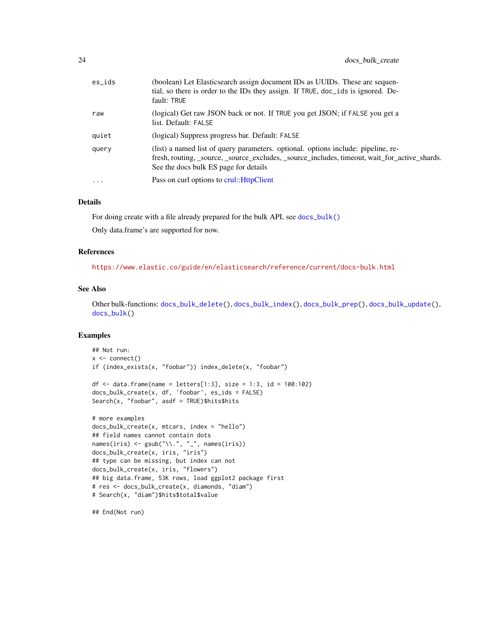| $es\_ids$ | (boolean) Let Elasticsearch assign document IDs as UUIDs. These are sequen-<br>tial, so there is order to the IDs they assign. If TRUE, doc_ids is ignored. De-<br>fault: TRUE                                              |
|-----------|-----------------------------------------------------------------------------------------------------------------------------------------------------------------------------------------------------------------------------|
| raw       | (logical) Get raw JSON back or not. If TRUE you get JSON; if FALSE you get a<br>list. Default: FALSE                                                                                                                        |
| quiet     | (logical) Suppress progress bar. Default: FALSE                                                                                                                                                                             |
| query     | (list) a named list of query parameters, optional, options include: pipeline, re-<br>fresh, routing, _source, _source_excludes, _source_includes, timeout, wait_for_active_shards.<br>See the docs bulk ES page for details |
| $\cdots$  | Pass on curl options to crul:: HttpClient                                                                                                                                                                                   |

# Details

For doing create with a file already prepared for the bulk API, see [docs\\_bulk\(\)](#page-17-1) Only data.frame's are supported for now.

#### References

<https://www.elastic.co/guide/en/elasticsearch/reference/current/docs-bulk.html>

#### See Also

Other bulk-functions: [docs\\_bulk\\_delete\(](#page-24-1)), [docs\\_bulk\\_index\(](#page-25-1)), [docs\\_bulk\\_prep\(](#page-27-1)), [docs\\_bulk\\_update\(](#page-31-1)), [docs\\_bulk\(](#page-17-1))

#### Examples

```
## Not run:
x \leftarrow \text{connect}()if (index_exists(x, "foobar")) index_delete(x, "foobar")
df \le data.frame(name = letters[1:3], size = 1:3, id = 100:102)
docs_bulk_create(x, df, 'foobar', es_ids = FALSE)
Search(x, "foobar", asdf = TRUE)$hits$hits
# more examples
docs_bulk_create(x, mtcars, index = "hello")
## field names cannot contain dots
names(iris) <- gsub("\\`', "_", names(iris))
docs_bulk_create(x, iris, "iris")
## type can be missing, but index can not
docs_bulk_create(x, iris, "flowers")
## big data.frame, 53K rows, load ggplot2 package first
# res <- docs_bulk_create(x, diamonds, "diam")
# Search(x, "diam")$hits$total$value
```
## End(Not run)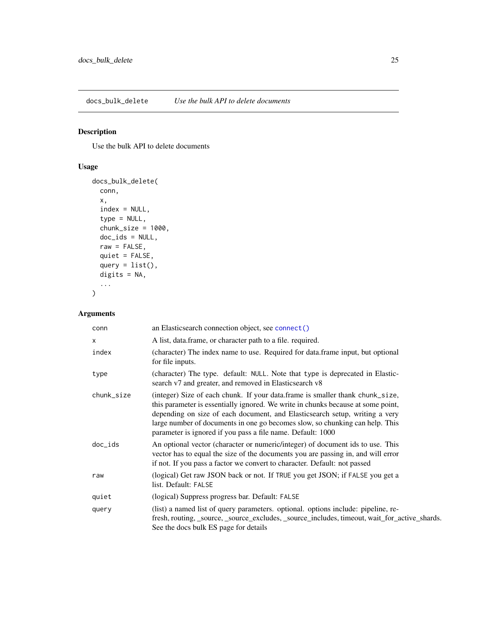<span id="page-24-1"></span><span id="page-24-0"></span>docs\_bulk\_delete *Use the bulk API to delete documents*

# Description

Use the bulk API to delete documents

# Usage

```
docs_bulk_delete(
  conn,
  x,
  index = NULL,type = NULL,
  chunk_size = 1000,doc\_ids = NULL,raw = FALSE,quiet = FALSE,
  query = list(),
  digits = NA,
  ...
\overline{\phantom{a}}
```

| conn       | an Elasticsearch connection object, see connect()                                                                                                                                                                                                                                                                                                                                               |
|------------|-------------------------------------------------------------------------------------------------------------------------------------------------------------------------------------------------------------------------------------------------------------------------------------------------------------------------------------------------------------------------------------------------|
| x          | A list, data.frame, or character path to a file. required.                                                                                                                                                                                                                                                                                                                                      |
| index      | (character) The index name to use. Required for data.frame input, but optional<br>for file inputs.                                                                                                                                                                                                                                                                                              |
| type       | (character) The type. default: NULL. Note that type is deprecated in Elastic-<br>search v7 and greater, and removed in Elasticsearch v8                                                                                                                                                                                                                                                         |
| chunk_size | (integer) Size of each chunk. If your data.frame is smaller thank chunk_size,<br>this parameter is essentially ignored. We write in chunks because at some point,<br>depending on size of each document, and Elasticsearch setup, writing a very<br>large number of documents in one go becomes slow, so chunking can help. This<br>parameter is ignored if you pass a file name. Default: 1000 |
| $doc\_ids$ | An optional vector (character or numeric/integer) of document ids to use. This<br>vector has to equal the size of the documents you are passing in, and will error<br>if not. If you pass a factor we convert to character. Default: not passed                                                                                                                                                 |
| raw        | (logical) Get raw JSON back or not. If TRUE you get JSON; if FALSE you get a<br>list. Default: FALSE                                                                                                                                                                                                                                                                                            |
| quiet      | (logical) Suppress progress bar. Default: FALSE                                                                                                                                                                                                                                                                                                                                                 |
| query      | (list) a named list of query parameters. optional. options include: pipeline, re-<br>fresh, routing, _source, _source_excludes, _source_includes, timeout, wait_for_active_shards.<br>See the docs bulk ES page for details                                                                                                                                                                     |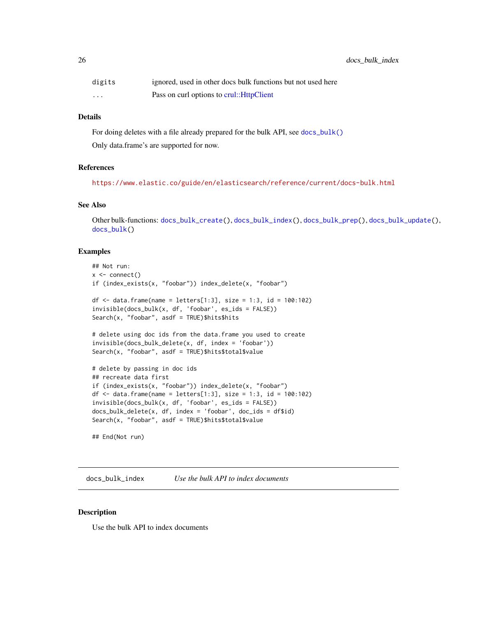<span id="page-25-0"></span>

| digits   | ignored, used in other docs bulk functions but not used here |
|----------|--------------------------------------------------------------|
| $\cdots$ | Pass on curl options to crul:: HttpClient                    |

#### Details

For doing deletes with a file already prepared for the bulk API, see [docs\\_bulk\(\)](#page-17-1) Only data.frame's are supported for now.

# References

<https://www.elastic.co/guide/en/elasticsearch/reference/current/docs-bulk.html>

# See Also

Other bulk-functions: [docs\\_bulk\\_create\(](#page-22-1)), [docs\\_bulk\\_index\(](#page-25-1)), [docs\\_bulk\\_prep\(](#page-27-1)), [docs\\_bulk\\_update\(](#page-31-1)), [docs\\_bulk\(](#page-17-1))

#### Examples

```
## Not run:
x <- connect()
if (index_exists(x, "foobar")) index_delete(x, "foobar")
df \le data.frame(name = letters[1:3], size = 1:3, id = 100:102)
invisible(docs_bulk(x, df, 'foobar', es_ids = FALSE))
Search(x, "foobar", asdf = TRUE)$hits$hits
# delete using doc ids from the data.frame you used to create
invisible(docs_bulk_delete(x, df, index = 'foobar'))
Search(x, "foobar", asdf = TRUE)$hits$total$value
# delete by passing in doc ids
## recreate data first
if (index_exists(x, "foobar")) index_delete(x, "foobar")
df \le data.frame(name = letters[1:3], size = 1:3, id = 100:102)
invisible(docs_bulk(x, df, 'foobar', es_ids = FALSE))
docs_bulk_delete(x, df, index = 'foobar', doc_ids = df$id)
Search(x, "foobar", asdf = TRUE)$hits$total$value
```
<span id="page-25-1"></span>docs\_bulk\_index *Use the bulk API to index documents*

#### Description

## End(Not run)

Use the bulk API to index documents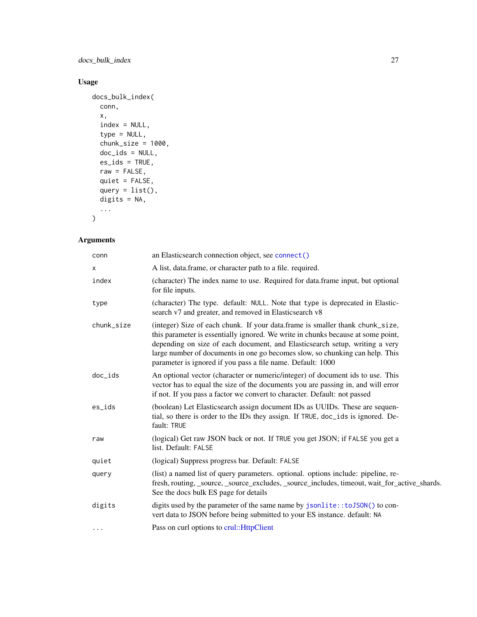docs\_bulk\_index 27

# Usage

```
docs_bulk_index(
 conn,
 x,
 index = NULL,type = NULL,
 chunk_size = 1000,doc\_ids = NULL,es\_ids = TRUE,raw = FALSE,quiet = FALSE,
 query = list(),
 digits = NA,
  ...
)
```

| conn       | an Elasticsearch connection object, see connect()                                                                                                                                                                                                                                                                                                                                               |
|------------|-------------------------------------------------------------------------------------------------------------------------------------------------------------------------------------------------------------------------------------------------------------------------------------------------------------------------------------------------------------------------------------------------|
| x          | A list, data.frame, or character path to a file. required.                                                                                                                                                                                                                                                                                                                                      |
| index      | (character) The index name to use. Required for data.frame input, but optional<br>for file inputs.                                                                                                                                                                                                                                                                                              |
| type       | (character) The type. default: NULL. Note that type is deprecated in Elastic-<br>search v7 and greater, and removed in Elasticsearch v8                                                                                                                                                                                                                                                         |
| chunk_size | (integer) Size of each chunk. If your data.frame is smaller thank chunk_size,<br>this parameter is essentially ignored. We write in chunks because at some point,<br>depending on size of each document, and Elasticsearch setup, writing a very<br>large number of documents in one go becomes slow, so chunking can help. This<br>parameter is ignored if you pass a file name. Default: 1000 |
| doc_ids    | An optional vector (character or numeric/integer) of document ids to use. This<br>vector has to equal the size of the documents you are passing in, and will error<br>if not. If you pass a factor we convert to character. Default: not passed                                                                                                                                                 |
| es_ids     | (boolean) Let Elasticsearch assign document IDs as UUIDs. These are sequen-<br>tial, so there is order to the IDs they assign. If TRUE, doc_ids is ignored. De-<br>fault: TRUE                                                                                                                                                                                                                  |
| raw        | (logical) Get raw JSON back or not. If TRUE you get JSON; if FALSE you get a<br>list. Default: FALSE                                                                                                                                                                                                                                                                                            |
| quiet      | (logical) Suppress progress bar. Default: FALSE                                                                                                                                                                                                                                                                                                                                                 |
| query      | (list) a named list of query parameters. optional. options include: pipeline, re-<br>fresh, routing, _source, _source_excludes, _source_includes, timeout, wait_for_active_shards.<br>See the docs bulk ES page for details                                                                                                                                                                     |
| digits     | digits used by the parameter of the same name by jsonlite:: to JSON() to con-<br>vert data to JSON before being submitted to your ES instance. default: NA                                                                                                                                                                                                                                      |
| $\cdots$   | Pass on curl options to crul:: HttpClient                                                                                                                                                                                                                                                                                                                                                       |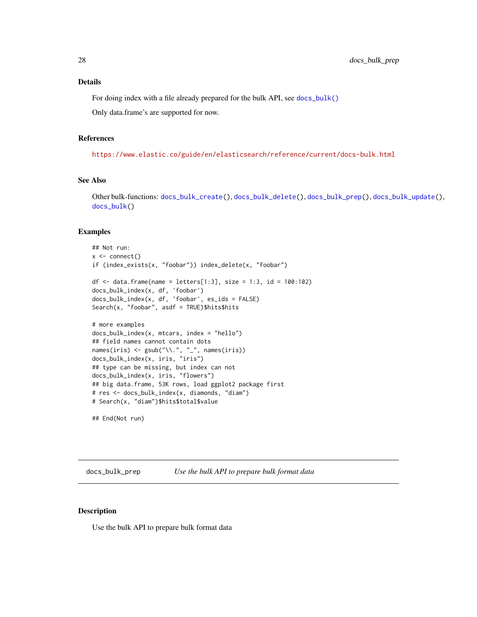#### <span id="page-27-0"></span>Details

For doing index with a file already prepared for the bulk API, see [docs\\_bulk\(\)](#page-17-1)

Only data.frame's are supported for now.

#### References

<https://www.elastic.co/guide/en/elasticsearch/reference/current/docs-bulk.html>

# See Also

Other bulk-functions: [docs\\_bulk\\_create\(](#page-22-1)), [docs\\_bulk\\_delete\(](#page-24-1)), [docs\\_bulk\\_prep\(](#page-27-1)), [docs\\_bulk\\_update\(](#page-31-1)), [docs\\_bulk\(](#page-17-1))

#### Examples

```
## Not run:
x \leftarrow \text{connect}()if (index_exists(x, "foobar")) index_delete(x, "foobar")
df \le data.frame(name = letters[1:3], size = 1:3, id = 100:102)
docs_bulk_index(x, df, 'foobar')
docs_bulk_index(x, df, 'foobar', es_ids = FALSE)
Search(x, "foobar", asdf = TRUE)$hits$hits
# more examples
docs_bulk_index(x, mtcars, index = "hello")
## field names cannot contain dots
names(iris) <- gsub("\\'.", "__", names(iris))docs_bulk_index(x, iris, "iris")
## type can be missing, but index can not
docs_bulk_index(x, iris, "flowers")
## big data.frame, 53K rows, load ggplot2 package first
# res <- docs_bulk_index(x, diamonds, "diam")
# Search(x, "diam")$hits$total$value
```
## End(Not run)

<span id="page-27-1"></span>docs\_bulk\_prep *Use the bulk API to prepare bulk format data*

# Description

Use the bulk API to prepare bulk format data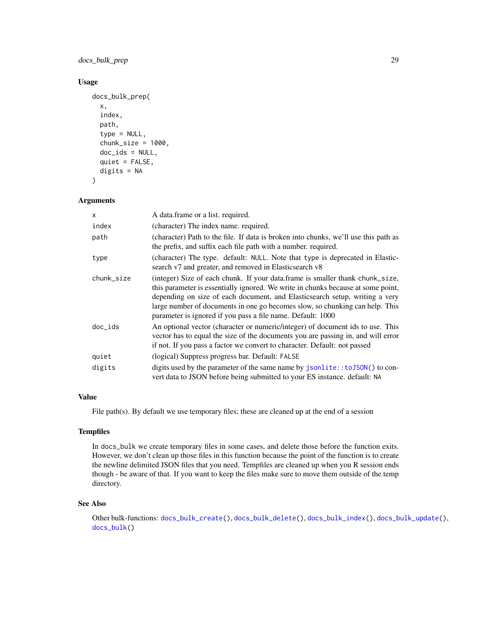docs\_bulk\_prep 29

# Usage

```
docs_bulk_prep(
  x,
  index,
 path,
  type = NULL,
  chunk_size = 1000,doc\_ids = NULL,quiet = FALSE,
  digits = NA
)
```
# Arguments

| x          | A data.frame or a list. required.                                                                                                                                                                                                                                                                                                                                                               |
|------------|-------------------------------------------------------------------------------------------------------------------------------------------------------------------------------------------------------------------------------------------------------------------------------------------------------------------------------------------------------------------------------------------------|
| index      | (character) The index name, required.                                                                                                                                                                                                                                                                                                                                                           |
| path       | (character) Path to the file. If data is broken into chunks, we'll use this path as<br>the prefix, and suffix each file path with a number, required.                                                                                                                                                                                                                                           |
| type       | (character) The type. default: NULL. Note that type is deprecated in Elastic-<br>search v7 and greater, and removed in Elasticsearch v8                                                                                                                                                                                                                                                         |
| chunk_size | (integer) Size of each chunk. If your data.frame is smaller thank chunk_size,<br>this parameter is essentially ignored. We write in chunks because at some point,<br>depending on size of each document, and Elasticsearch setup, writing a very<br>large number of documents in one go becomes slow, so chunking can help. This<br>parameter is ignored if you pass a file name. Default: 1000 |
| doc_ids    | An optional vector (character or numeric/integer) of document ids to use. This<br>vector has to equal the size of the documents you are passing in, and will error<br>if not. If you pass a factor we convert to character. Default: not passed                                                                                                                                                 |
| quiet      | (logical) Suppress progress bar. Default: FALSE                                                                                                                                                                                                                                                                                                                                                 |
| digits     | digits used by the parameter of the same name by jsonlite::toJSON() to con-<br>vert data to JSON before being submitted to your ES instance. default: NA                                                                                                                                                                                                                                        |

### Value

File path(s). By default we use temporary files; these are cleaned up at the end of a session

#### **Tempfiles**

In docs\_bulk we create temporary files in some cases, and delete those before the function exits. However, we don't clean up those files in this function because the point of the function is to create the newline delimited JSON files that you need. Tempfiles are cleaned up when you R session ends though - be aware of that. If you want to keep the files make sure to move them outside of the temp directory.

### See Also

Other bulk-functions: [docs\\_bulk\\_create\(](#page-22-1)), [docs\\_bulk\\_delete\(](#page-24-1)), [docs\\_bulk\\_index\(](#page-25-1)), [docs\\_bulk\\_update\(](#page-31-1)), [docs\\_bulk\(](#page-17-1))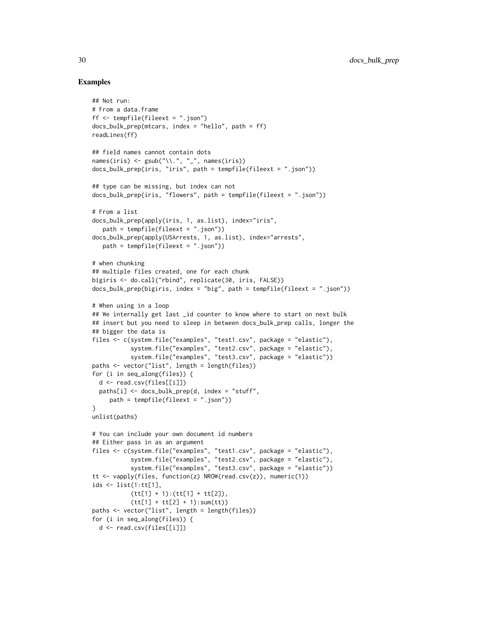### Examples

## Not run:

```
# From a data.frame
ff <- tempfile(fileext = ".json")
docs_bulk_prep(mtcars, index = "hello", path = ff)
readLines(ff)
## field names cannot contain dots
names(iris) <- gsub("\\'.", "__", names(iris))docs_bulk_prep(iris, "iris", path = tempfile(fileext = ".json"))
## type can be missing, but index can not
docs_bulk_prep(iris, "flowers", path = tempfile(fileext = ".json"))
# From a list
docs_bulk_prep(apply(iris, 1, as.list), index="iris",
   path = tempfile(fileext = ".json"))
docs_bulk_prep(apply(USArrests, 1, as.list), index="arrests",
   path = tempfile(fileext = ".json"))
# when chunking
## multiple files created, one for each chunk
bigiris <- do.call("rbind", replicate(30, iris, FALSE))
docs_bulk_prep(bigiris, index = "big", path = tempfile(fileext = ".json"))
# When using in a loop
## We internally get last _id counter to know where to start on next bulk
## insert but you need to sleep in between docs_bulk_prep calls, longer the
## bigger the data is
files <- c(system.file("examples", "test1.csv", package = "elastic"),
           system.file("examples", "test2.csv", package = "elastic"),
           system.file("examples", "test3.csv", package = "elastic"))
paths <- vector("list", length = length(files))
for (i in seq_along(files)) {
  d <- read.csv(files[[i]])
  paths[i] <- docs_bulk_prep(d, index = "stuff",
     path = tempfile(fileext = ".json"))
}
unlist(paths)
# You can include your own document id numbers
## Either pass in as an argument
files <- c(system.file("examples", "test1.csv", package = "elastic"),
           system.file("examples", "test2.csv", package = "elastic"),
           system.file("examples", "test3.csv", package = "elastic"))
tt <- vapply(files, function(z) NROW(read.csv(z)), numeric(1))
ids <- list(1:tt[1],
           (tt[1] + 1):(tt[1] + tt[2]),(tt[1] + tt[2] + 1):sum(t))paths <- vector("list", length = length(files))
for (i in seq_along(files)) {
 d <- read.csv(files[[i]])
```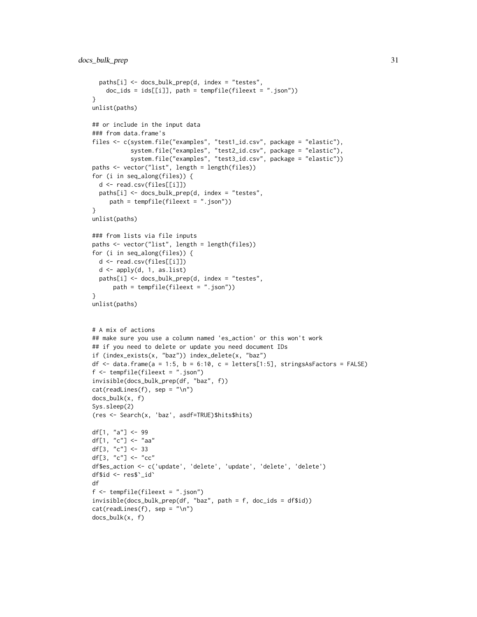```
paths[i] <- docs_bulk_prep(d, index = "testes",
   doc\_ids =ids[[i]], path = tempfile(fileext = ".json"))}
unlist(paths)
## or include in the input data
### from data.frame's
files <- c(system.file("examples", "test1_id.csv", package = "elastic"),
           system.file("examples", "test2_id.csv", package = "elastic"),
           system.file("examples", "test3_id.csv", package = "elastic"))
paths <- vector("list", length = length(files))
for (i in seq_along(files)) {
  d <- read.csv(files[[i]])
  paths[i] <- docs_bulk_prep(d, index = "testes",
     path = tempfile(fileext = ".json"))
}
unlist(paths)
### from lists via file inputs
paths <- vector("list", length = length(files))
for (i in seq_along(files)) {
 d <- read.csv(files[[i]])
  d <- apply(d, 1, as.list)
  paths[i] <- docs_bulk_prep(d, index = "testes",
      path = tempfile(fileext = ".json"))
}
unlist(paths)
# A mix of actions
## make sure you use a column named 'es_action' or this won't work
## if you need to delete or update you need document IDs
if (index_exists(x, "baz")) index_delete(x, "baz")
df \le data.frame(a = 1:5, b = 6:10, c = letters[1:5], stringsAsFactors = FALSE)
f <- tempfile(fileext = ".json")
invisible(docs_bulk_prep(df, "baz", f))
cat(readLines(f), sep = "n")docs_bulk(x, f)
Sys.sleep(2)
(res <- Search(x, 'baz', asdf=TRUE)$hits$hits)
df[1, "a"] <- 99
df[1, "c"] <- "aa"
df[3, "c"] <- 33
df[3, "c"] \leq "cc"
df$es_action <- c('update', 'delete', 'update', 'delete', 'delete')
df$id <- res$`_id`
df
f <- tempfile(fileext = ".json")
invisible(docs_bulk_prep(df, "baz", path = f, doc_ids = df$id))
cat(readLines(f), sep = "\\n")docs_bulk(x, f)
```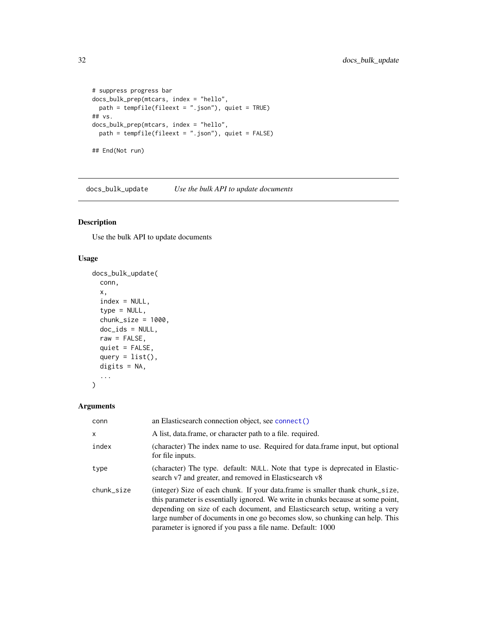```
# suppress progress bar
docs_bulk_prep(mtcars, index = "hello",
 path = tempfile(fileext = ".json"), quiet = TRUE)
## vs.
docs_bulk_prep(mtcars, index = "hello",
 path = tempfile(fileext = ".json"), quiet = FALSE)
## End(Not run)
```
<span id="page-31-1"></span>docs\_bulk\_update *Use the bulk API to update documents*

# Description

Use the bulk API to update documents

#### Usage

```
docs_bulk_update(
  conn,
 x,
  index = NULL,type = NULL,
  chunk_size = 1000,doc_ids = NULL,
 raw = FALSE,
 quiet = FALSE,
 query = list(),
 digits = NA,
  ...
\mathcal{L}
```

| conn       | an Elasticsearch connection object, see connect()                                                                                                                                                                                                                                                                                                                                               |
|------------|-------------------------------------------------------------------------------------------------------------------------------------------------------------------------------------------------------------------------------------------------------------------------------------------------------------------------------------------------------------------------------------------------|
| $\times$   | A list, data.frame, or character path to a file. required.                                                                                                                                                                                                                                                                                                                                      |
| index      | (character) The index name to use. Required for data.frame input, but optional<br>for file inputs.                                                                                                                                                                                                                                                                                              |
| type       | (character) The type. default: NULL. Note that type is deprecated in Elastic-<br>search v7 and greater, and removed in Elasticsearch v8                                                                                                                                                                                                                                                         |
| chunk_size | (integer) Size of each chunk. If your data frame is smaller thank chunk_size,<br>this parameter is essentially ignored. We write in chunks because at some point,<br>depending on size of each document, and Elasticsearch setup, writing a very<br>large number of documents in one go becomes slow, so chunking can help. This<br>parameter is ignored if you pass a file name. Default: 1000 |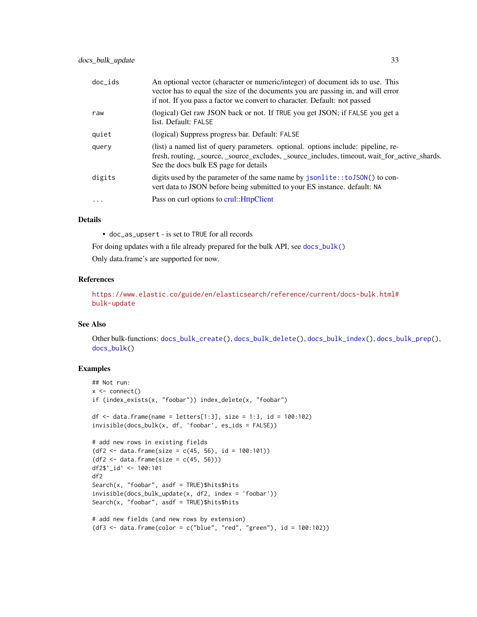| doc ids   | An optional vector (character or numeric/integer) of document ids to use. This<br>vector has to equal the size of the documents you are passing in, and will error<br>if not. If you pass a factor we convert to character. Default: not passed |
|-----------|-------------------------------------------------------------------------------------------------------------------------------------------------------------------------------------------------------------------------------------------------|
| raw       | (logical) Get raw JSON back or not. If TRUE you get JSON; if FALSE you get a<br>list. Default: FALSE                                                                                                                                            |
| quiet     | (logical) Suppress progress bar. Default: FALSE                                                                                                                                                                                                 |
| query     | (list) a named list of query parameters. optional. options include: pipeline, re-<br>fresh, routing, _source, _source_excludes, _source_includes, timeout, wait_for_active_shards.<br>See the docs bulk ES page for details                     |
| digits    | digits used by the parameter of the same name by jsonlite::toJSON() to con-<br>vert data to JSON before being submitted to your ES instance, default: NA                                                                                        |
| $\ddotsc$ | Pass on curl options to crul:: HttpClient                                                                                                                                                                                                       |
|           |                                                                                                                                                                                                                                                 |

# Details

• doc\_as\_upsert - is set to TRUE for all records

For doing updates with a file already prepared for the bulk API, see [docs\\_bulk\(\)](#page-17-1)

Only data.frame's are supported for now.

#### References

[https://www.elastic.co/guide/en/elasticsearch/reference/current/docs-bulk.html#](https://www.elastic.co/guide/en/elasticsearch/reference/current/docs-bulk.html#bulk-update) [bulk-update](https://www.elastic.co/guide/en/elasticsearch/reference/current/docs-bulk.html#bulk-update)

#### See Also

Other bulk-functions: [docs\\_bulk\\_create\(](#page-22-1)), [docs\\_bulk\\_delete\(](#page-24-1)), [docs\\_bulk\\_index\(](#page-25-1)), [docs\\_bulk\\_prep\(](#page-27-1)), [docs\\_bulk\(](#page-17-1))

# Examples

```
## Not run:
x \leftarrow \text{connect}()if (index_exists(x, "foobar")) index_delete(x, "foobar")
df \le data.frame(name = letters[1:3], size = 1:3, id = 100:102)
invisible(docs_bulk(x, df, 'foobar', es\_ids = FALSE))# add new rows in existing fields
(df2 <- data.frame(size = c(45, 56), id = 100:101))
(df2 < - data frame(size = c(45, 56)))df2$`_id` <- 100:101
df2
Search(x, "foobar", asdf = TRUE)$hits$hits
invisible(docs_bulk_update(x, df2, index = 'foobar'))
Search(x, "foobar", asdf = TRUE)$hits$hits
# add new fields (and new rows by extension)
(df3 <- data.frame(color = c("blue", "red", "green"), id = 100:102))
```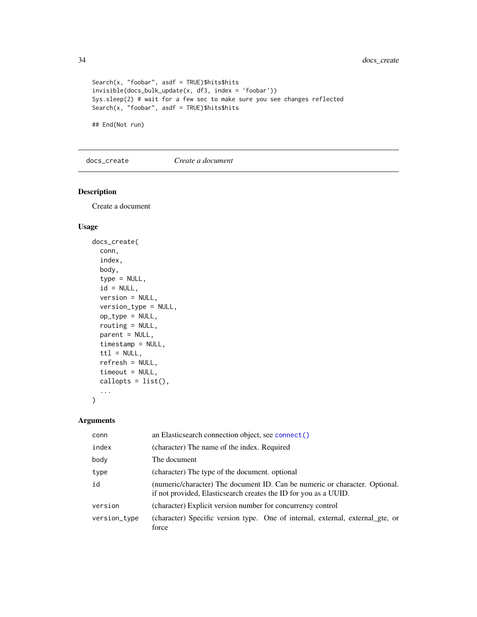```
Search(x, "foobar", asdf = TRUE)$hits$hits
invisible(docs_bulk_update(x, df3, index = 'foobar'))
Sys.sleep(2) # wait for a few sec to make sure you see changes reflected
Search(x, "foobar", asdf = TRUE)$hits$hits
```
## End(Not run)

docs\_create *Create a document*

# Description

Create a document

# Usage

```
docs_create(
  conn,
  index,
  body,
  type = NULL,
  id = NULL,version = NULL,
  version_type = NULL,
  op_{xype} = NULL,
  routing = NULL,
  parent = NULL,timestamp = NULL,
  \text{ttl} = \text{NULL},
  refresh = NULL,
  timeout = NULL,
  callopts = list(),
  ...
\mathcal{L}
```

| conn         | an Elasticsearch connection object, see connect()                                                                                               |
|--------------|-------------------------------------------------------------------------------------------------------------------------------------------------|
| index        | (character) The name of the index. Required                                                                                                     |
| body         | The document                                                                                                                                    |
| type         | (character) The type of the document. optional                                                                                                  |
| id           | (numeric/character) The document ID. Can be numeric or character. Optional.<br>if not provided, Elasticsearch creates the ID for you as a UUID. |
| version      | (character) Explicit version number for concurrency control                                                                                     |
| version_type | (character) Specific version type. One of internal, external, external gte, or<br>force                                                         |

<span id="page-33-0"></span>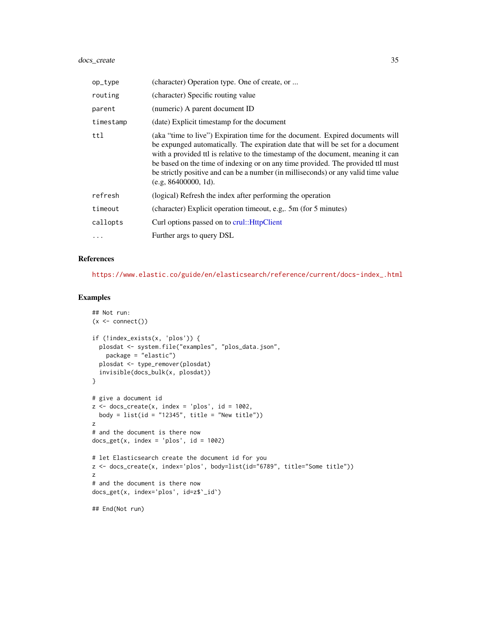# docs\_create 35

| op_type   | (character) Operation type. One of create, or                                                                                                                                                                                                                                                                                                                                                                                                           |
|-----------|---------------------------------------------------------------------------------------------------------------------------------------------------------------------------------------------------------------------------------------------------------------------------------------------------------------------------------------------------------------------------------------------------------------------------------------------------------|
| routing   | (character) Specific routing value                                                                                                                                                                                                                                                                                                                                                                                                                      |
| parent    | (numeric) A parent document ID                                                                                                                                                                                                                                                                                                                                                                                                                          |
| timestamp | (date) Explicit timestamp for the document                                                                                                                                                                                                                                                                                                                                                                                                              |
| ttl       | (aka "time to live") Expiration time for the document. Expired documents will<br>be expunged automatically. The expiration date that will be set for a document<br>with a provided ttl is relative to the timestamp of the document, meaning it can<br>be based on the time of indexing or on any time provided. The provided ttl must<br>be strictly positive and can be a number (in milliseconds) or any valid time value<br>$(e.g. 86400000, 1d)$ . |
| refresh   | (logical) Refresh the index after performing the operation                                                                                                                                                                                                                                                                                                                                                                                              |
| timeout   | (character) Explicit operation timeout, e.g., 5m (for 5 minutes)                                                                                                                                                                                                                                                                                                                                                                                        |
| callopts  | Curl options passed on to crul:: HttpClient                                                                                                                                                                                                                                                                                                                                                                                                             |
| .         | Further args to query DSL                                                                                                                                                                                                                                                                                                                                                                                                                               |

#### References

[https://www.elastic.co/guide/en/elasticsearch/reference/current/docs-index\\_.html](https://www.elastic.co/guide/en/elasticsearch/reference/current/docs-index_.html)

#### Examples

```
## Not run:
(x < - \text{connect}())if (!index_exists(x, 'plos')) {
 plosdat <- system.file("examples", "plos_data.json",
   package = "elastic")
  plosdat <- type_remover(plosdat)
  invisible(docs_bulk(x, plosdat))
}
# give a document id
z <- docs_create(x, index = 'plos', id = 1002,
 body = list(id = "12345", title = "New title"))z
# and the document is there now
docs\_get(x, index = 'plos', id = 1002)# let Elasticsearch create the document id for you
z <- docs_create(x, index='plos', body=list(id="6789", title="Some title"))
z
# and the document is there now
docs_get(x, index='plos', id=z$`_id`)
## End(Not run)
```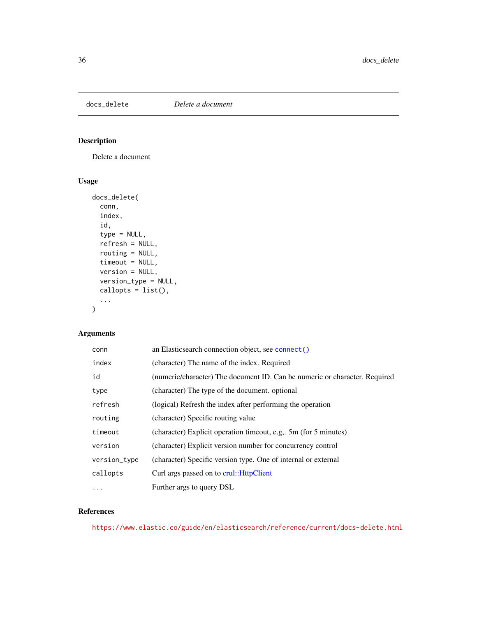<span id="page-35-0"></span>

# Description

Delete a document

# Usage

```
docs_delete(
 conn,
  index,
  id,
  type = NULL,
  refresh = NULL,
  routing = NULL,
  timeout = NULL,
 version = NULL,
 version_type = NULL,
 callopts = list(),...
)
```
# Arguments

| conn         | an Elasticsearch connection object, see connect()                          |
|--------------|----------------------------------------------------------------------------|
| index        | (character) The name of the index. Required                                |
| id           | (numeric/character) The document ID. Can be numeric or character. Required |
| type         | (character) The type of the document. optional                             |
| refresh      | (logical) Refresh the index after performing the operation                 |
| routing      | (character) Specific routing value                                         |
| timeout      | (character) Explicit operation timeout, e.g., 5m (for 5 minutes)           |
| version      | (character) Explicit version number for concurrency control                |
| version_type | (character) Specific version type. One of internal or external             |
| callopts     | Curl args passed on to crul:: HttpClient                                   |
| $\cdots$     | Further args to query DSL                                                  |

# References

<https://www.elastic.co/guide/en/elasticsearch/reference/current/docs-delete.html>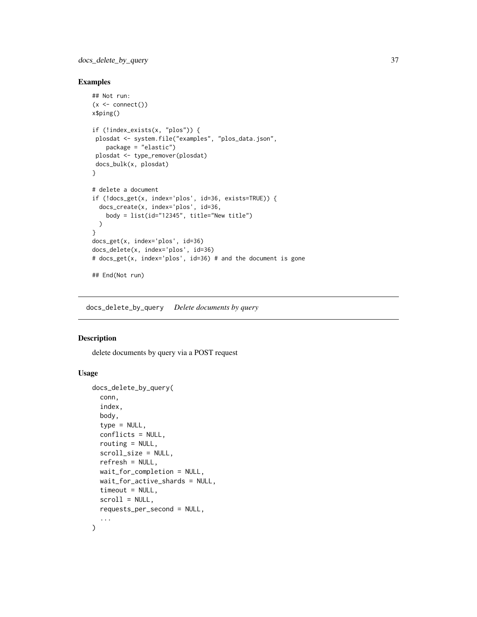docs\_delete\_by\_query 37

### Examples

```
## Not run:
(x \leq connect())
x$ping()
if (!index_exists(x, "plos")) {
 plosdat <- system.file("examples", "plos_data.json",
   package = "elastic")
 plosdat <- type_remover(plosdat)
 docs_bulk(x, plosdat)
}
# delete a document
if (!docs_get(x, index='plos', id=36, exists=TRUE)) {
  docs_create(x, index='plos', id=36,
   body = list(id="12345", title="New title")
 \lambda}
docs_get(x, index='plos', id=36)
docs_delete(x, index='plos', id=36)
# docs_get(x, index='plos', id=36) # and the document is gone
## End(Not run)
```
<span id="page-36-0"></span>docs\_delete\_by\_query *Delete documents by query*

### Description

delete documents by query via a POST request

### Usage

```
docs_delete_by_query(
  conn,
  index,
 body,
  type = NULL,conflicts = NULL,
  routing = NULL,
  scroll_size = NULL,
  refresh = NULL,
  wait_for_completion = NULL,
  wait_for_active_shards = NULL,
  timeout = NULL,
  scroll = NULL,
  requests_per_second = NULL,
  ...
\mathcal{L}
```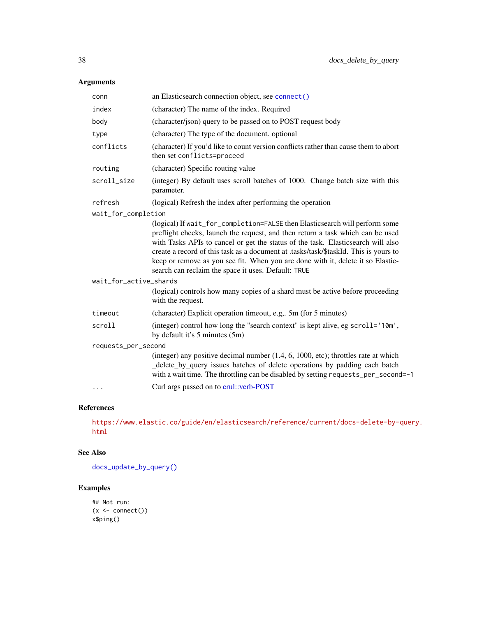# Arguments

| conn                   | an Elasticsearch connection object, see connect()                                                                                                                                                                                                                                                                                                                                                                                                                                   |  |
|------------------------|-------------------------------------------------------------------------------------------------------------------------------------------------------------------------------------------------------------------------------------------------------------------------------------------------------------------------------------------------------------------------------------------------------------------------------------------------------------------------------------|--|
| index                  | (character) The name of the index. Required                                                                                                                                                                                                                                                                                                                                                                                                                                         |  |
| body                   | (character/json) query to be passed on to POST request body                                                                                                                                                                                                                                                                                                                                                                                                                         |  |
| type                   | (character) The type of the document. optional                                                                                                                                                                                                                                                                                                                                                                                                                                      |  |
| conflicts              | (character) If you'd like to count version conflicts rather than cause them to abort<br>then set conflicts=proceed                                                                                                                                                                                                                                                                                                                                                                  |  |
| routing                | (character) Specific routing value                                                                                                                                                                                                                                                                                                                                                                                                                                                  |  |
| scroll_size            | (integer) By default uses scroll batches of 1000. Change batch size with this<br>parameter.                                                                                                                                                                                                                                                                                                                                                                                         |  |
| refresh                | (logical) Refresh the index after performing the operation                                                                                                                                                                                                                                                                                                                                                                                                                          |  |
| wait_for_completion    |                                                                                                                                                                                                                                                                                                                                                                                                                                                                                     |  |
|                        | (logical) If wait_for_completion=FALSE then Elasticsearch will perform some<br>preflight checks, launch the request, and then return a task which can be used<br>with Tasks APIs to cancel or get the status of the task. Elasticsearch will also<br>create a record of this task as a document at .tasks/task/\$taskId. This is yours to<br>keep or remove as you see fit. When you are done with it, delete it so Elastic-<br>search can reclaim the space it uses. Default: TRUE |  |
| wait_for_active_shards |                                                                                                                                                                                                                                                                                                                                                                                                                                                                                     |  |
|                        | (logical) controls how many copies of a shard must be active before proceeding<br>with the request.                                                                                                                                                                                                                                                                                                                                                                                 |  |
| timeout                | (character) Explicit operation timeout, e.g,. 5m (for 5 minutes)                                                                                                                                                                                                                                                                                                                                                                                                                    |  |
| scroll                 | (integer) control how long the "search context" is kept alive, eg scroll='10m',<br>by default it's 5 minutes (5m)                                                                                                                                                                                                                                                                                                                                                                   |  |
| requests_per_second    |                                                                                                                                                                                                                                                                                                                                                                                                                                                                                     |  |
|                        | (integer) any positive decimal number (1.4, 6, 1000, etc); throttles rate at which<br>_delete_by_query issues batches of delete operations by padding each batch<br>with a wait time. The throttling can be disabled by setting requests_per_second=-1                                                                                                                                                                                                                              |  |
| $\cdots$               | Curl args passed on to crul::verb-POST                                                                                                                                                                                                                                                                                                                                                                                                                                              |  |
|                        |                                                                                                                                                                                                                                                                                                                                                                                                                                                                                     |  |

### References

[https://www.elastic.co/guide/en/elasticsearch/reference/current/docs-delete-by-](https://www.elastic.co/guide/en/elasticsearch/reference/current/docs-delete-by-query.html)query. [html](https://www.elastic.co/guide/en/elasticsearch/reference/current/docs-delete-by-query.html)

### See Also

[docs\\_update\\_by\\_query\(\)](#page-45-0)

```
## Not run:
(x < - \text{connect}())x$ping()
```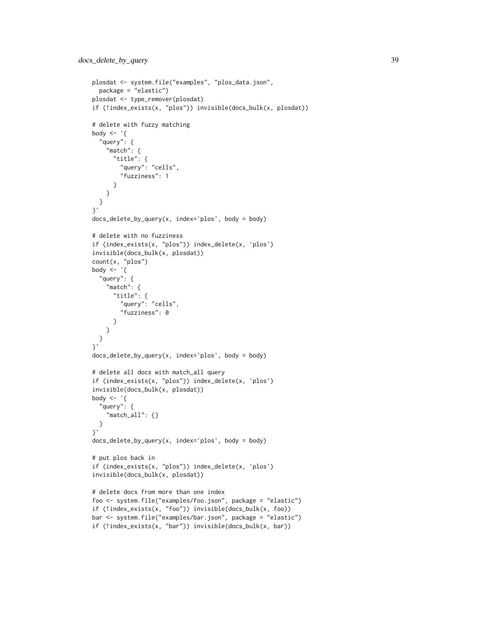```
plosdat <- system.file("examples", "plos_data.json",
  package = "elastic")
plosdat <- type_remover(plosdat)
if (!index_exists(x, "plos")) invisible(docs_bulk(x, plosdat))
# delete with fuzzy matching
body \leq - '{
  "query": {
    "match": {
      "title": {
        "query": "cells",
        "fuzziness": 1
      }
   }
 }
}'
docs_delete_by_query(x, index='plos', body = body)
# delete with no fuzziness
if (index_exists(x, "plos")) index_delete(x, 'plos')
invisible(docs_bulk(x, plosdat))
count(x, "plos")
body \leq - '{
  "query": {
    "match": {
      "title": {
       "query": "cells",
        "fuzziness": 0
     }
   }
 }
}'
docs<sub>delete_by_query(x, index='plos', body = body)</sub>
# delete all docs with match_all query
if (index_exists(x, "plos")) index_delete(x, 'plos')
invisible(docs_bulk(x, plosdat))
body \leq - '{
  "query": {
    "match_all": {}
  }
}'
docs_delete_by_query(x, index='plos', body = body)
# put plos back in
if (index_exists(x, "plos")) index_delete(x, 'plos')
invisible(docs_bulk(x, plosdat))
# delete docs from more than one index
foo <- system.file("examples/foo.json", package = "elastic")
if (!index_exists(x, "foo")) invisible(docs_bulk(x, foo))
bar <- system.file("examples/bar.json", package = "elastic")
if (!index_exists(x, "bar")) invisible(docs_bulk(x, bar))
```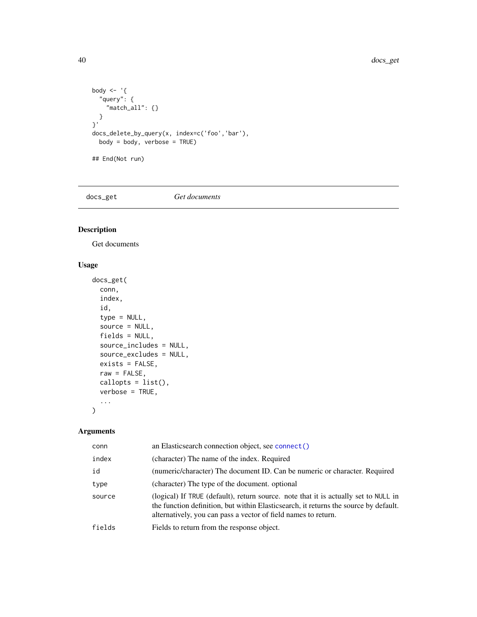```
body <- '{
  "query": {
   "match_all": {}
 }
}'
docs_delete_by_query(x, index=c('foo','bar'),
 body = body, verbose = TRUE)
## End(Not run)
```
<span id="page-39-0"></span>docs\_get *Get documents*

### Description

Get documents

### Usage

```
docs_get(
  conn,
  index,
  id,
  type = NULL,
  source = NULL,
 fields = NULL,
  source_includes = NULL,
  source_excludes = NULL,
 exists = FALSE,
 raw = FALSE,
  callopts = list(),
 verbose = TRUE,
  ...
)
```
### Arguments

| conn   | an Elasticsearch connection object, see connect ()                                                                                                                                                                                            |
|--------|-----------------------------------------------------------------------------------------------------------------------------------------------------------------------------------------------------------------------------------------------|
| index  | (character) The name of the index. Required                                                                                                                                                                                                   |
| id     | (numeric/character) The document ID. Can be numeric or character. Required                                                                                                                                                                    |
| type   | (character) The type of the document. optional                                                                                                                                                                                                |
| source | (logical) If TRUE (default), return source, note that it is actually set to NULL in<br>the function definition, but within Elasticsearch, it returns the source by default.<br>alternatively, you can pass a vector of field names to return. |
| fields | Fields to return from the response object.                                                                                                                                                                                                    |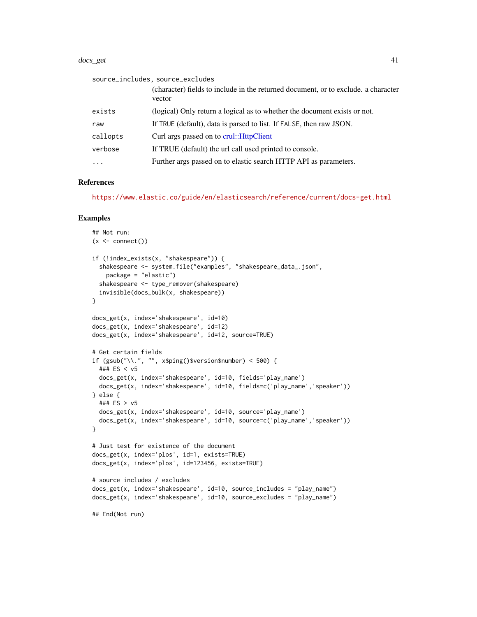#### docs\_get 41

|          | source_includes, source_excludes                                                             |
|----------|----------------------------------------------------------------------------------------------|
|          | (character) fields to include in the returned document, or to exclude, a character<br>vector |
| exists   | (logical) Only return a logical as to whether the document exists or not.                    |
| raw      | If TRUE (default), data is parsed to list. If FALSE, then raw JSON.                          |
| callopts | Curl args passed on to crul:: HttpClient                                                     |
| verbose  | If TRUE (default) the url call used printed to console.                                      |
| $\cdots$ | Further args passed on to elastic search HTTP API as parameters.                             |

#### References

<https://www.elastic.co/guide/en/elasticsearch/reference/current/docs-get.html>

```
## Not run:
(x \leq \text{connect}())if (!index_exists(x, "shakespeare")) {
 shakespeare <- system.file("examples", "shakespeare_data_.json",
    package = "elastic")
 shakespeare <- type_remover(shakespeare)
 invisible(docs_bulk(x, shakespeare))
}
docs_get(x, index='shakespeare', id=10)
docs_get(x, index='shakespeare', id=12)
docs_get(x, index='shakespeare', id=12, source=TRUE)
# Get certain fields
if (gsub("\\.", "", x$ping()$version$number) < 500) {
 ### ES < v5
 docs_get(x, index='shakespeare', id=10, fields='play_name')
 docs_get(x, index='shakespeare', id=10, fields=c('play_name','speaker'))
} else {
 ### ES > v5
 docs_get(x, index='shakespeare', id=10, source='play_name')
 docs_get(x, index='shakespeare', id=10, source=c('play_name','speaker'))
}
# Just test for existence of the document
docs_get(x, index='plos', id=1, exists=TRUE)
docs_get(x, index='plos', id=123456, exists=TRUE)
# source includes / excludes
docs_get(x, index='shakespeare', id=10, source_includes = "play_name")
docs_get(x, index='shakespeare', id=10, source_excludes = "play_name")
## End(Not run)
```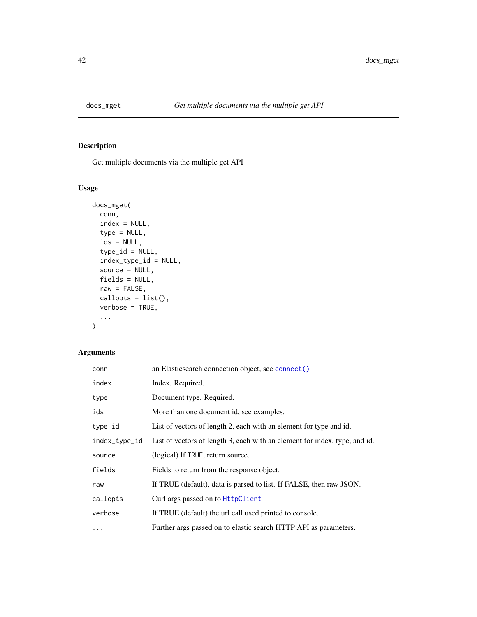<span id="page-41-0"></span>

# Description

Get multiple documents via the multiple get API

# Usage

```
docs_mget(
 conn,
  index = NULL,
  type = NULL,
  ids = NULL,
  type_id = NULL,
  index_type_id = NULL,
  source = NULL,
 fields = NULL,raw = FALSE,callopts = list(),
 verbose = TRUE,
  ...
\mathcal{L}
```
# Arguments

| conn     | an Elasticsearch connection object, see connect()                                        |
|----------|------------------------------------------------------------------------------------------|
| index    | Index. Required.                                                                         |
| type     | Document type. Required.                                                                 |
| ids      | More than one document id, see examples.                                                 |
| type_id  | List of vectors of length 2, each with an element for type and id.                       |
|          | index_type_id List of vectors of length 3, each with an element for index, type, and id. |
| source   | (logical) If TRUE, return source.                                                        |
| fields   | Fields to return from the response object.                                               |
| raw      | If TRUE (default), data is parsed to list. If FALSE, then raw JSON.                      |
| callopts | Curl args passed on to HttpClient                                                        |
| verbose  | If TRUE (default) the url call used printed to console.                                  |
| $\cdots$ | Further args passed on to elastic search HTTP API as parameters.                         |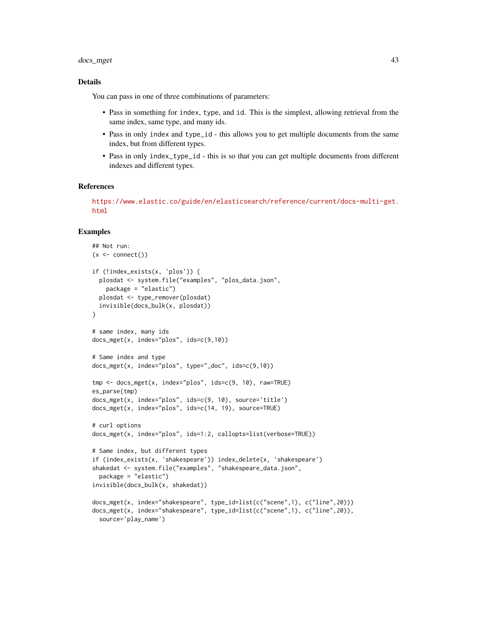### docs\_mget 43

### Details

You can pass in one of three combinations of parameters:

- Pass in something for index, type, and id. This is the simplest, allowing retrieval from the same index, same type, and many ids.
- Pass in only index and type\_id this allows you to get multiple documents from the same index, but from different types.
- Pass in only index\_type\_id this is so that you can get multiple documents from different indexes and different types.

#### References

[https://www.elastic.co/guide/en/elasticsearch/reference/current/docs-multi-get.](https://www.elastic.co/guide/en/elasticsearch/reference/current/docs-multi-get.html) [html](https://www.elastic.co/guide/en/elasticsearch/reference/current/docs-multi-get.html)

```
## Not run:
(x \leq connect())
if (!index_exists(x, 'plos')) {
 plosdat <- system.file("examples", "plos_data.json",
   package = "elastic")
 plosdat <- type_remover(plosdat)
 invisible(docs_bulk(x, plosdat))
}
# same index, many ids
docs_mget(x, index="plos", ids=c(9,10))
# Same index and type
docs_mget(x, index="plos", type="_doc", ids=c(9,10))
tmp <- docs_mget(x, index="plos", ids=c(9, 10), raw=TRUE)
es_parse(tmp)
docs_mget(x, index="plos", ids=c(9, 10), source='title')
docs_mget(x, index="plos", ids=c(14, 19), source=TRUE)
# curl options
docs_mget(x, index="plos", ids=1:2, callopts=list(verbose=TRUE))
# Same index, but different types
if (index_exists(x, 'shakespeare')) index_delete(x, 'shakespeare')
shakedat <- system.file("examples", "shakespeare_data.json",
 package = "elastic")
invisible(docs_bulk(x, shakedat))
docs_mget(x, index="shakespeare", type_id=list(c("scene",1), c("line",20)))
docs_mget(x, index="shakespeare", type_id=list(c("scene",1), c("line",20)),
 source='play_name')
```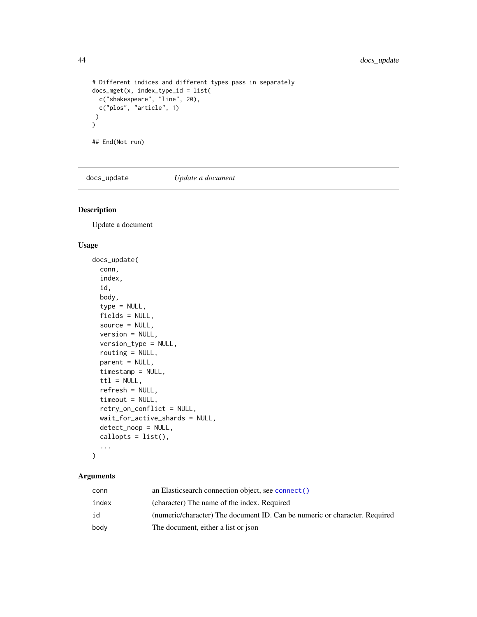```
# Different indices and different types pass in separately
docs_mget(x, index_type_id = list(
  c("shakespeare", "line", 20),
 c("plos", "article", 1)
)
\mathcal{L}## End(Not run)
```
docs\_update *Update a document*

### Description

Update a document

### Usage

```
docs_update(
  conn,
  index,
  id,
  body,
  type = NULL,
  fields = NULL,
  source = NULL,
  version = NULL,
  version_type = NULL,
  routing = NULL,
  parent = NULL,
  timestamp = NULL,
  \text{ttl} = \text{NULL},
  refresh = NULL,
  timeout = NULL,
  retry_on_conflict = NULL,
  wait_for_active_shards = NULL,
  detect_noop = NULL,
  callopts = list(),...
\mathcal{L}
```
### Arguments

| conn  | an Elasticsearch connection object, see connect()                          |
|-------|----------------------------------------------------------------------------|
| index | (character) The name of the index. Required                                |
| id    | (numeric/character) The document ID. Can be numeric or character. Required |
| body  | The document, either a list or json                                        |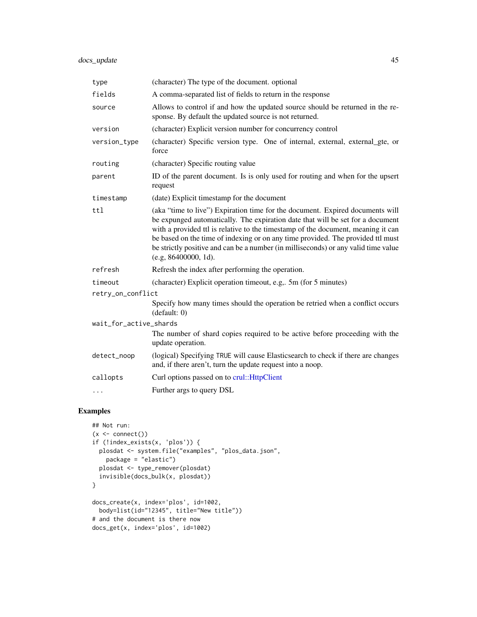| type                   | (character) The type of the document. optional                                                                                                                                                                                                                                                                                                                                                                                                       |  |
|------------------------|------------------------------------------------------------------------------------------------------------------------------------------------------------------------------------------------------------------------------------------------------------------------------------------------------------------------------------------------------------------------------------------------------------------------------------------------------|--|
| fields                 | A comma-separated list of fields to return in the response                                                                                                                                                                                                                                                                                                                                                                                           |  |
| source                 | Allows to control if and how the updated source should be returned in the re-<br>sponse. By default the updated source is not returned.                                                                                                                                                                                                                                                                                                              |  |
| version                | (character) Explicit version number for concurrency control                                                                                                                                                                                                                                                                                                                                                                                          |  |
| version_type           | (character) Specific version type. One of internal, external, external_gte, or<br>force                                                                                                                                                                                                                                                                                                                                                              |  |
| routing                | (character) Specific routing value                                                                                                                                                                                                                                                                                                                                                                                                                   |  |
| parent                 | ID of the parent document. Is is only used for routing and when for the upsert<br>request                                                                                                                                                                                                                                                                                                                                                            |  |
| timestamp              | (date) Explicit timestamp for the document                                                                                                                                                                                                                                                                                                                                                                                                           |  |
| ttl                    | (aka "time to live") Expiration time for the document. Expired documents will<br>be expunged automatically. The expiration date that will be set for a document<br>with a provided ttl is relative to the timestamp of the document, meaning it can<br>be based on the time of indexing or on any time provided. The provided ttl must<br>be strictly positive and can be a number (in milliseconds) or any valid time value<br>(e.g. 86400000, 1d). |  |
| refresh                | Refresh the index after performing the operation.                                                                                                                                                                                                                                                                                                                                                                                                    |  |
| timeout                | (character) Explicit operation timeout, e.g., 5m (for 5 minutes)                                                                                                                                                                                                                                                                                                                                                                                     |  |
| retry_on_conflict      |                                                                                                                                                                                                                                                                                                                                                                                                                                                      |  |
|                        | Specify how many times should the operation be retried when a conflict occurs<br>(detault: 0)                                                                                                                                                                                                                                                                                                                                                        |  |
| wait_for_active_shards |                                                                                                                                                                                                                                                                                                                                                                                                                                                      |  |
|                        | The number of shard copies required to be active before proceeding with the<br>update operation.                                                                                                                                                                                                                                                                                                                                                     |  |
| detect_noop            | (logical) Specifying TRUE will cause Elasticsearch to check if there are changes<br>and, if there aren't, turn the update request into a noop.                                                                                                                                                                                                                                                                                                       |  |
| callopts               | Curl options passed on to crul:: HttpClient                                                                                                                                                                                                                                                                                                                                                                                                          |  |
| $\cdots$               | Further args to query DSL                                                                                                                                                                                                                                                                                                                                                                                                                            |  |

```
## Not run:
(x \leq \text{connect}())if (!index_exists(x, 'plos')) {
  plosdat <- system.file("examples", "plos_data.json",
    package = "elastic")
  plosdat <- type_remover(plosdat)
  invisible(docs_bulk(x, plosdat))
}
docs_create(x, index='plos', id=1002,
  body=list(id="12345", title="New title"))
# and the document is there now
docs_get(x, index='plos', id=1002)
```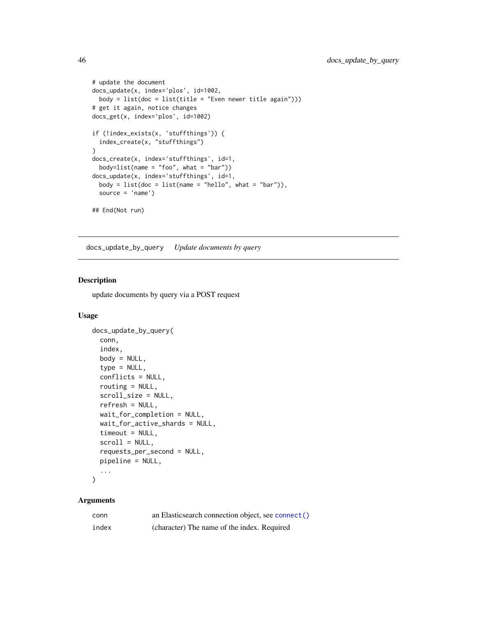```
# update the document
docs_update(x, index='plos', id=1002,
 body = list(doc = list(title = "Even newer title again")))
# get it again, notice changes
docs_get(x, index='plos', id=1002)
if (!index_exists(x, 'stuffthings')) {
  index_create(x, "stuffthings")
}
docs_create(x, index='stuffthings', id=1,
  body=list(name = "foo", what = "bar")docs_update(x, index='stuffthings', id=1,
  body = listdoc = list(name = "hello", what = "bar"),
  source = 'name')
## End(Not run)
```
<span id="page-45-0"></span>docs\_update\_by\_query *Update documents by query*

### Description

update documents by query via a POST request

#### Usage

```
docs_update_by_query(
 conn,
  index,
 body = NULL,
  type = NULL,
  conflicts = NULL,
  routing = NULL,
  scroll_size = NULL,
  refresh = NULL,
 wait_for_completion = NULL,
 wait_for_active_shards = NULL,
  timeout = NULL,
  scroll = NULL,requests_per_second = NULL,
 pipeline = NULL,
  ...
\mathcal{L}
```
### Arguments

| conn  | an Elasticsearch connection object, see connect() |
|-------|---------------------------------------------------|
| index | (character) The name of the index. Required       |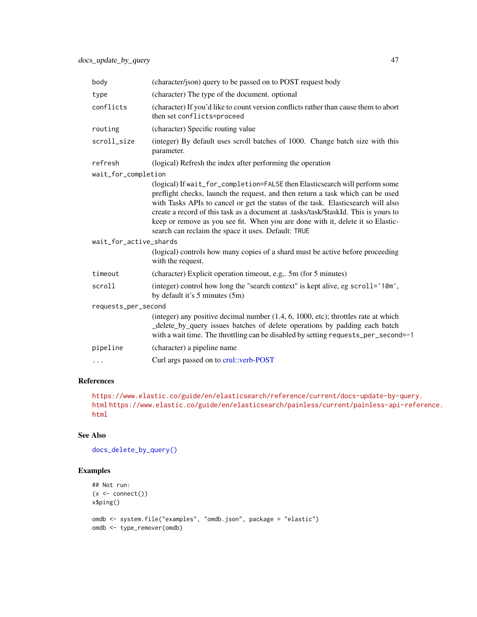| body                   | (character/json) query to be passed on to POST request body                                                                                                                                                                                                                                                                                                                                                                                                                         |  |
|------------------------|-------------------------------------------------------------------------------------------------------------------------------------------------------------------------------------------------------------------------------------------------------------------------------------------------------------------------------------------------------------------------------------------------------------------------------------------------------------------------------------|--|
| type                   | (character) The type of the document. optional                                                                                                                                                                                                                                                                                                                                                                                                                                      |  |
| conflicts              | (character) If you'd like to count version conflicts rather than cause them to abort<br>then set conflicts=proceed                                                                                                                                                                                                                                                                                                                                                                  |  |
| routing                | (character) Specific routing value                                                                                                                                                                                                                                                                                                                                                                                                                                                  |  |
| scroll_size            | (integer) By default uses scroll batches of 1000. Change batch size with this<br>parameter.                                                                                                                                                                                                                                                                                                                                                                                         |  |
| refresh                | (logical) Refresh the index after performing the operation                                                                                                                                                                                                                                                                                                                                                                                                                          |  |
| wait_for_completion    |                                                                                                                                                                                                                                                                                                                                                                                                                                                                                     |  |
|                        | (logical) If wait_for_completion=FALSE then Elasticsearch will perform some<br>preflight checks, launch the request, and then return a task which can be used<br>with Tasks APIs to cancel or get the status of the task. Elasticsearch will also<br>create a record of this task as a document at .tasks/task/\$taskId. This is yours to<br>keep or remove as you see fit. When you are done with it, delete it so Elastic-<br>search can reclaim the space it uses. Default: TRUE |  |
| wait_for_active_shards |                                                                                                                                                                                                                                                                                                                                                                                                                                                                                     |  |
|                        | (logical) controls how many copies of a shard must be active before proceeding<br>with the request.                                                                                                                                                                                                                                                                                                                                                                                 |  |
| timeout                | (character) Explicit operation timeout, e.g., 5m (for 5 minutes)                                                                                                                                                                                                                                                                                                                                                                                                                    |  |
| scroll                 | (integer) control how long the "search context" is kept alive, eg scroll='10m',<br>by default it's 5 minutes (5m)                                                                                                                                                                                                                                                                                                                                                                   |  |
| requests_per_second    |                                                                                                                                                                                                                                                                                                                                                                                                                                                                                     |  |
|                        | (integer) any positive decimal number $(1.4, 6, 1000, etc)$ ; throttles rate at which<br>_delete_by_query issues batches of delete operations by padding each batch<br>with a wait time. The throttling can be disabled by setting requests_per_second=-1                                                                                                                                                                                                                           |  |
| pipeline               | (character) a pipeline name                                                                                                                                                                                                                                                                                                                                                                                                                                                         |  |
| $\cdots$               | Curl args passed on to crul::verb-POST                                                                                                                                                                                                                                                                                                                                                                                                                                              |  |
|                        |                                                                                                                                                                                                                                                                                                                                                                                                                                                                                     |  |

### References

[https://www.elastic.co/guide/en/elasticsearch/reference/current/docs-update-by-](https://www.elastic.co/guide/en/elasticsearch/reference/current/docs-update-by-query.html)query. [html](https://www.elastic.co/guide/en/elasticsearch/reference/current/docs-update-by-query.html) [https://www.elastic.co/guide/en/elasticsearch/painless/current/painless-api](https://www.elastic.co/guide/en/elasticsearch/painless/current/painless-api-reference.html)-reference. [html](https://www.elastic.co/guide/en/elasticsearch/painless/current/painless-api-reference.html)

# See Also

```
docs_delete_by_query()
```

```
## Not run:
(x \leq \text{connect}())x$ping()
omdb <- system.file("examples", "omdb.json", package = "elastic")
omdb <- type_remover(omdb)
```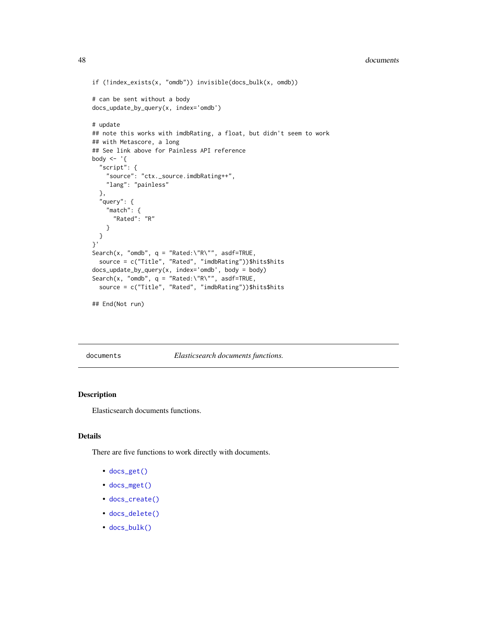#### 48 documents

```
if (!index_exists(x, "omdb")) invisible(docs_bulk(x, omdb))
# can be sent without a body
docs_update_by_query(x, index='omdb')
# update
## note this works with imdbRating, a float, but didn't seem to work
## with Metascore, a long
## See link above for Painless API reference
body \leq - '{
  "script": {
   "source": "ctx._source.imdbRating++",
    "lang": "painless"
  },
  "query": {
    "match": {
      "Rated": "R"
    }
  }
}'
Search(x, "omdb", q = "Rated:\"R\"", asdf=TRUE,
  source = c("Title", "Rated", "imdbRating"))$hits$hits
docs_update_by_query(x, index='omdb', body = body)
Search(x, "omdb", q = "Rated:\"R\"", asdf=TRUE,
  source = c("Title", "Rated", "imdbRating"))$hits$hits
```

```
## End(Not run)
```
documents *Elasticsearch documents functions.*

### Description

Elasticsearch documents functions.

#### Details

There are five functions to work directly with documents.

- [docs\\_get\(\)](#page-39-0)
- [docs\\_mget\(\)](#page-41-0)
- [docs\\_create\(\)](#page-33-0)
- [docs\\_delete\(\)](#page-35-0)
- [docs\\_bulk\(\)](#page-17-0)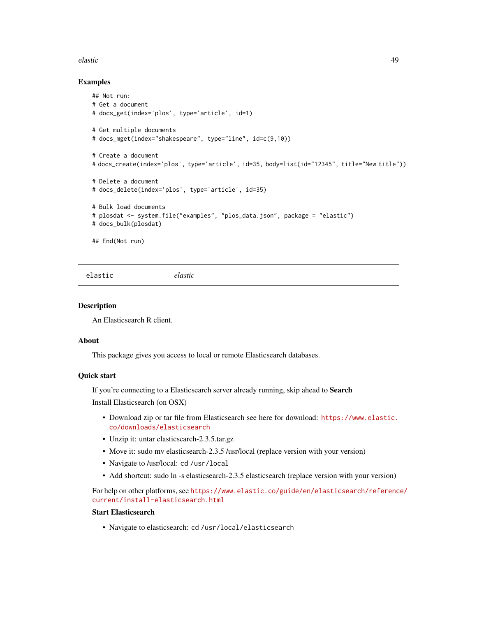#### elastic 49

#### Examples

```
## Not run:
# Get a document
# docs_get(index='plos', type='article', id=1)
# Get multiple documents
# docs_mget(index="shakespeare", type="line", id=c(9,10))
# Create a document
# docs_create(index='plos', type='article', id=35, body=list(id="12345", title="New title"))
# Delete a document
# docs_delete(index='plos', type='article', id=35)
# Bulk load documents
# plosdat <- system.file("examples", "plos_data.json", package = "elastic")
# docs_bulk(plosdat)
## End(Not run)
```
elastic *elastic*

### Description

An Elasticsearch R client.

#### About

This package gives you access to local or remote Elasticsearch databases.

### Quick start

If you're connecting to a Elasticsearch server already running, skip ahead to Search Install Elasticsearch (on OSX)

- Download zip or tar file from Elasticsearch see here for download: [https://www.elastic.](https://www.elastic.co/downloads/elasticsearch) [co/downloads/elasticsearch](https://www.elastic.co/downloads/elasticsearch)
- Unzip it: untar elasticsearch-2.3.5.tar.gz
- Move it: sudo mv elasticsearch-2.3.5 /usr/local (replace version with your version)
- Navigate to /usr/local: cd /usr/local
- Add shortcut: sudo ln -s elasticsearch-2.3.5 elasticsearch (replace version with your version)

For help on other platforms, see [https://www.elastic.co/guide/en/elasticsearch/referenc](https://www.elastic.co/guide/en/elasticsearch/reference/current/install-elasticsearch.html)e/ [current/install-elasticsearch.html](https://www.elastic.co/guide/en/elasticsearch/reference/current/install-elasticsearch.html)

### Start Elasticsearch

• Navigate to elasticsearch: cd /usr/local/elasticsearch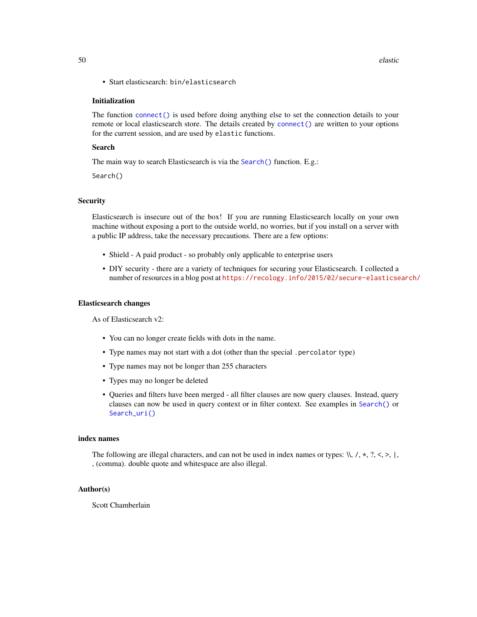• Start elasticsearch: bin/elasticsearch

#### Initialization

The function [connect\(\)](#page-13-0) is used before doing anything else to set the connection details to your remote or local elasticsearch store. The details created by [connect\(\)](#page-13-0) are written to your options for the current session, and are used by elastic functions.

#### Search

The main way to search Elasticsearch is via the [Search\(\)](#page-91-0) function. E.g.:

Search()

### **Security**

Elasticsearch is insecure out of the box! If you are running Elasticsearch locally on your own machine without exposing a port to the outside world, no worries, but if you install on a server with a public IP address, take the necessary precautions. There are a few options:

- Shield A paid product so probably only applicable to enterprise users
- DIY security there are a variety of techniques for securing your Elasticsearch. I collected a number of resources in a blog post at <https://recology.info/2015/02/secure-elasticsearch/>

#### Elasticsearch changes

As of Elasticsearch v2:

- You can no longer create fields with dots in the name.
- Type names may not start with a dot (other than the special .percolator type)
- Type names may not be longer than 255 characters
- Types may no longer be deleted
- Queries and filters have been merged all filter clauses are now query clauses. Instead, query clauses can now be used in query context or in filter context. See examples in [Search\(\)](#page-91-0) or [Search\\_uri\(\)](#page-116-0)

#### index names

The following are illegal characters, and can not be used in index names or types:  $\mathcal{N}, \mathcal{A}, \mathcal{A}, \mathcal{A}, \mathcal{A}, \mathcal{A}, \mathcal{A}, \mathcal{A}, \mathcal{A}$ , (comma). double quote and whitespace are also illegal.

#### Author(s)

Scott Chamberlain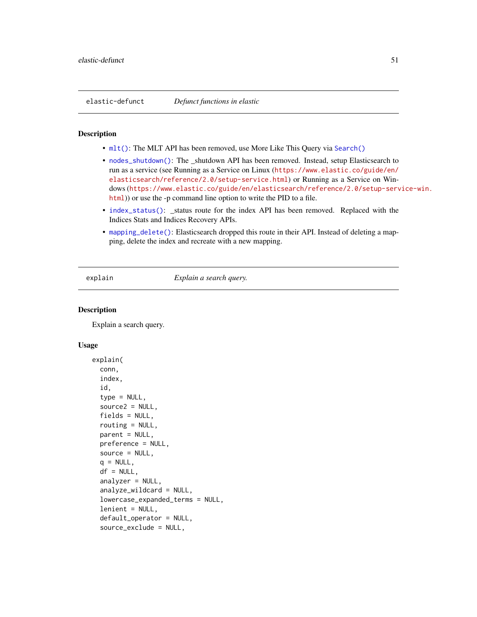### **Description**

- [mlt\(\)](#page-0-0): The MLT API has been removed, use More Like This Query via [Search\(\)](#page-91-0)
- [nodes\\_shutdown\(\)](#page-0-0): The \_shutdown API has been removed. Instead, setup Elasticsearch to run as a service (see Running as a Service on Linux ([https://www.elastic.co/guide/en/](https://www.elastic.co/guide/en/elasticsearch/reference/2.0/setup-service.html) [elasticsearch/reference/2.0/setup-service.html](https://www.elastic.co/guide/en/elasticsearch/reference/2.0/setup-service.html)) or Running as a Service on Windows ([https://www.elastic.co/guide/en/elasticsearch/reference/2.0/setup-serv](https://www.elastic.co/guide/en/elasticsearch/reference/2.0/setup-service-win.html)ice-win. [html](https://www.elastic.co/guide/en/elasticsearch/reference/2.0/setup-service-win.html))) or use the -p command line option to write the PID to a file.
- [index\\_status\(\)](#page-0-0): \_status route for the index API has been removed. Replaced with the Indices Stats and Indices Recovery APIs.
- [mapping\\_delete\(\)](#page-0-0): Elasticsearch dropped this route in their API. Instead of deleting a mapping, delete the index and recreate with a new mapping.

explain *Explain a search query.*

#### **Description**

Explain a search query.

#### Usage

```
explain(
  conn,
  index,
  id,
  type = NULL,
  source2 = NULL,fields = NULL,
  routing = NULL,
  parent = NULL,preference = NULL,
  source = NULL,q = NULL,df = NULL,analyzer = NULL,analyze_wildcard = NULL,
  lowercase_expanded_terms = NULL,
  lenient = NULL,
  default_operator = NULL,
  source_exclude = NULL,
```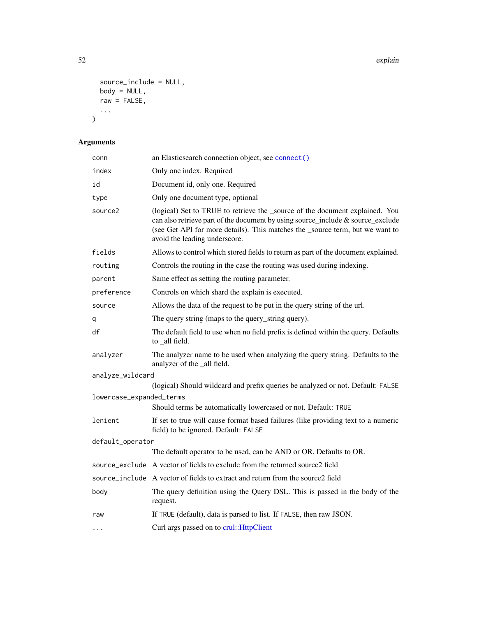```
source_include = NULL,
 body = NULL,
 raw = FALSE,
 ...
)
```
# Arguments

| conn                     | an Elasticsearch connection object, see connect()                                                                                                                                                                                                                                 |
|--------------------------|-----------------------------------------------------------------------------------------------------------------------------------------------------------------------------------------------------------------------------------------------------------------------------------|
| index                    | Only one index. Required                                                                                                                                                                                                                                                          |
| id                       | Document id, only one. Required                                                                                                                                                                                                                                                   |
| type                     | Only one document type, optional                                                                                                                                                                                                                                                  |
| source2                  | (logical) Set to TRUE to retrieve the _source of the document explained. You<br>can also retrieve part of the document by using source_include & source_exclude<br>(see Get API for more details). This matches the _source term, but we want to<br>avoid the leading underscore. |
| fields                   | Allows to control which stored fields to return as part of the document explained.                                                                                                                                                                                                |
| routing                  | Controls the routing in the case the routing was used during indexing.                                                                                                                                                                                                            |
| parent                   | Same effect as setting the routing parameter.                                                                                                                                                                                                                                     |
| preference               | Controls on which shard the explain is executed.                                                                                                                                                                                                                                  |
| source                   | Allows the data of the request to be put in the query string of the url.                                                                                                                                                                                                          |
| q                        | The query string (maps to the query_string query).                                                                                                                                                                                                                                |
| df                       | The default field to use when no field prefix is defined within the query. Defaults<br>to _all field.                                                                                                                                                                             |
| analyzer                 | The analyzer name to be used when analyzing the query string. Defaults to the<br>analyzer of the _all field.                                                                                                                                                                      |
| analyze_wildcard         |                                                                                                                                                                                                                                                                                   |
|                          | (logical) Should wildcard and prefix queries be analyzed or not. Default: FALSE                                                                                                                                                                                                   |
| lowercase_expanded_terms | Should terms be automatically lowercased or not. Default: TRUE                                                                                                                                                                                                                    |
| lenient                  | If set to true will cause format based failures (like providing text to a numeric<br>field) to be ignored. Default: FALSE                                                                                                                                                         |
| default_operator         |                                                                                                                                                                                                                                                                                   |
|                          | The default operator to be used, can be AND or OR. Defaults to OR.                                                                                                                                                                                                                |
|                          | source_exclude A vector of fields to exclude from the returned source2 field                                                                                                                                                                                                      |
|                          | source_include A vector of fields to extract and return from the source2 field                                                                                                                                                                                                    |
| body                     | The query definition using the Query DSL. This is passed in the body of the<br>request.                                                                                                                                                                                           |
| raw                      | If TRUE (default), data is parsed to list. If FALSE, then raw JSON.                                                                                                                                                                                                               |
| $\ddots$                 | Curl args passed on to crul::HttpClient                                                                                                                                                                                                                                           |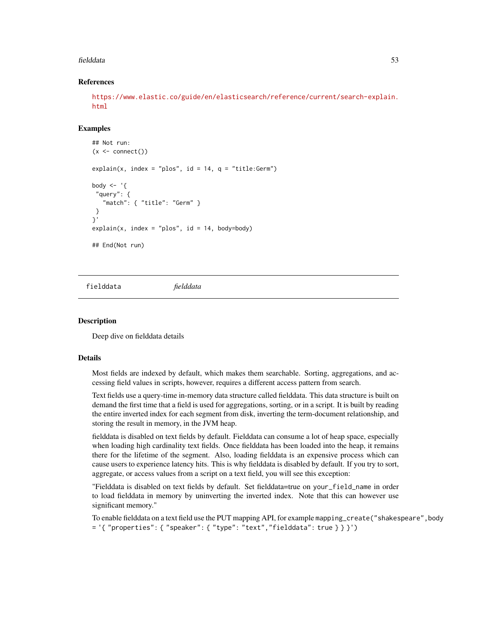#### fielddata 53

### References

[https://www.elastic.co/guide/en/elasticsearch/reference/current/search-explain.](https://www.elastic.co/guide/en/elasticsearch/reference/current/search-explain.html) [html](https://www.elastic.co/guide/en/elasticsearch/reference/current/search-explain.html)

### Examples

```
## Not run:
(x \leq connect())
explain(x, index = "plos", id = 14, q = "title:German")body \leq - '{
 "query": {
   "match": { "title": "Germ" }
}
}'
explain(x, index = "plos", id = 14, body = body)## End(Not run)
```
fielddata *fielddata*

### Description

Deep dive on fielddata details

#### Details

Most fields are indexed by default, which makes them searchable. Sorting, aggregations, and accessing field values in scripts, however, requires a different access pattern from search.

Text fields use a query-time in-memory data structure called fielddata. This data structure is built on demand the first time that a field is used for aggregations, sorting, or in a script. It is built by reading the entire inverted index for each segment from disk, inverting the term-document relationship, and storing the result in memory, in the JVM heap.

fielddata is disabled on text fields by default. Fielddata can consume a lot of heap space, especially when loading high cardinality text fields. Once fielddata has been loaded into the heap, it remains there for the lifetime of the segment. Also, loading fielddata is an expensive process which can cause users to experience latency hits. This is why fielddata is disabled by default. If you try to sort, aggregate, or access values from a script on a text field, you will see this exception:

"Fielddata is disabled on text fields by default. Set fielddata=true on your\_field\_name in order to load fielddata in memory by uninverting the inverted index. Note that this can however use significant memory."

To enable fielddata on a text field use the PUT mapping API, for example mapping\_create("shakespeare",body = '{ "properties": { "speaker": { "type": "text","fielddata": true } } }')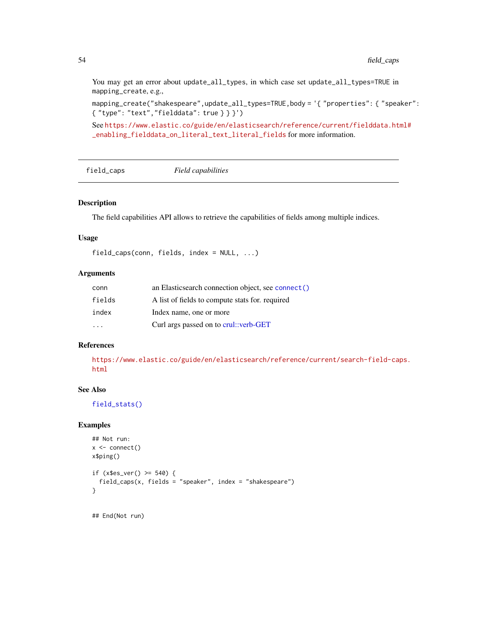You may get an error about update\_all\_types, in which case set update\_all\_types=TRUE in mapping\_create, e.g.,

mapping\_create("shakespeare",update\_all\_types=TRUE,body = '{ "properties": { "speaker": { "type": "text","fielddata": true } } }')

See [https://www.elastic.co/guide/en/elasticsearch/reference/current/fielddata.ht](https://www.elastic.co/guide/en/elasticsearch/reference/current/fielddata.html#_enabling_fielddata_on_literal_text_literal_fields)ml# [\\_enabling\\_fielddata\\_on\\_literal\\_text\\_literal\\_fields](https://www.elastic.co/guide/en/elasticsearch/reference/current/fielddata.html#_enabling_fielddata_on_literal_text_literal_fields) for more information.

```
field_caps Field capabilities
```
### Description

The field capabilities API allows to retrieve the capabilities of fields among multiple indices.

#### Usage

```
field_caps(conn, fields, index = NULL, ...)
```
### Arguments

| conn   | an Elasticsearch connection object, see connect () |
|--------|----------------------------------------------------|
| fields | A list of fields to compute stats for, required    |
| index  | Index name, one or more                            |
|        | Curl args passed on to crul::verb-GET              |

### References

[https://www.elastic.co/guide/en/elasticsearch/reference/current/search-field-cap](https://www.elastic.co/guide/en/elasticsearch/reference/current/search-field-caps.html)s. [html](https://www.elastic.co/guide/en/elasticsearch/reference/current/search-field-caps.html)

### See Also

[field\\_stats\(\)](#page-54-0)

#### Examples

```
## Not run:
x \leftarrow \text{connect}()x$ping()
if (x$es_ver() >= 540) {
  field_caps(x, fields = "speaker", index = "shakespeare")
}
```
## End(Not run)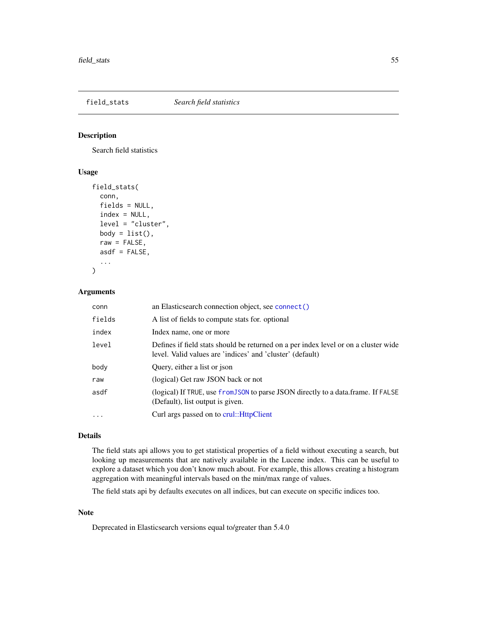### <span id="page-54-0"></span>field\_stats *Search field statistics*

### Description

Search field statistics

### Usage

```
field_stats(
  conn,
  fields = NULL,
  index = NULL,level = "cluster",
  body = list(),
  raw = FALSE,asdf = FALSE,
  ...
\mathcal{L}
```
### Arguments

| conn     | an Elasticsearch connection object, see connect()                                                                                                |
|----------|--------------------------------------------------------------------------------------------------------------------------------------------------|
| fields   | A list of fields to compute stats for, optional                                                                                                  |
| index    | Index name, one or more                                                                                                                          |
| level    | Defines if field stats should be returned on a per index level or on a cluster wide<br>level. Valid values are 'indices' and 'cluster' (default) |
| body     | Query, either a list or json                                                                                                                     |
| raw      | (logical) Get raw JSON back or not                                                                                                               |
| asdf     | (logical) If TRUE, use from JSON to parse JSON directly to a data.frame. If FALSE<br>(Default), list output is given.                            |
| $\cdots$ | Curl args passed on to crul:: HttpClient                                                                                                         |

#### Details

The field stats api allows you to get statistical properties of a field without executing a search, but looking up measurements that are natively available in the Lucene index. This can be useful to explore a dataset which you don't know much about. For example, this allows creating a histogram aggregation with meaningful intervals based on the min/max range of values.

The field stats api by defaults executes on all indices, but can execute on specific indices too.

### Note

Deprecated in Elasticsearch versions equal to/greater than 5.4.0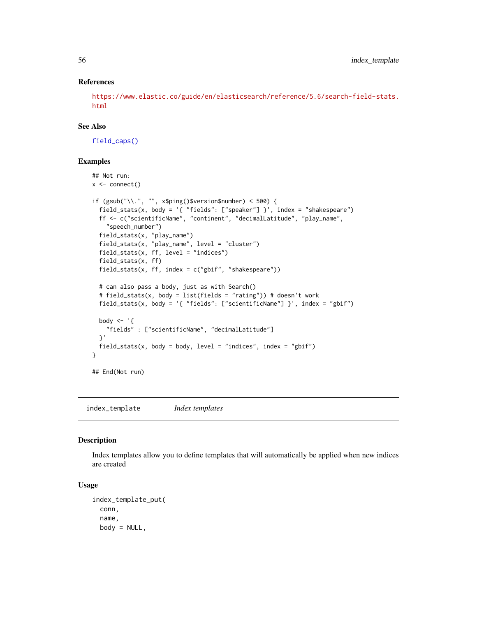### References

[https://www.elastic.co/guide/en/elasticsearch/reference/5.6/search-field-stats.](https://www.elastic.co/guide/en/elasticsearch/reference/5.6/search-field-stats.html) [html](https://www.elastic.co/guide/en/elasticsearch/reference/5.6/search-field-stats.html)

### See Also

[field\\_caps\(\)](#page-53-0)

#### Examples

```
## Not run:
x \leftarrow \text{connect}()if (gsub("\\.", "", x$ping()$version$number) < 500) {
  field_stats(x, body = '{ "fields": ["speaker"] }', index = "shakespeare")
  ff <- c("scientificName", "continent", "decimalLatitude", "play_name",
    "speech_number")
  field_stats(x, "play_name")
  field_stats(x, "play_name", level = "cluster")
  field_stats(x, ff, level = "indices")
  field_stats(x, ff)
  field_stats(x, ff, index = c("gbif", "shakespeace"))# can also pass a body, just as with Search()
  # field_stats(x, body = list(fields = "rating")) # doesn't work
  field_stats(x, body = '{ "fields": ["scientificName"] }', index = "gbif")
  body \leq - '{
    "fields" : ["scientificName", "decimalLatitude"]
  }'
  field_stats(x, body = body, level = "indices", index = "gbif")
}
## End(Not run)
```
index\_template *Index templates*

#### Description

Index templates allow you to define templates that will automatically be applied when new indices are created

#### Usage

```
index_template_put(
 conn,
  name,
 body = NULL,
```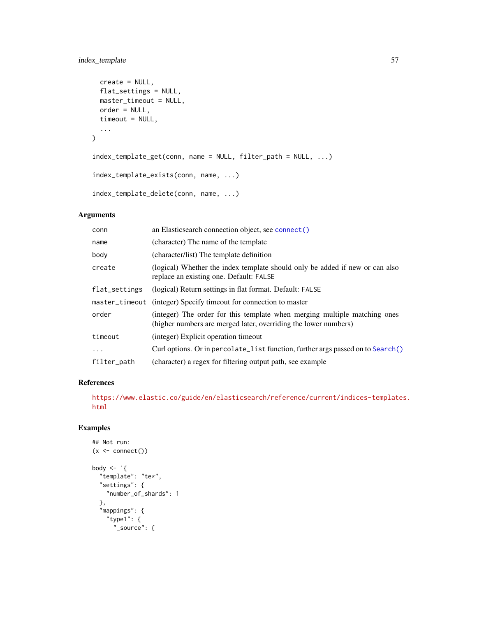### index\_template 57

```
create = NULL,
 flat_settings = NULL,
 master_timeout = NULL,
 order = NULL,
 timeout = NULL,
  ...
\mathcal{L}index_template_get(conn, name = NULL, filter_path = NULL, ...)
index_template_exists(conn, name, ...)
index_template_delete(conn, name, ...)
```
### Arguments

| conn           | an Elasticsearch connection object, see connect()                                                                                            |
|----------------|----------------------------------------------------------------------------------------------------------------------------------------------|
| name           | (character) The name of the template                                                                                                         |
| body           | (character/list) The template definition                                                                                                     |
| create         | (logical) Whether the index template should only be added if new or can also<br>replace an existing one. Default: FALSE                      |
| flat_settings  | (logical) Return settings in flat format. Default: FALSE                                                                                     |
| master_timeout | (integer) Specify timeout for connection to master                                                                                           |
| order          | (integer) The order for this template when merging multiple matching ones<br>(higher numbers are merged later, overriding the lower numbers) |
| timeout        | (integer) Explicit operation timeout                                                                                                         |
| $\ddots$       | Curl options. Or in percolate_list function, further args passed on to Search()                                                              |
| filter_path    | (character) a regex for filtering output path, see example                                                                                   |

### References

[https://www.elastic.co/guide/en/elasticsearch/reference/current/indices-template](https://www.elastic.co/guide/en/elasticsearch/reference/current/indices-templates.html)s. [html](https://www.elastic.co/guide/en/elasticsearch/reference/current/indices-templates.html)

```
## Not run:
(x < - \text{connect}())body \leq - '{
  "template": "te*",
  "settings": {
    "number_of_shards": 1
  },
  "mappings": {
    "type1": {
      "_source": {
```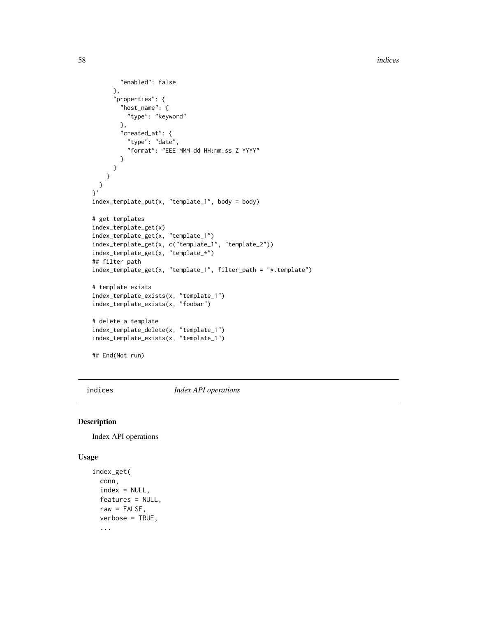```
"enabled": false
     },
      "properties": {
        "host_name": {
         "type": "keyword"
        },
        "created_at": {
          "type": "date",
          "format": "EEE MMM dd HH:mm:ss Z YYYY"
       }
     }
   }
  }
}'
index_template_put(x, "template_1", body = body)
# get templates
index_template_get(x)
index_template_get(x, "template_1")
index_template_get(x, c("template_1", "template_2"))
index_template_get(x, "template_*")
## filter path
index_template_get(x, "template_1", filter_path = "*.template")
# template exists
index_template_exists(x, "template_1")
index_template_exists(x, "foobar")
# delete a template
index_template_delete(x, "template_1")
index_template_exists(x, "template_1")
## End(Not run)
```
indices *Index API operations*

#### <span id="page-57-0"></span>Description

Index API operations

#### Usage

```
index_get(
  conn,
  index = NULL,
  features = NULL,
  raw = FALSE,verbose = TRUE,
  ...
```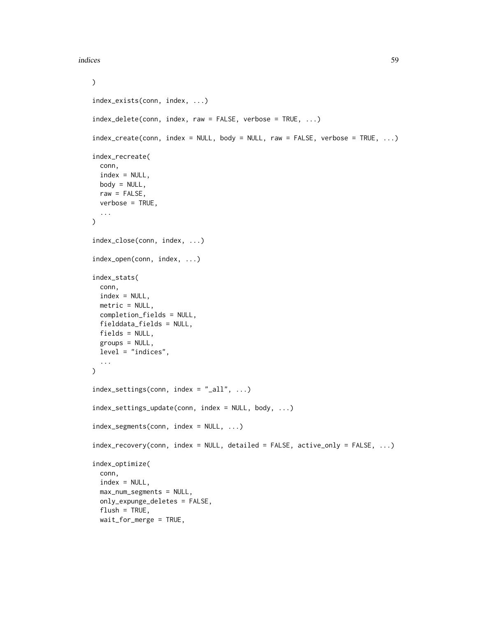```
\mathcal{L}index_exists(conn, index, ...)
index_delete(conn, index, raw = FALSE, verbose = TRUE, ...)
index\_create(conn, index = NULL, body = NULL, raw = FALSE, verbose = TRUE, ...)index_recreate(
 conn,
  index = NULL,
 body = NULL,raw = FALSE,verbose = TRUE,
  ...
)
index_close(conn, index, ...)
index_open(conn, index, ...)
index_stats(
 conn,
  index = NULL,metric = NULL,
 completion_fields = NULL,
  fielddata_fields = NULL,
 fields = NULL,
 groups = NULL,
 level = "indices",
  ...
)
index_settings(conn, index = "_{all}", ...)
index_settings_update(conn, index = NULL, body, ...)
index_segments(conn, index = NULL, ...)
index_recovery(conn, index = NULL, detailed = FALSE, active_only = FALSE, ...)
index_optimize(
 conn,
  index = NULL,max_num_segments = NULL,
  only_expunge_deletes = FALSE,
  flush = TRUE,wait_for_merge = TRUE,
```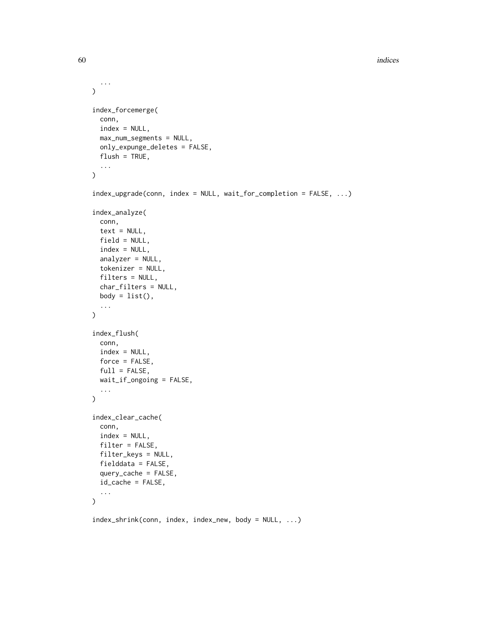```
...
\mathcal{L}index_forcemerge(
  conn,
  index = NULL,
 max_num_segments = NULL,
 only_expunge_deletes = FALSE,
  flush = TRUE,...
\mathcal{L}index_upgrade(conn, index = NULL, wait_for_completion = FALSE, ...)
index_analyze(
  conn,
  text = NULL,field = NULL,
  index = NULL,
  analyzer = NULL,
  tokenizer = NULL,
  filters = NULL,
  char_filters = NULL,
 body = list(),
  ...
)
index_flush(
 conn,
  index = NULL,force = FALSE,
 full = FALSE,wait_if_ongoing = FALSE,
  ...
\mathcal{L}index_clear_cache(
 conn,
  index = NULL,filter = FALSE,
  filter_keys = NULL,
  fielddata = FALSE,
  query_cache = FALSE,
  id_cache = FALSE,
  ...
)
index_shrink(conn, index, index_new, body = NULL, ...)
```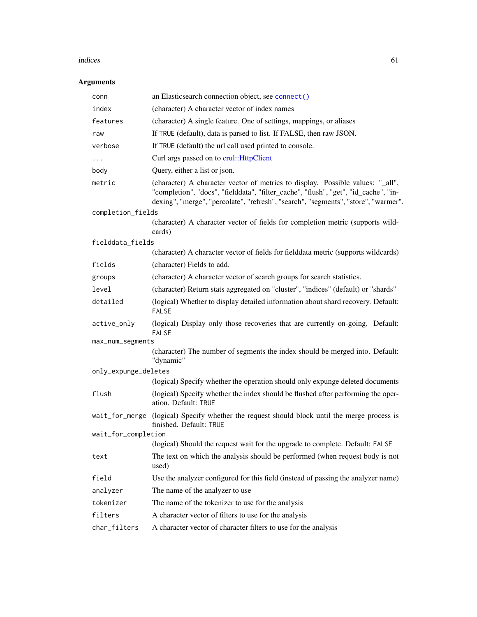#### indices 61

# Arguments

| conn                 | an Elasticsearch connection object, see connect()                                                                                                                                                                                                           |
|----------------------|-------------------------------------------------------------------------------------------------------------------------------------------------------------------------------------------------------------------------------------------------------------|
| index                | (character) A character vector of index names                                                                                                                                                                                                               |
| features             | (character) A single feature. One of settings, mappings, or aliases                                                                                                                                                                                         |
| raw                  | If TRUE (default), data is parsed to list. If FALSE, then raw JSON.                                                                                                                                                                                         |
| verbose              | If TRUE (default) the url call used printed to console.                                                                                                                                                                                                     |
| .                    | Curl args passed on to crul:: HttpClient                                                                                                                                                                                                                    |
| body                 | Query, either a list or json.                                                                                                                                                                                                                               |
| metric               | (character) A character vector of metrics to display. Possible values: "_all",<br>"completion", "docs", "fielddata", "filter_cache", "flush", "get", "id_cache", "in-<br>dexing", "merge", "percolate", "refresh", "search", "segments", "store", "warmer". |
| completion_fields    |                                                                                                                                                                                                                                                             |
|                      | (character) A character vector of fields for completion metric (supports wild-<br>cards)                                                                                                                                                                    |
| fielddata_fields     |                                                                                                                                                                                                                                                             |
|                      | (character) A character vector of fields for fielddata metric (supports wildcards)                                                                                                                                                                          |
| fields               | (character) Fields to add.                                                                                                                                                                                                                                  |
| groups               | (character) A character vector of search groups for search statistics.                                                                                                                                                                                      |
| level                | (character) Return stats aggregated on "cluster", "indices" (default) or "shards"                                                                                                                                                                           |
| detailed             | (logical) Whether to display detailed information about shard recovery. Default:<br><b>FALSE</b>                                                                                                                                                            |
| active_only          | (logical) Display only those recoveries that are currently on-going. Default:<br><b>FALSE</b>                                                                                                                                                               |
| max_num_segments     |                                                                                                                                                                                                                                                             |
|                      | (character) The number of segments the index should be merged into. Default:<br>"dynamic"                                                                                                                                                                   |
| only_expunge_deletes |                                                                                                                                                                                                                                                             |
|                      | (logical) Specify whether the operation should only expunge deleted documents                                                                                                                                                                               |
| flush                | (logical) Specify whether the index should be flushed after performing the oper-<br>ation. Default: TRUE                                                                                                                                                    |
| wait_for_merge       | (logical) Specify whether the request should block until the merge process is<br>finished. Default: TRUE                                                                                                                                                    |
| wait_for_completion  |                                                                                                                                                                                                                                                             |
|                      | (logical) Should the request wait for the upgrade to complete. Default: FALSE                                                                                                                                                                               |
| text                 | The text on which the analysis should be performed (when request body is not<br>used)                                                                                                                                                                       |
| field                | Use the analyzer configured for this field (instead of passing the analyzer name)                                                                                                                                                                           |
| analyzer             | The name of the analyzer to use                                                                                                                                                                                                                             |
| tokenizer            | The name of the tokenizer to use for the analysis                                                                                                                                                                                                           |
| filters              | A character vector of filters to use for the analysis                                                                                                                                                                                                       |
| char_filters         | A character vector of character filters to use for the analysis                                                                                                                                                                                             |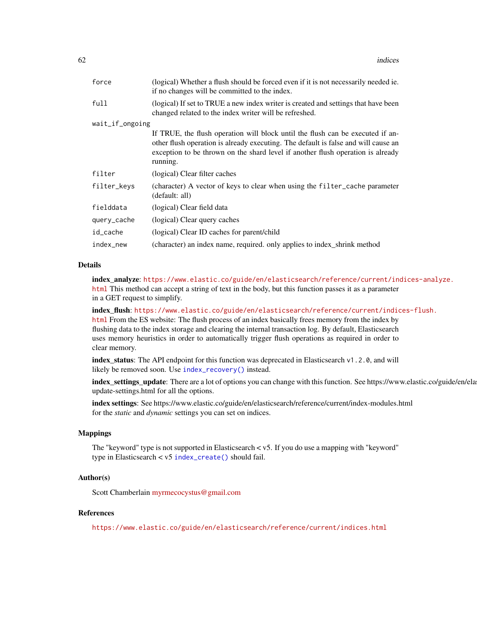| force           | (logical) Whether a flush should be forced even if it is not necessarily needed ie.<br>if no changes will be committed to the index.                                                                                                                                |  |
|-----------------|---------------------------------------------------------------------------------------------------------------------------------------------------------------------------------------------------------------------------------------------------------------------|--|
| full            | (logical) If set to TRUE a new index writer is created and settings that have been<br>changed related to the index writer will be refreshed.                                                                                                                        |  |
| wait_if_ongoing |                                                                                                                                                                                                                                                                     |  |
|                 | If TRUE, the flush operation will block until the flush can be executed if an-<br>other flush operation is already executing. The default is false and will cause an<br>exception to be thrown on the shard level if another flush operation is already<br>running. |  |
| filter          | (logical) Clear filter caches                                                                                                                                                                                                                                       |  |
| filter_keys     | (character) A vector of keys to clear when using the filter_cache parameter<br>(default: all)                                                                                                                                                                       |  |
| fielddata       | (logical) Clear field data                                                                                                                                                                                                                                          |  |
| query_cache     | (logical) Clear query caches                                                                                                                                                                                                                                        |  |
| id_cache        | (logical) Clear ID caches for parent/child                                                                                                                                                                                                                          |  |
| index_new       | (character) an index name, required. only applies to index_shrink method                                                                                                                                                                                            |  |
|                 |                                                                                                                                                                                                                                                                     |  |

#### Details

index\_analyze: [https://www.elastic.co/guide/en/elasticsearch/reference/current/in](https://www.elastic.co/guide/en/elasticsearch/reference/current/indices-analyze.html)dices-analyze. [html](https://www.elastic.co/guide/en/elasticsearch/reference/current/indices-analyze.html) This method can accept a string of text in the body, but this function passes it as a parameter in a GET request to simplify.

index\_flush: [https://www.elastic.co/guide/en/elasticsearch/reference/current/indic](https://www.elastic.co/guide/en/elasticsearch/reference/current/indices-flush.html)es-flush. [html](https://www.elastic.co/guide/en/elasticsearch/reference/current/indices-flush.html) From the ES website: The flush process of an index basically frees memory from the index by flushing data to the index storage and clearing the internal transaction log. By default, Elasticsearch uses memory heuristics in order to automatically trigger flush operations as required in order to clear memory.

index\_status: The API endpoint for this function was deprecated in Elasticsearch v1.2.0, and will likely be removed soon. Use [index\\_recovery\(\)](#page-57-0) instead.

index\_settings\_update: There are a lot of options you can change with this function. See https://www.elastic.co/guide/en/ela update-settings.html for all the options.

index settings: See https://www.elastic.co/guide/en/elasticsearch/reference/current/index-modules.html for the *static* and *dynamic* settings you can set on indices.

### Mappings

The "keyword" type is not supported in Elasticsearch < v5. If you do use a mapping with "keyword" type in Elasticsearch < v5 [index\\_create\(\)](#page-57-0) should fail.

### Author(s)

Scott Chamberlain [myrmecocystus@gmail.com](mailto:myrmecocystus@gmail.com)

### References

<https://www.elastic.co/guide/en/elasticsearch/reference/current/indices.html>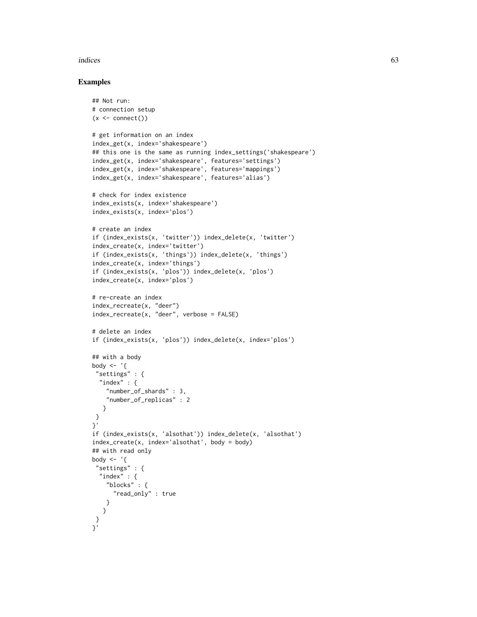#### indices 63

```
## Not run:
# connection setup
(x \leq connect())
# get information on an index
index_get(x, index='shakespeare')
## this one is the same as running index_settings('shakespeare')
index_get(x, index='shakespeare', features='settings')
index_get(x, index='shakespeare', features='mappings')
index_get(x, index='shakespeare', features='alias')
# check for index existence
index_exists(x, index='shakespeare')
index_exists(x, index='plos')
# create an index
if (index_exists(x, 'twitter')) index_delete(x, 'twitter')
index_create(x, index='twitter')
if (index_exists(x, 'things')) index_delete(x, 'things')
index_create(x, index='things')
if (index_exists(x, 'plos')) index_delete(x, 'plos')
index_create(x, index='plos')
# re-create an index
index_recreate(x, "deer")
index_recreate(x, "deer", verbose = FALSE)
# delete an index
if (index_exists(x, 'plos')) index_delete(x, index='plos')
## with a body
body \leftarrow '{
 "settings" : {
  "index" : <math>\{"number_of_shards" : 3,
    "number_of_replicas" : 2
   }
 }
}'
if (index_exists(x, 'alsothat')) index_delete(x, 'alsothat')
index_create(x, index='alsothat', body = body)
## with read only
body \leq - '{
 "settings" : {
  "index" : {
    "blocks" : {
      "read_only" : true
    }
   }
 }
}'
```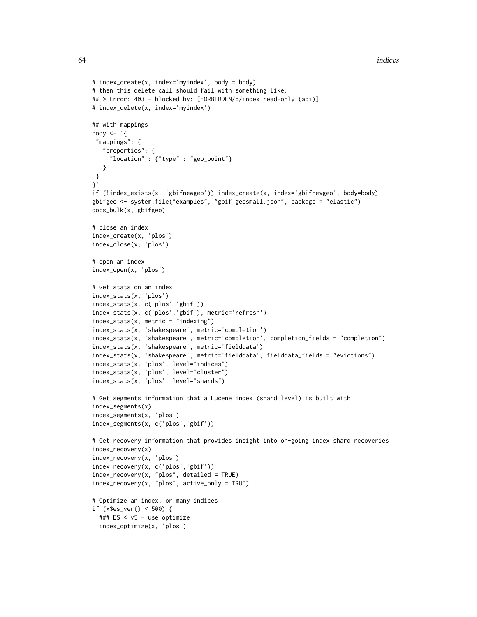```
# index_create(x, index='myindex', body = body)
# then this delete call should fail with something like:
## > Error: 403 - blocked by: [FORBIDDEN/5/index read-only (api)]
# index_delete(x, index='myindex')
## with mappings
body \leq - '{
 "mappings": {
   "properties": {
     "location" : {"type" : "geo_point"}
   }
 }
}'
if (!index_exists(x, 'gbifnewgeo')) index_create(x, index='gbifnewgeo', body=body)
gbifgeo <- system.file("examples", "gbif_geosmall.json", package = "elastic")
docs_bulk(x, gbifgeo)
# close an index
index_create(x, 'plos')
index_close(x, 'plos')
# open an index
index_open(x, 'plos')
# Get stats on an index
index_stats(x, 'plos')
index_stats(x, c('plos','gbif'))
index_stats(x, c('plos','gbif'), metric='refresh')
index_stats(x, metric = "indexing")
index_stats(x, 'shakespeare', metric='completion')
index_stats(x, 'shakespeare', metric='completion', completion_fields = "completion")
index_stats(x, 'shakespeare', metric='fielddata')
index_stats(x, 'shakespeare', metric='fielddata', fielddata_fields = "evictions")
index_stats(x, 'plos', level="indices")
index_stats(x, 'plos', level="cluster")
index_stats(x, 'plos', level="shards")
# Get segments information that a Lucene index (shard level) is built with
index_segments(x)
index_segments(x, 'plos')
index_segments(x, c('plos','gbif'))
# Get recovery information that provides insight into on-going index shard recoveries
index_recovery(x)
index_recovery(x, 'plos')
index_recovery(x, c('plos','gbif'))
index\_recovery(x, "plos", detailed = TRUE)index_recovery(x, "plos", active_only = TRUE)
# Optimize an index, or many indices
if (x$es_ver() < 500) {
  ### ES < v5 - use optimize
  index_optimize(x, 'plos')
```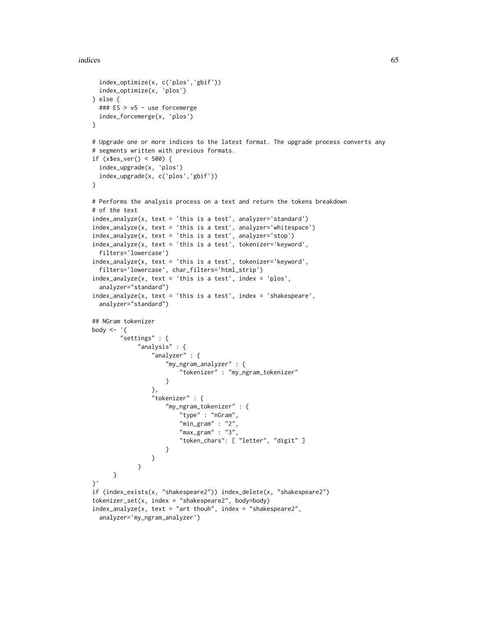#### indices 65

```
index_optimize(x, c('plos','gbif'))
 index_optimize(x, 'plos')
} else {
 ### ES > v5 - use forcemerge
 index_forcemerge(x, 'plos')
}
# Upgrade one or more indices to the latest format. The upgrade process converts any
# segments written with previous formats.
if (x$es_ver() < 500) {
 index_upgrade(x, 'plos')
 index_upgrade(x, c('plos','gbif'))
}
# Performs the analysis process on a text and return the tokens breakdown
# of the text
index_analyze(x, text = 'this is a test', analyzer='standard')
index_analyze(x, text = 'this is a test', analyzer='whitespace')
index_analyze(x, text = 'this is a test', analyzer='stop')
index_analyze(x, text = 'this is a test', tokenizer='keyword',
 filters='lowercase')
index_analyze(x, text = 'this is a test', tokenizer='keyword',
 filters='lowercase', char_filters='html_strip')
index_analyze(x, text = 'this is a test', index = 'plos',
 analyzer="standard")
index_analyze(x, text = 'this is a test', index = 'shakespeare',
 analyzer="standard")
## NGram tokenizer
body \leq - '{
        "settings" : {
             "analysis" : {
                 "analyzer" : {
                     "my_ngram_analyzer" : {
                         "tokenizer" : "my_ngram_tokenizer"
                     }
                 },
                 "tokenizer" : {
                     "my_ngram_tokenizer" : {
                         "type" : "nGram",
                         "min\_gram" :: "2""max_{gram" : "3","token_chars": [ "letter", "digit" ]
                     }
                 }
             }
     }
}'
if (index_exists(x, "shakespeare2")) index_delete(x, "shakespeare2")
tokenizer_set(x, index = "shakespeare2", body=body)
index_analyze(x, text = "art thouh", index = "shakespeare2",
 analyzer='my_ngram_analyzer')
```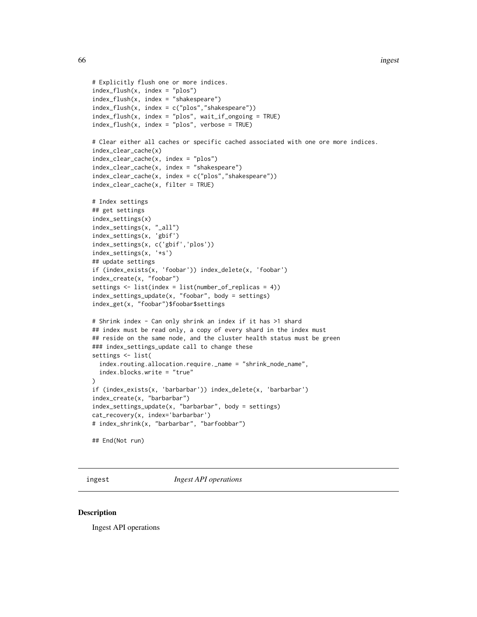```
# Explicitly flush one or more indices.
index_flush(x, index = "plos")
index_flush(x, index = "shakespeare")
index_flush(x, index = c("plos", "shakespeace"))index_flush(x, index = "plos", wait_if\_ongoing = TRUE)index_flush(x, index = "plos", verbose = TRUE)
# Clear either all caches or specific cached associated with one ore more indices.
index_clear_cache(x)
index_clear_cache(x, index = "plos")
index_clear_cache(x, index = "shakespeare")
index_clear_cache(x, index = c("plos","shakespeare"))
index_clear_cache(x, filter = TRUE)
# Index settings
## get settings
index_settings(x)
index_settings(x, "_all")
index_settings(x, 'gbif')
index_settings(x, c('gbif','plos'))
index_settings(x, '*s')
## update settings
if (index_exists(x, 'foobar')) index_delete(x, 'foobar')
index_create(x, "foobar")
settings <- list(index = list(number_of_replicas = 4))
index_settings_update(x, "foobar", body = settings)
index_get(x, "foobar")$foobar$settings
# Shrink index - Can only shrink an index if it has >1 shard
## index must be read only, a copy of every shard in the index must
## reside on the same node, and the cluster health status must be green
### index_settings_update call to change these
settings <- list(
 index.routing.allocation.require._name = "shrink_node_name",
 index.blocks.write = "true"
\lambdaif (index_exists(x, 'barbarbar')) index_delete(x, 'barbarbar')
index_create(x, "barbarbar")
index_settings_update(x, "barbarbar", body = settings)
cat_recovery(x, index='barbarbar')
# index_shrink(x, "barbarbar", "barfoobbar")
## End(Not run)
```
ingest *Ingest API operations*

#### **Description**

Ingest API operations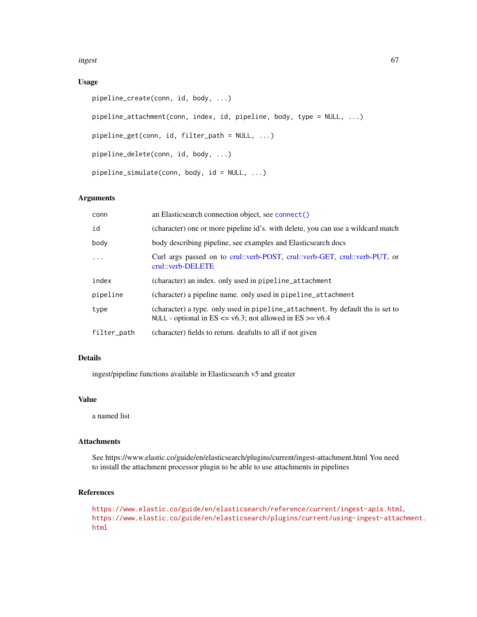ingest 67

### Usage

```
pipeline_create(conn, id, body, ...)
pipeline_attachment(conn, index, id, pipeline, body, type = NULL, ...)
pipeline_get(conn, id, filter_path = NULL, ...)
pipeline_delete(conn, id, body, ...)
pipeline_simulate(conn, body, id = NULL, ...)
```
### Arguments

| conn        | an Elasticsearch connection object, see connect()                                                                                                 |
|-------------|---------------------------------------------------------------------------------------------------------------------------------------------------|
| id          | (character) one or more pipeline id's, with delete, you can use a wildcard match                                                                  |
| body        | body describing pipeline, see examples and Elasticsearch docs                                                                                     |
| $\ddots$    | Curl args passed on to crul::verb-POST, crul::verb-GET, crul::verb-PUT, or<br>crul::verb-DELETE                                                   |
| index       | (character) an index. only used in pipeline_attachment                                                                                            |
| pipeline    | (character) a pipeline name, only used in pipeline_attachment                                                                                     |
| type        | (character) a type. only used in pipeline_attachment. by default ths is set to<br>NULL - optional in $ES \le v6.3$ ; not allowed in $ES \ge v6.4$ |
| filter_path | (character) fields to return, deafults to all if not given                                                                                        |
|             |                                                                                                                                                   |

#### Details

ingest/pipeline functions available in Elasticsearch v5 and greater

### Value

a named list

# Attachments

See https://www.elastic.co/guide/en/elasticsearch/plugins/current/ingest-attachment.html You need to install the attachment processor plugin to be able to use attachments in pipelines

### References

<https://www.elastic.co/guide/en/elasticsearch/reference/current/ingest-apis.html>, [https://www.elastic.co/guide/en/elasticsearch/plugins/current/using-ingest-attac](https://www.elastic.co/guide/en/elasticsearch/plugins/current/using-ingest-attachment.html)hment. [html](https://www.elastic.co/guide/en/elasticsearch/plugins/current/using-ingest-attachment.html)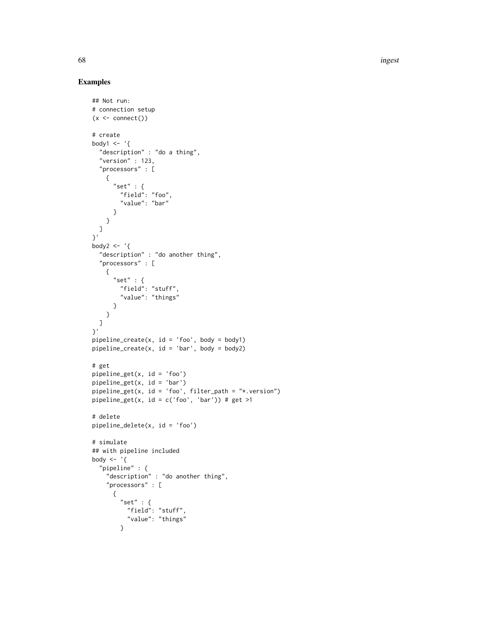68 ingest

```
## Not run:
# connection setup
(x < - \text{connect}())# create
body1 \leq - '{
  "description" : "do a thing",
  "version" : 123,
  "processors" : [
   {
      "set" : {
        "field": "foo",
        "value": "bar"
      }
    }
 ]
}'
body2 \leftarrow '{
  "description" : "do another thing",
  "processors" : [
    {
      "set" : \{"field": "stuff",
        "value": "things"
     }
    }
 ]
}'
pipeline\_create(x, id = 'foo', body = body1)pipeline\_create(x, id = 'bar', body = body2)# get
pipeline_get(x, id = 'foo')
pipeline_get(x, id = 'bar')
pipeline\_get(x, id = 'foo', filter\_path = "*.version")pipeline_get(x, id = c('foo', 'bar')) # get >1
# delete
pipeline_delete(x, id = 'foo')
# simulate
## with pipeline included
body \leq - '{
  "pipeline" : {
    "description" : "do another thing",
    "processors" : [
      {
       "set" : {\}"field": "stuff",
          "value": "things"
        }
```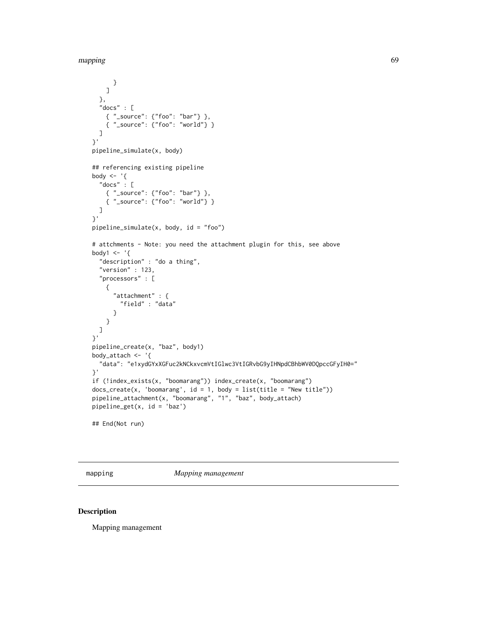mapping 69

```
}
   ]
  },
  "docs" : [
   { "_source": {"foo": "bar"} },
   { "_source": {"foo": "world"} }
  ]
}'
pipeline_simulate(x, body)
## referencing existing pipeline
body \leq - '{
  "docs" : [
   { "_source": {"foo": "bar"} },
    { "_source": {"foo": "world"} }
 ]
}'
pipeline_simulate(x, body, id = "foo")
# attchments - Note: you need the attachment plugin for this, see above
body1 <- '{
  "description" : "do a thing",
  "version" : 123,
  "processors" : [
    {
      "attachment" : {
        "field" : "data"
      }
   }
 ]
}'
pipeline_create(x, "baz", body1)
body_attach <- '{
  "data": "e1xydGYxXGFuc2kNCkxvcmVtIGlwc3VtIGRvbG9yIHNpdCBhbWV0DQpccGFyIH0="
}'
if (!index_exists(x, "boomarang")) index_create(x, "boomarang")
docs\_create(x, 'boomarang', id = 1, body = list(title = "New title"))pipeline_attachment(x, "boomarang", "1", "baz", body_attach)
pipeline_get(x, id = 'baz')
## End(Not run)
```
mapping *Mapping management*

#### Description

Mapping management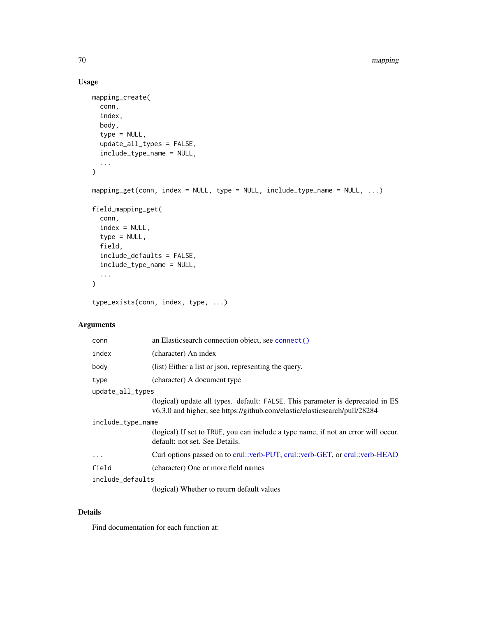# Usage

```
mapping_create(
 conn,
  index,
 body,
  type = NULL,
 update_all_types = FALSE,
  include_type_name = NULL,
  ...
\mathcal{L}mapping_get(conn, index = NULL, type = NULL, include_type_name = NULL, \dots)
field_mapping_get(
 conn,
  index = NULL,
  type = NULL,
  field,
 include_defaults = FALSE,
 include_type_name = NULL,
  ...
\mathcal{L}type_exists(conn, index, type, ...)
```
# Arguments

| conn              | an Elasticsearch connection object, see connect()                                                                                                            |  |
|-------------------|--------------------------------------------------------------------------------------------------------------------------------------------------------------|--|
| index             | (character) An index                                                                                                                                         |  |
| body              | (list) Either a list or json, representing the query.                                                                                                        |  |
| type              | (character) A document type                                                                                                                                  |  |
| update_all_types  |                                                                                                                                                              |  |
|                   | (logical) update all types. default: FALSE. This parameter is deprecated in ES<br>v6.3.0 and higher, see https://github.com/elastic/elasticsearch/pull/28284 |  |
| include_type_name |                                                                                                                                                              |  |
|                   | (logical) If set to TRUE, you can include a type name, if not an error will occur.<br>default: not set. See Details.                                         |  |
| $\cdot$           | Curl options passed on to crul::verb-PUT, crul::verb-GET, or crul::verb-HEAD                                                                                 |  |
| field             | (character) One or more field names                                                                                                                          |  |
| include_defaults  |                                                                                                                                                              |  |
|                   | (logical) Whether to return default values                                                                                                                   |  |

### Details

Find documentation for each function at: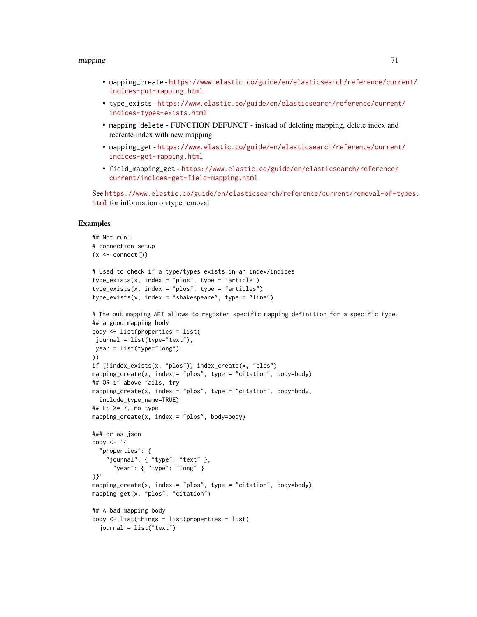#### mapping 21 and 2012 12:00 the contract of the contract of the contract of the contract of the contract of the contract of the contract of the contract of the contract of the contract of the contract of the contract of the

- mapping\_create [https://www.elastic.co/guide/en/elasticsearch/reference/curr](https://www.elastic.co/guide/en/elasticsearch/reference/current/indices-put-mapping.html)ent/ [indices-put-mapping.html](https://www.elastic.co/guide/en/elasticsearch/reference/current/indices-put-mapping.html)
- type\_exists [https://www.elastic.co/guide/en/elasticsearch/reference/current](https://www.elastic.co/guide/en/elasticsearch/reference/current/indices-types-exists.html)/ [indices-types-exists.html](https://www.elastic.co/guide/en/elasticsearch/reference/current/indices-types-exists.html)
- mapping\_delete FUNCTION DEFUNCT instead of deleting mapping, delete index and recreate index with new mapping
- mapping\_get [https://www.elastic.co/guide/en/elasticsearch/reference/current](https://www.elastic.co/guide/en/elasticsearch/reference/current/indices-get-mapping.html)/ [indices-get-mapping.html](https://www.elastic.co/guide/en/elasticsearch/reference/current/indices-get-mapping.html)
- field\_mapping\_get [https://www.elastic.co/guide/en/elasticsearch/reference/](https://www.elastic.co/guide/en/elasticsearch/reference/current/indices-get-field-mapping.html) [current/indices-get-field-mapping.html](https://www.elastic.co/guide/en/elasticsearch/reference/current/indices-get-field-mapping.html)

See [https://www.elastic.co/guide/en/elasticsearch/reference/current/removal-of-t](https://www.elastic.co/guide/en/elasticsearch/reference/current/removal-of-types.html)ypes. [html](https://www.elastic.co/guide/en/elasticsearch/reference/current/removal-of-types.html) for information on type removal

```
## Not run:
# connection setup
(x \leq connect())
# Used to check if a type/types exists in an index/indices
type_exists(x, index = "plos", type = "article")
type\_exists(x, index = "plos", type = "articles")type\_exists(x, index = "shakespeace", type = "line")# The put mapping API allows to register specific mapping definition for a specific type.
## a good mapping body
body <- list(properties = list(
 journal = list(type="text"),
year = list(type="long")
))
if (!index_exists(x, "plos")) index_create(x, "plos")
mapping_create(x, index = "plos", type = "citation", body=body)
## OR if above fails, try
mapping_create(x, index = "plos", type = "citation", body=body,
  include_type_name=TRUE)
## ES >= 7, no type
mapping_create(x, index = "plos", body=body)
### or as json
body \leq - '{
  "properties": {
    "journal": { "type": "text" },
      "year": { "type": "long" }
}}'
mapping_create(x, index = "plos", type = "citation", body=body)
mapping_get(x, "plos", "citation")
## A bad mapping body
body <- list(things = list(properties = list(
  journal = list("text")
```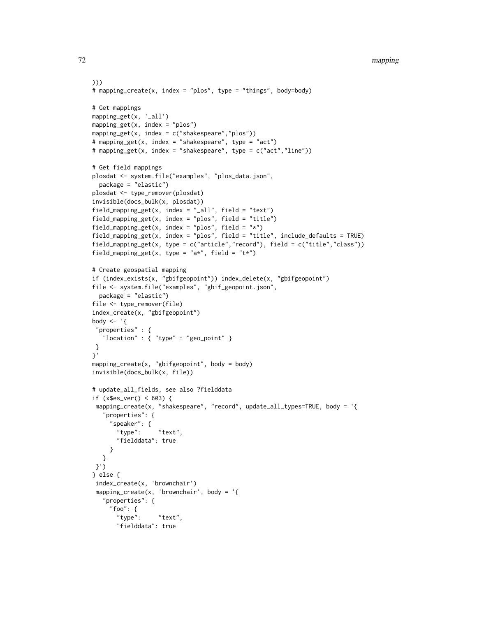```
)))
# mapping_create(x, index = "plos", type = "things", body=body)
# Get mappings
mapping_get(x, '_all')
mapping_get(x, index = "plos")
mapping_get(x, index = c("shakespeace", "plos"))# mapping_get(x, index = "shakespeare", type = "act")
# mapping_get(x, index = "shakespeare", type = c("act","line"))
# Get field mappings
plosdat <- system.file("examples", "plos_data.json",
  package = "elastic")
plosdat <- type_remover(plosdat)
invisible(docs_bulk(x, plosdat))
field_mapping_get(x, index = "_all", field = "text")
field_mapping_get(x, index = "plos", field = "title")
field_mapping_get(x, index = "plos", field = "*")
field_mapping_get(x, index = "plos", field = "title", include_defaults = TRUE)
field_mapping_get(x, type = c("article","record"), field = c("title","class"))
field_mapping_get(x, type = "a*", field = "t*")
# Create geospatial mapping
if (index_exists(x, "gbifgeopoint")) index_delete(x, "gbifgeopoint")
file <- system.file("examples", "gbif_geopoint.json",
  package = "elastic")
file <- type_remover(file)
index_create(x, "gbifgeopoint")
body <- '{
 "properties" : {
   "location" : { "type" : "geo_point" }
}
}'
mapping_create(x, "gbifgeopoint", body = body)
invisible(docs_bulk(x, file))
# update_all_fields, see also ?fielddata
if (x$es_ver() < 603) {
 mapping_create(x, "shakespeare", "record", update_all_types=TRUE, body = '{
   "properties": {
     "speaker": {
       "type": "text",
       "fielddata": true
     }
   }
 }')
} else {
 index_create(x, 'brownchair')
 mapping_create(x, 'brownchair', body = \lceil \cdot \rceil"properties": {
     "foo": {
       "type": "text",
       "fielddata": true
```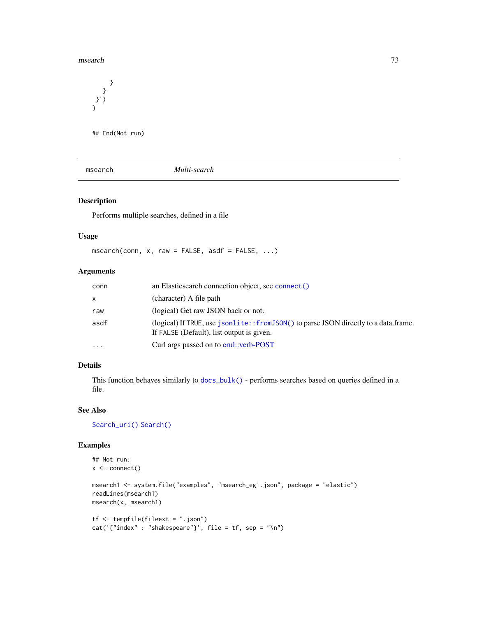#### msearch 73

} } }') } ## End(Not run)

msearch *Multi-search*

# Description

Performs multiple searches, defined in a file

## Usage

msearch(conn,  $x$ , raw = FALSE, asdf = FALSE, ...)

# Arguments

| conn      | an Elasticsearch connection object, see connect ()                                                                                 |
|-----------|------------------------------------------------------------------------------------------------------------------------------------|
| X         | (character) A file path                                                                                                            |
| raw       | (logical) Get raw JSON back or not.                                                                                                |
| asdf      | (logical) If TRUE, use jsonlite:: from JSON() to parse JSON directly to a data.frame.<br>If FALSE (Default), list output is given. |
| $\ddotsc$ | Curl args passed on to crul: verb-POST                                                                                             |

# Details

This function behaves similarly to [docs\\_bulk\(\)](#page-17-0) - performs searches based on queries defined in a file.

# See Also

[Search\\_uri\(\)](#page-116-0) [Search\(\)](#page-91-0)

```
## Not run:
x \leftarrow \text{connect}()msearch1 <- system.file("examples", "msearch_eg1.json", package = "elastic")
readLines(msearch1)
msearch(x, msearch1)
tf <- tempfile(fileext = ".json")
cat('{"index" : "shakespeace"}', file = tf, sep = "\n")
```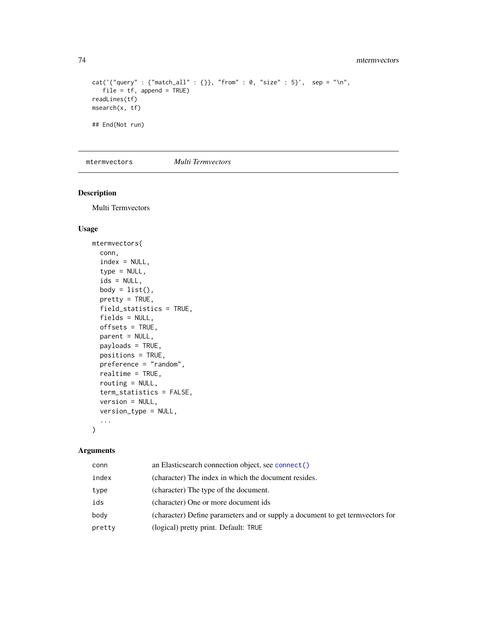```
cat('{'query" : {'match_all" : {'}}, "from" : 0, "size" : 5}', step = "\\n",file = tf, append = TRUE)readLines(tf)
msearch(x, tf)
## End(Not run)
```
mtermvectors *Multi Termvectors*

#### Description

Multi Termvectors

## Usage

```
mtermvectors(
  conn,
  index = NULL,type = NULL,
  ids = NULL,
 body = list(),
 pretty = TRUE,
  field_statistics = TRUE,
  fields = NULL,
 offsets = TRUE,
 parent = NULL,
 payloads = TRUE,
 positions = TRUE,
 preference = "random",
  realtime = TRUE,
 routing = NULL,
  term_statistics = FALSE,
  version = NULL,
  version_type = NULL,
  ...
\mathcal{L}
```
# Arguments

| conn   | an Elasticsearch connection object, see connect ()                            |
|--------|-------------------------------------------------------------------------------|
| index  | (character) The index in which the document resides.                          |
| type   | (character) The type of the document.                                         |
| ids    | (character) One or more document ids                                          |
| body   | (character) Define parameters and or supply a document to get termvectors for |
| pretty | (logical) pretty print. Default: TRUE                                         |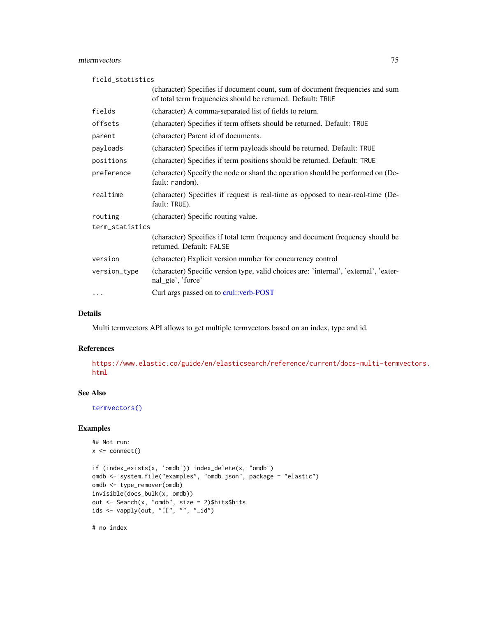## mtermvectors 75

field\_statistics

|                 | (character) Specifies if document count, sum of document frequencies and sum<br>of total term frequencies should be returned. Default: TRUE |
|-----------------|---------------------------------------------------------------------------------------------------------------------------------------------|
| fields          | (character) A comma-separated list of fields to return.                                                                                     |
| offsets         | (character) Specifies if term offsets should be returned. Default: TRUE                                                                     |
| parent          | (character) Parent id of documents.                                                                                                         |
| payloads        | (character) Specifies if term payloads should be returned. Default: TRUE                                                                    |
| positions       | (character) Specifies if term positions should be returned. Default: TRUE                                                                   |
| preference      | (character) Specify the node or shard the operation should be performed on (De-<br>fault: random).                                          |
| realtime        | (character) Specifies if request is real-time as opposed to near-real-time (De-<br>fault: TRUE).                                            |
| routing         | (character) Specific routing value.                                                                                                         |
| term_statistics |                                                                                                                                             |
|                 | (character) Specifies if total term frequency and document frequency should be<br>returned. Default: FALSE                                  |
| version         | (character) Explicit version number for concurrency control                                                                                 |
| version_type    | (character) Specific version type, valid choices are: 'internal', 'external', 'exter-<br>nal_gte', 'force'                                  |
| $\ddotsc$       | Curl args passed on to crul::verb-POST                                                                                                      |

# Details

Multi termvectors API allows to get multiple termvectors based on an index, type and id.

#### References

[https://www.elastic.co/guide/en/elasticsearch/reference/current/docs-multi-termv](https://www.elastic.co/guide/en/elasticsearch/reference/current/docs-multi-termvectors.html)ectors. [html](https://www.elastic.co/guide/en/elasticsearch/reference/current/docs-multi-termvectors.html)

## See Also

[termvectors\(\)](#page-122-0)

## Examples

```
## Not run:
x <- connect()
if (index_exists(x, 'omdb')) index_delete(x, "omdb")
omdb <- system.file("examples", "omdb.json", package = "elastic")
omdb <- type_remover(omdb)
invisible(docs_bulk(x, omdb))
out <- Search(x, "omdb", size = 2)$hits$hits
ids \leq vapply(out, "[[", "", "_id")
```
# no index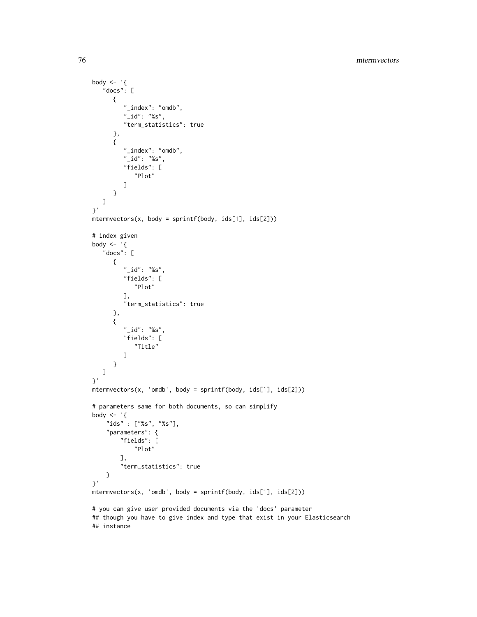```
body \leq - '{
   "docs": [
      {
         "_index": "omdb",
         "_id": "%s",
         "term_statistics": true
      },
      {
         "_index": "omdb",
         "_id": "%s",
         "fields": [
            "Plot"
         ]
      }
  ]
}'
mtermvectors(x, body = sprintf(body, ids[1], ids[2]))
# index given
body \leq - '{
   "docs": [
      {
         "_id": "%s",
         "fields": [
           "Plot"
         ],
         "term_statistics": true
      },
      {
         "_id": "%s",
         "fields": [
            "Title"
         ]
      }
  ]
}'
mtermvectors(x, 'omdb', body = sprintf(body, ids[1], ids[2]))
# parameters same for both documents, so can simplify
body \leq - '{
    "ids" : ["%s", "%s"],
    "parameters": {
        "fields": [
            "Plot"
        ],
        "term_statistics": true
    }
}'
mtermvectors(x, 'omdb', body = sprintf(body, ids[1], ids[2]))
# you can give user provided documents via the 'docs' parameter
## though you have to give index and type that exist in your Elasticsearch
## instance
```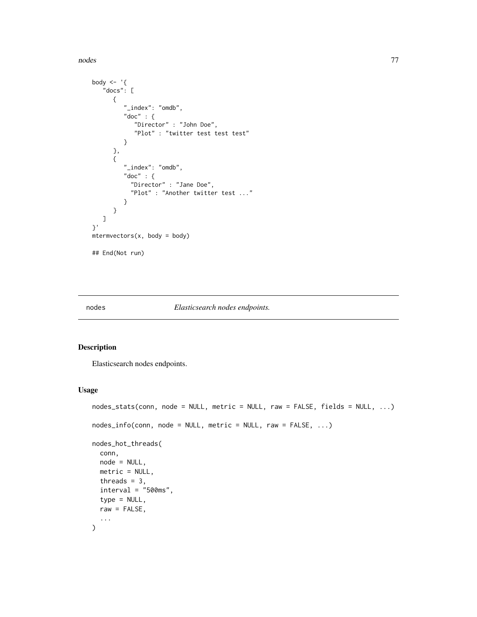nodes and the state of the state of the state of the state of the state of the state of the state of the state of the state of the state of the state of the state of the state of the state of the state of the state of the

```
body \leftarrow '{
   "docs": [
      {
         "_index": "omdb",
         "doc" : {"Director" : "John Doe",
            "Plot" : "twitter test test test"
         }
      },
      {
         "_index": "omdb",
         "doc" : {
           "Director" : "Jane Doe",
           "Plot" : "Another twitter test ..."
         }
      }
   ]
}'
metemvectors(x, body = body)## End(Not run)
```
#### nodes *Elasticsearch nodes endpoints.*

# <span id="page-76-0"></span>Description

Elasticsearch nodes endpoints.

#### Usage

```
nodes_stats(conn, node = NULL, metric = NULL, raw = FALSE, fields = NULL, ...)
nodes_info(conn, node = NULL, metric = NULL, raw = FALSE, ...)
nodes_hot_threads(
 conn,
 node = NULL,
 metric = NULL,
 threads = 3,
 interval = "500ms",type = NULL,
 raw = FALSE,...
)
```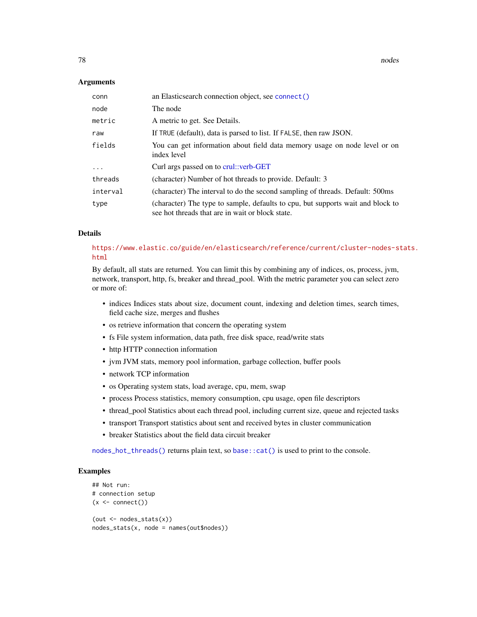**78** nodes and the contract of the contract of the contract of the contract of the contract of the contract of the contract of the contract of the contract of the contract of the contract of the contract of the contract of

#### Arguments

| conn     | an Elasticsearch connection object, see connect()                                                                                   |
|----------|-------------------------------------------------------------------------------------------------------------------------------------|
| node     | The node                                                                                                                            |
| metric   | A metric to get. See Details.                                                                                                       |
| raw      | If TRUE (default), data is parsed to list. If FALSE, then raw JSON.                                                                 |
| fields   | You can get information about field data memory usage on node level or on<br>index level                                            |
| $\ddots$ | Curl args passed on to crul::verb-GET                                                                                               |
| threads  | (character) Number of hot threads to provide. Default: 3                                                                            |
| interval | (character) The interval to do the second sampling of threads. Default: 500ms                                                       |
| type     | (character) The type to sample, defaults to cpu, but supports wait and block to<br>see hot threads that are in wait or block state. |

## Details

# [https://www.elastic.co/guide/en/elasticsearch/reference/current/cluster-nodes-st](https://www.elastic.co/guide/en/elasticsearch/reference/current/cluster-nodes-stats.html)ats. [html](https://www.elastic.co/guide/en/elasticsearch/reference/current/cluster-nodes-stats.html)

By default, all stats are returned. You can limit this by combining any of indices, os, process, jvm, network, transport, http, fs, breaker and thread\_pool. With the metric parameter you can select zero or more of:

- indices Indices stats about size, document count, indexing and deletion times, search times, field cache size, merges and flushes
- os retrieve information that concern the operating system
- fs File system information, data path, free disk space, read/write stats
- http HTTP connection information
- jvm JVM stats, memory pool information, garbage collection, buffer pools
- network TCP information
- os Operating system stats, load average, cpu, mem, swap
- process Process statistics, memory consumption, cpu usage, open file descriptors
- thread\_pool Statistics about each thread pool, including current size, queue and rejected tasks
- transport Transport statistics about sent and received bytes in cluster communication
- breaker Statistics about the field data circuit breaker

[nodes\\_hot\\_threads\(\)](#page-76-0) returns plain text, so [base::cat\(\)](#page-0-0) is used to print to the console.

```
## Not run:
# connection setup
(x \leq \text{connect}())(out < - nodes\_stats(x))nodes_stats(x, node = names(out$nodes))
```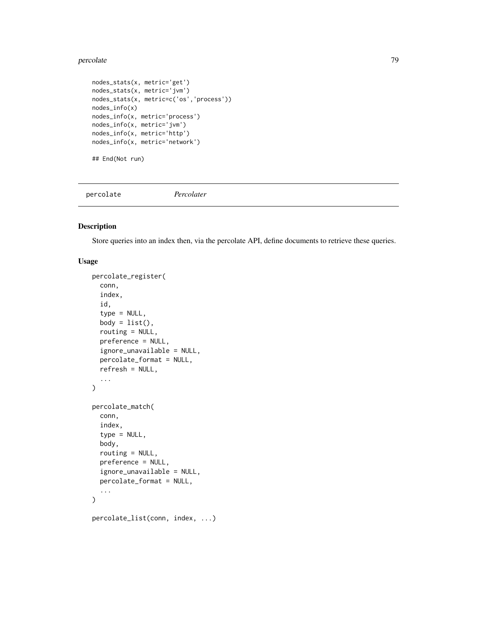#### percolate the contract of the contract of the contract of the contract of the contract of the contract of the contract of the contract of the contract of the contract of the contract of the contract of the contract of the

```
nodes_stats(x, metric='get')
nodes_stats(x, metric='jvm')
nodes_stats(x, metric=c('os','process'))
nodes_info(x)
nodes_info(x, metric='process')
nodes_info(x, metric='jvm')
nodes_info(x, metric='http')
nodes_info(x, metric='network')
## End(Not run)
```
percolate *Percolater*

## Description

Store queries into an index then, via the percolate API, define documents to retrieve these queries.

## Usage

```
percolate_register(
  conn,
  index,
  id,
  type = NULL,
  body = list(),
  routing = NULL,
  preference = NULL,
  ignore_unavailable = NULL,
  percolate_format = NULL,
  refresh = NULL,
  ...
)
percolate_match(
  conn,
  index,
  type = NULL,
  body,
  routing = NULL,
 preference = NULL,
  ignore_unavailable = NULL,
  percolate_format = NULL,
  ...
\mathcal{L}percolate_list(conn, index, ...)
```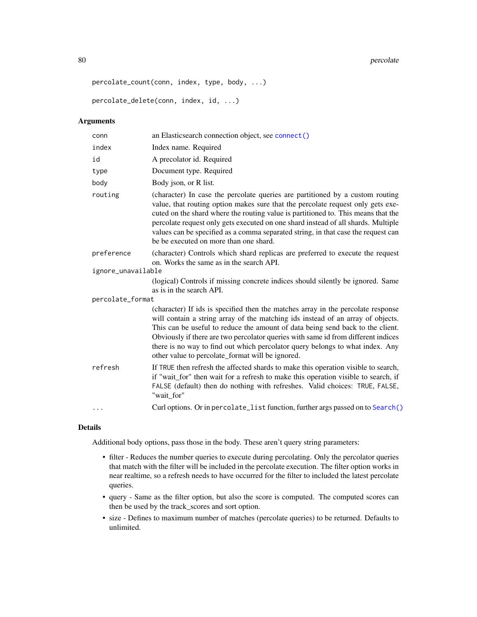#### 80 percolate that the second series of the series of the series of the series of the series of the series of the series of the series of the series of the series of the series of the series of the series of the series of t

```
percolate_count(conn, index, type, body, ...)
```
percolate\_delete(conn, index, id, ...)

## Arguments

| conn               | an Elasticsearch connection object, see connect()                                                                                                                                                                                                                                                                                                                                                                                                                               |
|--------------------|---------------------------------------------------------------------------------------------------------------------------------------------------------------------------------------------------------------------------------------------------------------------------------------------------------------------------------------------------------------------------------------------------------------------------------------------------------------------------------|
| index              | Index name. Required                                                                                                                                                                                                                                                                                                                                                                                                                                                            |
| id                 | A precolator id. Required                                                                                                                                                                                                                                                                                                                                                                                                                                                       |
| type               | Document type. Required                                                                                                                                                                                                                                                                                                                                                                                                                                                         |
| body               | Body json, or R list.                                                                                                                                                                                                                                                                                                                                                                                                                                                           |
| routing            | (character) In case the percolate queries are partitioned by a custom routing<br>value, that routing option makes sure that the percolate request only gets exe-<br>cuted on the shard where the routing value is partitioned to. This means that the<br>percolate request only gets executed on one shard instead of all shards. Multiple<br>values can be specified as a comma separated string, in that case the request can<br>be be executed on more than one shard.       |
| preference         | (character) Controls which shard replicas are preferred to execute the request<br>on. Works the same as in the search API.                                                                                                                                                                                                                                                                                                                                                      |
| ignore_unavailable |                                                                                                                                                                                                                                                                                                                                                                                                                                                                                 |
|                    | (logical) Controls if missing concrete indices should silently be ignored. Same<br>as is in the search API.                                                                                                                                                                                                                                                                                                                                                                     |
| percolate_format   |                                                                                                                                                                                                                                                                                                                                                                                                                                                                                 |
|                    | (character) If ids is specified then the matches array in the percolate response<br>will contain a string array of the matching ids instead of an array of objects.<br>This can be useful to reduce the amount of data being send back to the client.<br>Obviously if there are two percolator queries with same id from different indices<br>there is no way to find out which percolator query belongs to what index. Any<br>other value to percolate_format will be ignored. |
| refresh            | If TRUE then refresh the affected shards to make this operation visible to search,<br>if "wait_for" then wait for a refresh to make this operation visible to search, if<br>FALSE (default) then do nothing with refreshes. Valid choices: TRUE, FALSE,<br>"wait for"                                                                                                                                                                                                           |
| .                  | Curl options. Or in percolate_list function, further args passed on to Search()                                                                                                                                                                                                                                                                                                                                                                                                 |

#### Details

Additional body options, pass those in the body. These aren't query string parameters:

- filter Reduces the number queries to execute during percolating. Only the percolator queries that match with the filter will be included in the percolate execution. The filter option works in near realtime, so a refresh needs to have occurred for the filter to included the latest percolate queries.
- query Same as the filter option, but also the score is computed. The computed scores can then be used by the track\_scores and sort option.
- size Defines to maximum number of matches (percolate queries) to be returned. Defaults to unlimited.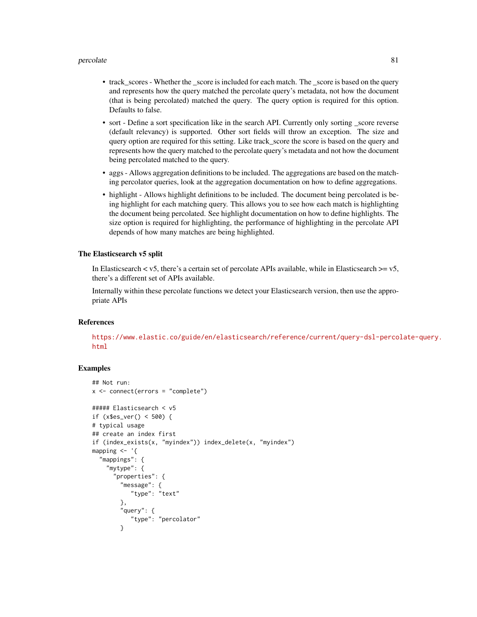#### percolate 81

- track\_scores Whether the \_score is included for each match. The \_score is based on the query and represents how the query matched the percolate query's metadata, not how the document (that is being percolated) matched the query. The query option is required for this option. Defaults to false.
- sort Define a sort specification like in the search API. Currently only sorting \_score reverse (default relevancy) is supported. Other sort fields will throw an exception. The size and query option are required for this setting. Like track\_score the score is based on the query and represents how the query matched to the percolate query's metadata and not how the document being percolated matched to the query.
- aggs Allows aggregation definitions to be included. The aggregations are based on the matching percolator queries, look at the aggregation documentation on how to define aggregations.
- highlight Allows highlight definitions to be included. The document being percolated is being highlight for each matching query. This allows you to see how each match is highlighting the document being percolated. See highlight documentation on how to define highlights. The size option is required for highlighting, the performance of highlighting in the percolate API depends of how many matches are being highlighted.

#### The Elasticsearch v5 split

In Elasticsearch  $\lt v$ 5, there's a certain set of percolate APIs available, while in Elasticsearch  $\gt=v$ 5, there's a different set of APIs available.

Internally within these percolate functions we detect your Elasticsearch version, then use the appropriate APIs

#### References

[https://www.elastic.co/guide/en/elasticsearch/reference/current/query-dsl-percol](https://www.elastic.co/guide/en/elasticsearch/reference/current/query-dsl-percolate-query.html)ate-query. [html](https://www.elastic.co/guide/en/elasticsearch/reference/current/query-dsl-percolate-query.html)

```
## Not run:
x \le - connect(errors = "complete")
##### Elasticsearch < v5
if (x$es_ver() < 500) {
# typical usage
## create an index first
if (index_exists(x, "myindex")) index_delete(x, "myindex")
mapping <- '{
  "mappings": {
    "mytype": {
      "properties": {
        "message": {
           "type": "text"
       },
        "query": {
           "type": "percolator"
        }
```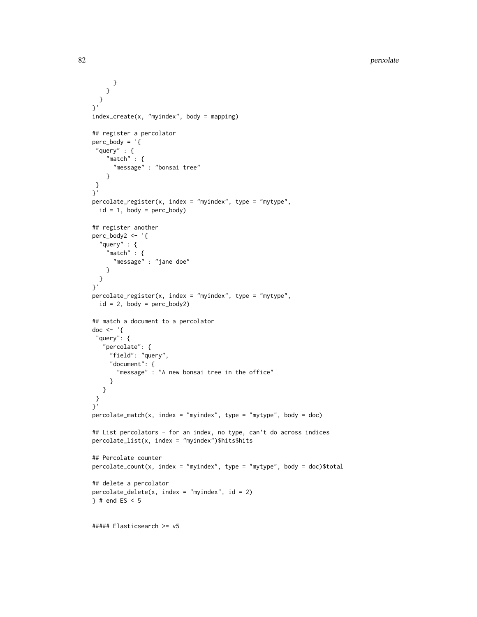```
}
   }
  }
}'
index_create(x, "myindex", body = mapping)
## register a percolator
perc\_body = '{}"query" : {
    "match" : {
     "message" : "bonsai tree"
    }
}
}'
percolate_register(x, index = "myindex", type = "mytype",
 id = 1, body = perc\_body)
## register another
perc_body2 <- '{
  "query" : {
    "match" : \{"message" : "jane doe"
   }
 }
}'
percolate_register(x, index = "myindex", type = "mytype",
 id = 2, body = perc_body2)
## match a document to a percolator
doc \leftarrow '{
 "query": {
   "percolate": {
    "field": "query",
     "document": {
       "message" : "A new bonsai tree in the office"
     }
  }
 }
}'
percolate_matrix(x, index = "myindex", type = "mytype", body = doc)## List percolators - for an index, no type, can't do across indices
percolate_list(x, index = "myindex")$hits$hits
## Percolate counter
percolate_count(x, index = "myindex", type = "mytype", body = doc)$total
## delete a percolator
percolate\_delete(x, index = "myindex", id = 2)} # end ES < 5
##### Elasticsearch >= v5
```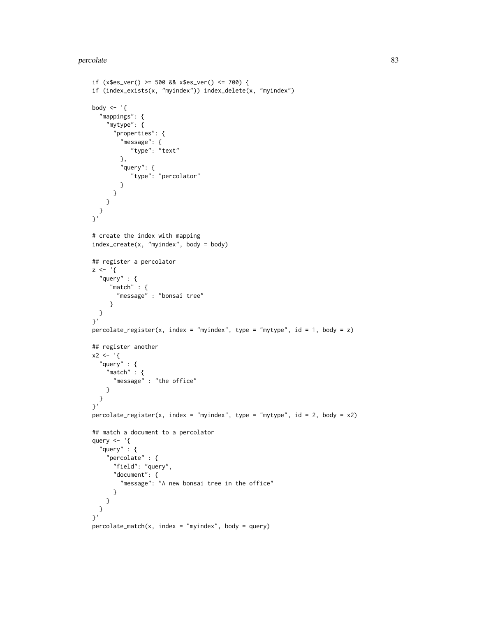#### percolate 83

```
if (x$es_ver() >= 500 && x$es_ver() <= 700) {
if (index_exists(x, "myindex")) index_delete(x, "myindex")
body \leq - '{
  "mappings": {
   "mytype": {
      "properties": {
        "message": {
           "type": "text"
        },
        "query": {
           "type": "percolator"
        }
     }
   }
  }
}'
# create the index with mapping
index\_create(x, "myindex", body = body)## register a percolator
z \leftarrow '"query" : {
     "match" : {
       "message" : "bonsai tree"
     }
 }
}'
percolate_register(x, index = "myindex", type = "mytype", id = 1, body = z)
## register another
x^2 < - '{
  "query" : {
    "match" : {
     "message" : "the office"
   }
 }
}'
percolate\_register(x, index = "myindex", type = "mytype", id = 2, body = x2)## match a document to a percolator
query <- '{
  "query" : {
    "percolate" : {
      "field": "query",
      "document": {
        "message": "A new bonsai tree in the office"
      }
   }
 }
}'
percolate_matrix(x, index = "myindex", body = query)
```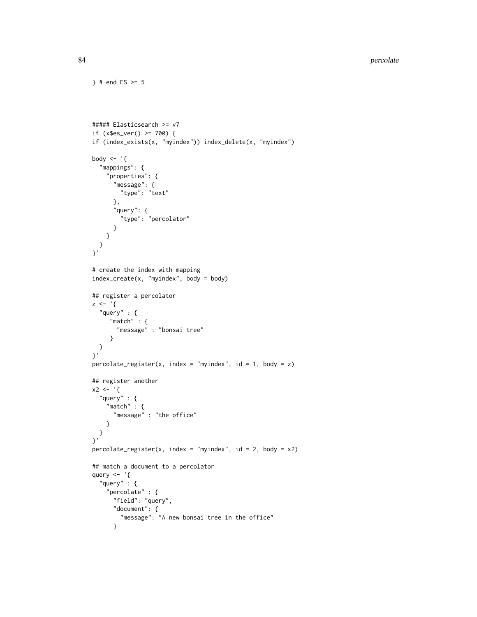```
##### Elasticsearch >= v7
if (x$es_ver() >= 700) {
if (index_exists(x, "myindex")) index_delete(x, "myindex")
body \leq - '{
  "mappings": {
    "properties": {
      "message": {
        "type": "text"
     },
      "query": {
       "type": "percolator"
      }
   }
 }
}'
# create the index with mapping
index_create(x, "myindex", body = body)
## register a percolator
z \le - '{
  "query" : {
    "match" : {
      "message" : "bonsai tree"
    }
 }
}'
percolate\_register(x, index = "myindex", id = 1, body = z)## register another
x2 < - '{
  "query" : {
    "match" : {
     "message" : "the office"
    }
 }
}'
percolate\_register(x, index = "myindex", id = 2, body = x2)## match a document to a percolator
query <- '{
  "query" : {
    "percolate" : {
      "field": "query",
      "document": {
       "message": "A new bonsai tree in the office"
      }
```
} # end ES  $> = 5$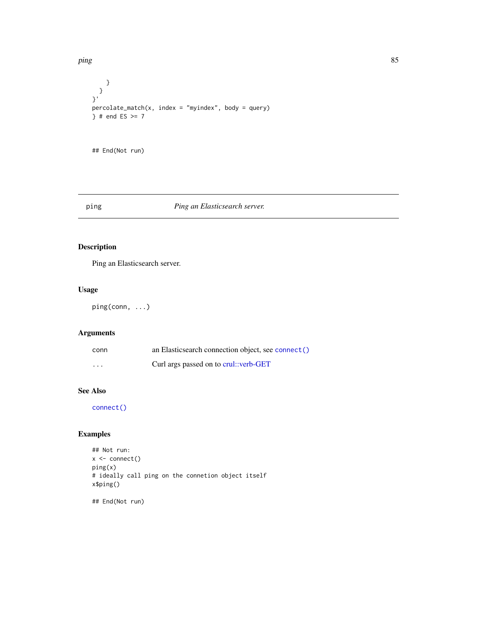ping the set of the set of the set of the set of the set of the set of the set of the set of the set of the set

```
}
 }
}'
percolate_matrix, index = "myindex", body = query)\} # end ES >= 7
## End(Not run)
```
## ping *Ping an Elasticsearch server.*

# Description

Ping an Elasticsearch server.

#### Usage

ping(conn, ...)

## Arguments

| conn                    | an Elasticsearch connection object, see connect() |
|-------------------------|---------------------------------------------------|
| $\cdot$ $\cdot$ $\cdot$ | Curl args passed on to crul::verb-GET             |

# See Also

[connect\(\)](#page-13-0)

# Examples

```
## Not run:
x <- connect()
ping(x)
# ideally call ping on the connetion object itself
x$ping()
```
## End(Not run)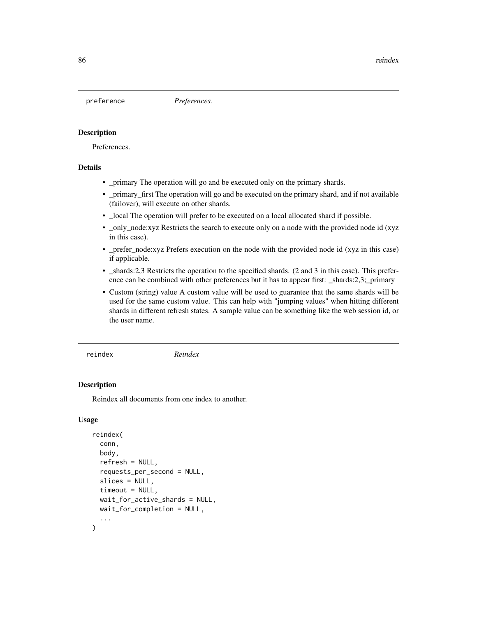## Description

Preferences.

## Details

- \_primary The operation will go and be executed only on the primary shards.
- \_primary\_first The operation will go and be executed on the primary shard, and if not available (failover), will execute on other shards.
- \_local The operation will prefer to be executed on a local allocated shard if possible.
- \_only\_node:xyz Restricts the search to execute only on a node with the provided node id (xyz) in this case).
- \_prefer\_node:xyz Prefers execution on the node with the provided node id (xyz in this case) if applicable.
- \_shards:2,3 Restricts the operation to the specified shards. (2 and 3 in this case). This preference can be combined with other preferences but it has to appear first: \_shards:2,3;\_primary
- Custom (string) value A custom value will be used to guarantee that the same shards will be used for the same custom value. This can help with "jumping values" when hitting different shards in different refresh states. A sample value can be something like the web session id, or the user name.

reindex *Reindex*

#### **Description**

Reindex all documents from one index to another.

#### Usage

```
reindex(
  conn,
  body,
  refresh = NULL,
  requests_per_second = NULL,
  slices = NULL,
  timeout = NULL,
  wait_for_active_shards = NULL,
 wait_for_completion = NULL,
  ...
)
```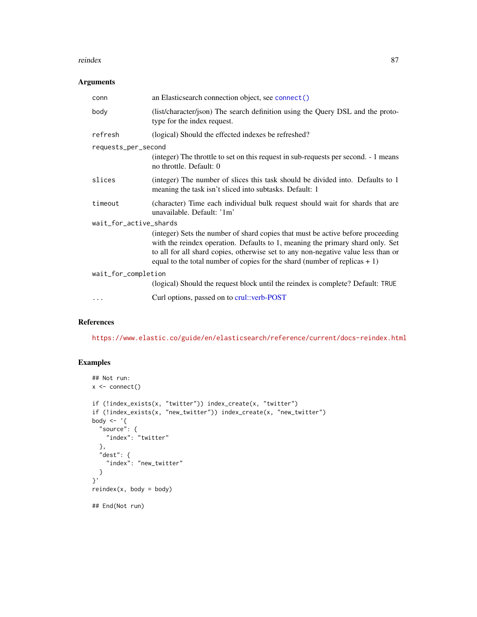#### reindex 87

#### Arguments

| conn                   | an Elasticsearch connection object, see connect()                                                                                                                                                                                                                                                                                      |  |
|------------------------|----------------------------------------------------------------------------------------------------------------------------------------------------------------------------------------------------------------------------------------------------------------------------------------------------------------------------------------|--|
| body                   | (list/character/json) The search definition using the Query DSL and the proto-<br>type for the index request.                                                                                                                                                                                                                          |  |
| refresh                | (logical) Should the effected indexes be refreshed?                                                                                                                                                                                                                                                                                    |  |
| requests_per_second    |                                                                                                                                                                                                                                                                                                                                        |  |
|                        | (integer) The throttle to set on this request in sub-requests per second. - 1 means<br>no throttle. Default: 0                                                                                                                                                                                                                         |  |
| slices                 | (integer) The number of slices this task should be divided into. Defaults to 1<br>meaning the task isn't sliced into subtasks. Default: 1                                                                                                                                                                                              |  |
| timeout                | (character) Time each individual bulk request should wait for shards that are<br>unavailable. Default: '1m'                                                                                                                                                                                                                            |  |
| wait_for_active_shards |                                                                                                                                                                                                                                                                                                                                        |  |
|                        | (integer) Sets the number of shard copies that must be active before proceeding<br>with the reindex operation. Defaults to 1, meaning the primary shard only. Set<br>to all for all shard copies, otherwise set to any non-negative value less than or<br>equal to the total number of copies for the shard (number of replicas $+1$ ) |  |
| wait_for_completion    |                                                                                                                                                                                                                                                                                                                                        |  |
|                        | (logical) Should the request block until the reindex is complete? Default: TRUE                                                                                                                                                                                                                                                        |  |
|                        | Curl options, passed on to crul: verb-POST                                                                                                                                                                                                                                                                                             |  |

## References

<https://www.elastic.co/guide/en/elasticsearch/reference/current/docs-reindex.html>

```
## Not run:
x <- connect()
if (!index_exists(x, "twitter")) index_create(x, "twitter")
if (!index_exists(x, "new_twitter")) index_create(x, "new_twitter")
body \leq - '{
  "source": {
   "index": "twitter"
  },
  "dest": {
    "index": "new_twitter"
  }
}'
reindex(x, body = body)## End(Not run)
```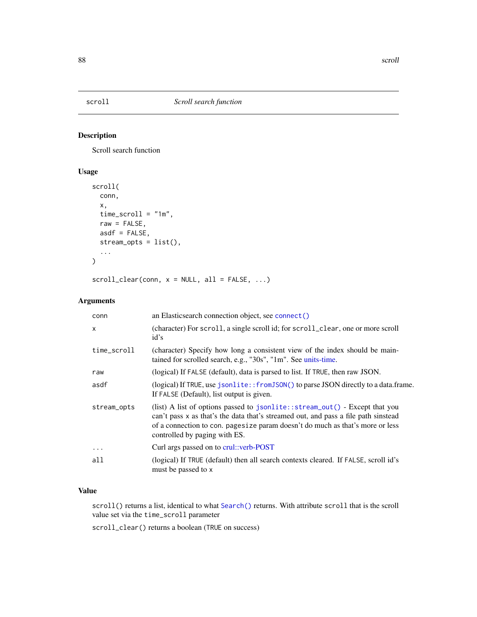<span id="page-87-0"></span>

## Description

Scroll search function

# Usage

```
scroll(
  conn,
  x,
  time_scroll = "1m",
 raw = FALSE,asdf = FALSE,stream_opts = list(),
  ...
)
```
 $scroll_clear(conn, x = NULL, all = FALSE, ...)$ 

# Arguments

| conn         | an Elasticsearch connection object, see connect()                                                                                                                                                                                                                                   |
|--------------|-------------------------------------------------------------------------------------------------------------------------------------------------------------------------------------------------------------------------------------------------------------------------------------|
| $\mathsf{x}$ | (character) For scroll, a single scroll id; for scroll_clear, one or more scroll<br>id's                                                                                                                                                                                            |
| time_scroll  | (character) Specify how long a consistent view of the index should be main-<br>tained for scrolled search, e.g., "30s", "1m". See units-time.                                                                                                                                       |
| raw          | (logical) If FALSE (default), data is parsed to list. If TRUE, then raw JSON.                                                                                                                                                                                                       |
| asdf         | (logical) If TRUE, use jsonlite:: from JSON() to parse JSON directly to a data.frame.<br>If FALSE (Default), list output is given.                                                                                                                                                  |
| stream_opts  | (list) A list of options passed to jsonlite::stream_out() - Except that you<br>can't pass x as that's the data that's streamed out, and pass a file path sinstead<br>of a connection to con. pagesize param doesn't do much as that's more or less<br>controlled by paging with ES. |
| $\cdots$     | Curl args passed on to crul: verb-POST                                                                                                                                                                                                                                              |
| all          | (logical) If TRUE (default) then all search contexts cleared. If FALSE, scroll id's<br>must be passed to x                                                                                                                                                                          |

# Value

scroll() returns a list, identical to what [Search\(\)](#page-91-0) returns. With attribute scroll that is the scroll value set via the time\_scroll parameter

scroll\_clear() returns a boolean (TRUE on success)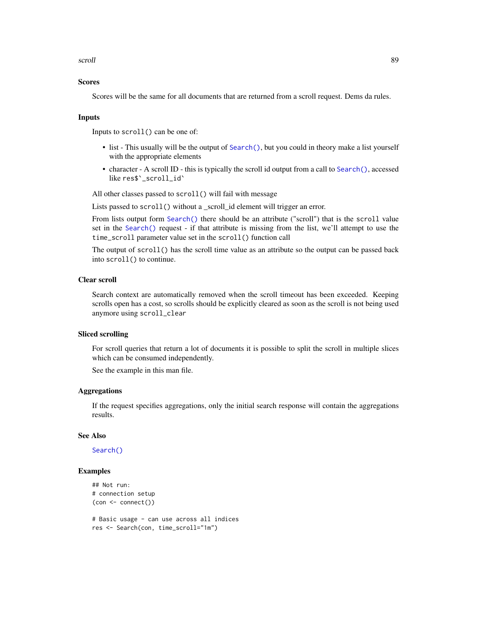#### scroll 89

## Scores

Scores will be the same for all documents that are returned from a scroll request. Dems da rules.

#### Inputs

Inputs to scroll() can be one of:

- list This usually will be the output of [Search\(\)](#page-91-0), but you could in theory make a list yourself with the appropriate elements
- character A scroll ID this is typically the scroll id output from a call to [Search\(\)](#page-91-0), accessed like res\$`\_scroll\_id`

All other classes passed to scroll() will fail with message

Lists passed to scroll() without a \_scroll\_id element will trigger an error.

From lists output form [Search\(\)](#page-91-0) there should be an attribute ("scroll") that is the scroll value set in the [Search\(\)](#page-91-0) request - if that attribute is missing from the list, we'll attempt to use the time\_scroll parameter value set in the scroll() function call

The output of scroll() has the scroll time value as an attribute so the output can be passed back into scroll() to continue.

## Clear scroll

Search context are automatically removed when the scroll timeout has been exceeded. Keeping scrolls open has a cost, so scrolls should be explicitly cleared as soon as the scroll is not being used anymore using scroll\_clear

## Sliced scrolling

For scroll queries that return a lot of documents it is possible to split the scroll in multiple slices which can be consumed independently.

See the example in this man file.

#### Aggregations

If the request specifies aggregations, only the initial search response will contain the aggregations results.

#### See Also

[Search\(\)](#page-91-0)

```
## Not run:
# connection setup
(con <- connect())
# Basic usage - can use across all indices
res <- Search(con, time_scroll="1m")
```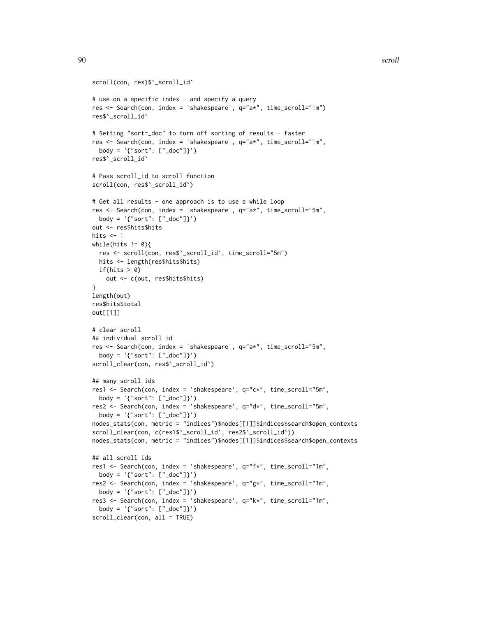```
scroll(con, res)$`_scroll_id`
# use on a specific index - and specify a query
res <- Search(con, index = 'shakespeare', q="a*", time_scroll="1m")
res$`_scroll_id`
# Setting "sort=_doc" to turn off sorting of results - faster
res <- Search(con, index = 'shakespeare', q="a*", time_scroll="1m",
  body = '\"sort": [''\_doc"]'')res$`_scroll_id`
# Pass scroll_id to scroll function
scroll(con, res$`_scroll_id`)
# Get all results - one approach is to use a while loop
res <- Search(con, index = 'shakespeare', q="a*", time_scroll="5m",
  body = '{"sort": ["_doc"]}')
out <- res$hits$hits
hits <-1while(hits != 0){
  res <- scroll(con, res$`_scroll_id`, time_scroll="5m")
 hits <- length(res$hits$hits)
 if(hits > 0)
   out <- c(out, res$hits$hits)
}
length(out)
res$hits$total
out[[1]]
# clear scroll
## individual scroll id
res <- Search(con, index = 'shakespeare', q="a*", time_scroll="5m",
 body = '(sort": ['doc"]')scroll_clear(con, res$`_scroll_id`)
## many scroll ids
res1 <- Search(con, index = 'shakespeare', q="c*", time_scroll="5m",
  body = '\sort": [''\_\text{doc}']\}')
res2 <- Search(con, index = 'shakespeare', q="d*", time_scroll="5m",
  body = '\"sort": [''\_doc"]'')nodes_stats(con, metric = "indices")$nodes[[1]]$indices$search$open_contexts
scroll_clear(con, c(res1$`_scroll_id`, res2$`_scroll_id`))
nodes_stats(con, metric = "indices")$nodes[[1]]$indices$search$open_contexts
## all scroll ids
res1 <- Search(con, index = 'shakespeare', q="f*", time_scroll="1m",
  body = '{"sort": ["_doc"]}')
res2 <- Search(con, index = 'shakespeare', q="g*", time_scroll="1m",
  body = '{"sort": ["_doc"]}')
res3 <- Search(con, index = 'shakespeare', q="k*", time_scroll="1m",
  body = '\sort": [''\_\text{doc}']\}')
scroll_clear(con, all = TRUE)
```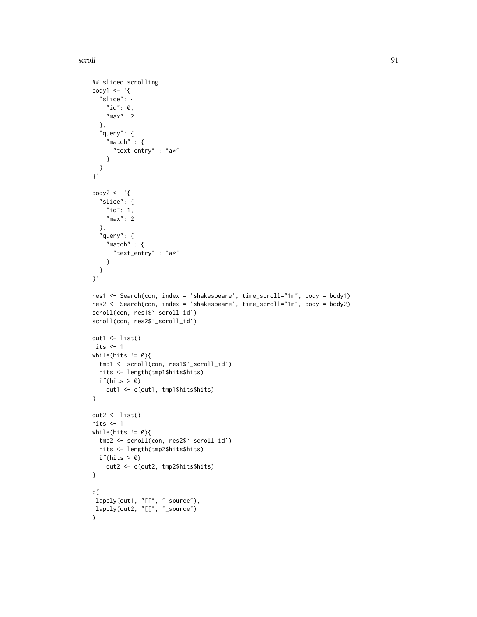scroll 91

```
## sliced scrolling
body1 \leq - '{
  "slice": {
   "id": 0,"max": 2
  },
  "query": {
    "match" : {
     "text_entry" : "a*"
    }
  }
}'
body2 \leq - '{
  "slice": {
    "id": 1,
    "max": 2
  },
  "query": {
    "match" : \{"text_entry" : "a*"
    }
 }
}'
res1 <- Search(con, index = 'shakespeare', time_scroll="1m", body = body1)
res2 <- Search(con, index = 'shakespeare', time_scroll="1m", body = body2)
scroll(con, res1$`_scroll_id`)
scroll(con, res2$`_scroll_id`)
out1 \leftarrow list()hits <-1while(hits != 0){
  tmp1 <- scroll(con, res1$`_scroll_id`)
 hits <- length(tmp1$hits$hits)
  if(hits > 0)out1 <- c(out1, tmp1$hits$hits)
}
out2 \leftarrow list()
hits <-1while(hits != 0){
 tmp2 <- scroll(con, res2$`_scroll_id`)
 hits <- length(tmp2$hits$hits)
 if(hits > 0)
    out2 <- c(out2, tmp2$hits$hits)
}
c(
lapply(out1, "[[", "_source"),
lapply(out2, "[[", "_source")
)
```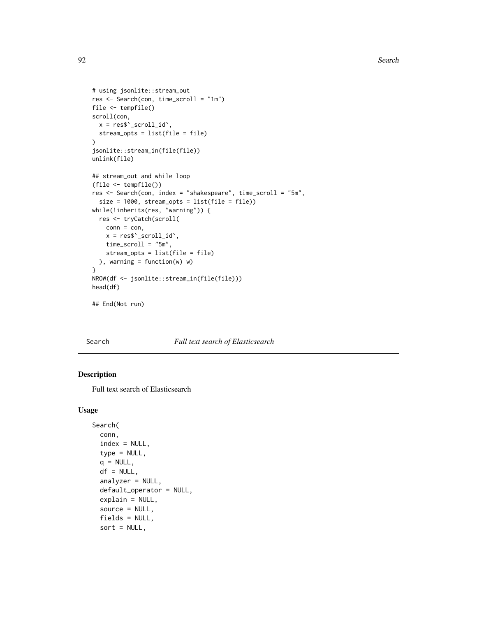```
# using jsonlite::stream_out
res <- Search(con, time_scroll = "1m")
file <- tempfile()
scroll(con,
 x = \text{res$'}_s \text{croll_id'},stream_opts = list(file = file)
\mathcal{L}jsonlite::stream_in(file(file))
unlink(file)
## stream_out and while loop
(file <- tempfile())
res <- Search(con, index = "shakespeare", time_scroll = "5m",
  size = 1000, stream_opts = list(file = file))
while(!inherits(res, "warning")) {
  res <- tryCatch(scroll(
    conn = con,x = \text{res$'}_s \text{croll_id'},time_scroll = "5m",
    stream_opts = list(file = file)
  ), warning = function(w) w)
}
NROW(df <- jsonlite::stream_in(file(file)))
head(df)
```
## End(Not run)

<span id="page-91-0"></span>

#### Search *Full text search of Elasticsearch*

# Description

Full text search of Elasticsearch

## Usage

```
Search(
 conn,
  index = NULL,type = NULL,
  q = NULL,df = NULL,analyzer = NULL,
  default_operator = NULL,
  explain = NULL,
  source = NULL,
  fields = NULL,
  sort = NULL,
```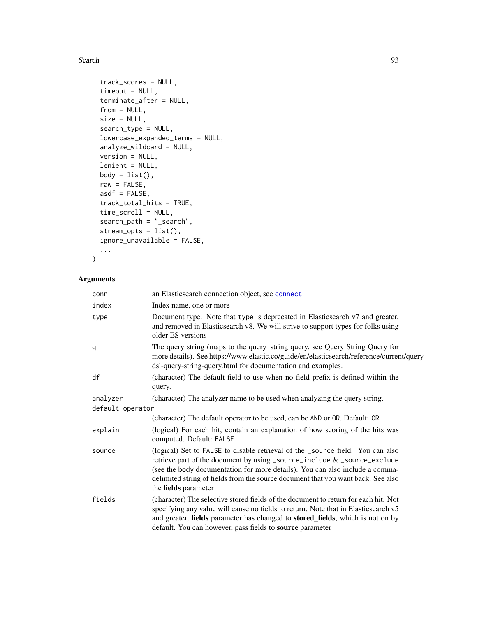```
track_scores = NULL,
timeout = NULL,
terminate_after = NULL,
from = NULL,
size = NULL,
search_type = NULL,
lowercase_expanded_terms = NULL,
analyze_wildcard = NULL,
version = NULL,
lenient = NULL,
body = list(),
raw = FALSE,asdf = FALSE,track_total_hits = TRUE,
time_scroll = NULL,
search_path = "_search",
stream_opts = list(),
ignore_unavailable = FALSE,
...
```

```
\mathcal{L}
```
## Arguments

| conn             | an Elasticsearch connection object, see connect                                                                                                                                                                                                                                                                                                        |  |
|------------------|--------------------------------------------------------------------------------------------------------------------------------------------------------------------------------------------------------------------------------------------------------------------------------------------------------------------------------------------------------|--|
| index            | Index name, one or more                                                                                                                                                                                                                                                                                                                                |  |
| type             | Document type. Note that type is deprecated in Elasticsearch v7 and greater,<br>and removed in Elasticsearch v8. We will strive to support types for folks using<br>older ES versions                                                                                                                                                                  |  |
| q                | The query string (maps to the query_string query, see Query String Query for<br>more details). See https://www.elastic.co/guide/en/elasticsearch/reference/current/query-<br>dsl-query-string-query.html for documentation and examples.                                                                                                               |  |
| df               | (character) The default field to use when no field prefix is defined within the<br>query.                                                                                                                                                                                                                                                              |  |
| analyzer         | (character) The analyzer name to be used when analyzing the query string.                                                                                                                                                                                                                                                                              |  |
| default_operator |                                                                                                                                                                                                                                                                                                                                                        |  |
|                  | (character) The default operator to be used, can be AND or OR. Default: OR                                                                                                                                                                                                                                                                             |  |
| explain          | (logical) For each hit, contain an explanation of how scoring of the hits was<br>computed. Default: FALSE                                                                                                                                                                                                                                              |  |
| source           | (logical) Set to FALSE to disable retrieval of the _source field. You can also<br>retrieve part of the document by using _source_include & _source_exclude<br>(see the body documentation for more details). You can also include a comma-<br>delimited string of fields from the source document that you want back. See also<br>the fields parameter |  |
| fields           | (character) The selective stored fields of the document to return for each hit. Not<br>specifying any value will cause no fields to return. Note that in Elasticsearch v5<br>and greater, fields parameter has changed to stored_fields, which is not on by<br>default. You can however, pass fields to source parameter                               |  |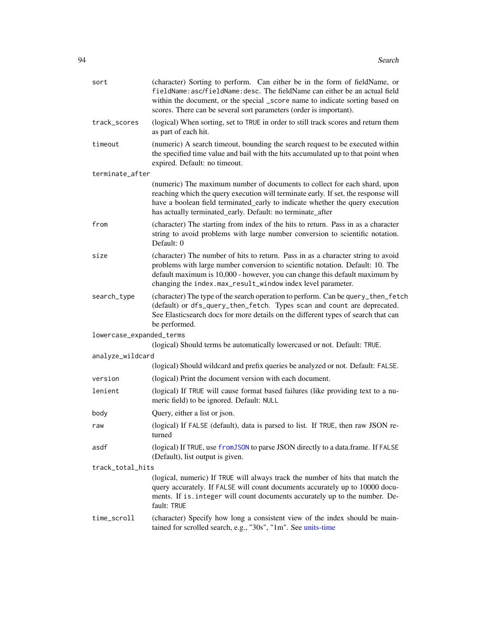| sort                     | (character) Sorting to perform. Can either be in the form of fieldName, or<br>fieldName: asc/fieldName: desc. The fieldName can either be an actual field<br>within the document, or the special _score name to indicate sorting based on<br>scores. There can be several sort parameters (order is important).  |  |
|--------------------------|------------------------------------------------------------------------------------------------------------------------------------------------------------------------------------------------------------------------------------------------------------------------------------------------------------------|--|
| track_scores             | (logical) When sorting, set to TRUE in order to still track scores and return them<br>as part of each hit.                                                                                                                                                                                                       |  |
| timeout                  | (numeric) A search timeout, bounding the search request to be executed within<br>the specified time value and bail with the hits accumulated up to that point when<br>expired. Default: no timeout.                                                                                                              |  |
| terminate_after          |                                                                                                                                                                                                                                                                                                                  |  |
|                          | (numeric) The maximum number of documents to collect for each shard, upon<br>reaching which the query execution will terminate early. If set, the response will<br>have a boolean field terminated_early to indicate whether the query execution<br>has actually terminated_early. Default: no terminate_after   |  |
| from                     | (character) The starting from index of the hits to return. Pass in as a character<br>string to avoid problems with large number conversion to scientific notation.<br>Default: 0                                                                                                                                 |  |
| size                     | (character) The number of hits to return. Pass in as a character string to avoid<br>problems with large number conversion to scientific notation. Default: 10. The<br>default maximum is 10,000 - however, you can change this default maximum by<br>changing the index.max_result_window index level parameter. |  |
| search_type              | (character) The type of the search operation to perform. Can be query_then_fetch<br>(default) or dfs_query_then_fetch. Types scan and count are deprecated.<br>See Elasticsearch docs for more details on the different types of search that can<br>be performed.                                                |  |
| lowercase_expanded_terms | (logical) Should terms be automatically lowercased or not. Default: TRUE.                                                                                                                                                                                                                                        |  |
| analyze_wildcard         |                                                                                                                                                                                                                                                                                                                  |  |
|                          | (logical) Should wildcard and prefix queries be analyzed or not. Default: FALSE.                                                                                                                                                                                                                                 |  |
| version                  | (logical) Print the document version with each document.                                                                                                                                                                                                                                                         |  |
| lenient                  | (logical) If TRUE will cause format based failures (like providing text to a nu-<br>meric field) to be ignored. Default: NULL                                                                                                                                                                                    |  |
| body                     | Query, either a list or json.                                                                                                                                                                                                                                                                                    |  |
| raw                      | (logical) If FALSE (default), data is parsed to list. If TRUE, then raw JSON re-<br>turned                                                                                                                                                                                                                       |  |
| asdf                     | (logical) If TRUE, use from JSON to parse JSON directly to a data.frame. If FALSE<br>(Default), list output is given.                                                                                                                                                                                            |  |
| track_total_hits         |                                                                                                                                                                                                                                                                                                                  |  |
|                          | (logical, numeric) If TRUE will always track the number of hits that match the<br>query accurately. If FALSE will count documents accurately up to 10000 docu-<br>ments. If is. integer will count documents accurately up to the number. De-<br>fault: TRUE                                                     |  |
| time_scroll              | (character) Specify how long a consistent view of the index should be main-<br>tained for scrolled search, e.g., "30s", "1m". See units-time                                                                                                                                                                     |  |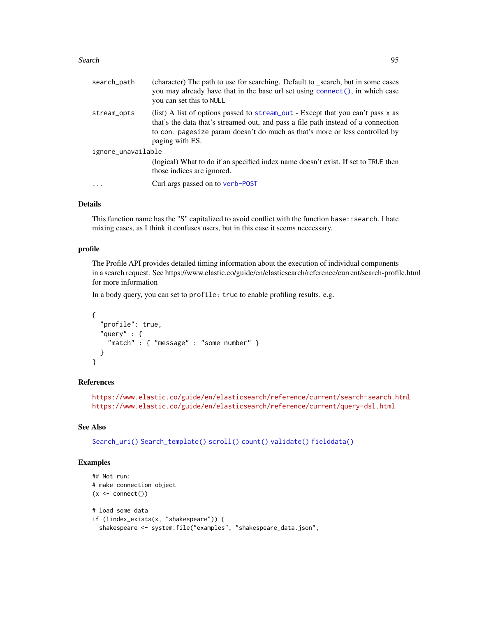| search_path        | (character) The path to use for searching. Default to _search, but in some cases<br>you may already have that in the base url set using connect (), in which case<br>you can set this to NULL                                                                          |
|--------------------|------------------------------------------------------------------------------------------------------------------------------------------------------------------------------------------------------------------------------------------------------------------------|
| stream_opts        | (list) A list of options passed to stream_out - Except that you can't pass x as<br>that's the data that's streamed out, and pass a file path instead of a connection<br>to con. pagesize param doesn't do much as that's more or less controlled by<br>paging with ES. |
| ignore_unavailable |                                                                                                                                                                                                                                                                        |
|                    | (logical) What to do if an specified index name doesn't exist. If set to TRUE then<br>those indices are ignored.                                                                                                                                                       |
| $\cdot$            | Curl args passed on to verb-POST                                                                                                                                                                                                                                       |
|                    |                                                                                                                                                                                                                                                                        |

## Details

This function name has the "S" capitalized to avoid conflict with the function base::search. I hate mixing cases, as I think it confuses users, but in this case it seems neccessary.

#### profile

The Profile API provides detailed timing information about the execution of individual components in a search request. See https://www.elastic.co/guide/en/elasticsearch/reference/current/search-profile.html for more information

In a body query, you can set to profile: true to enable profiling results. e.g.

```
{
  "profile": true,
  "query" : {
    "match" : { "message" : "some number" }
  }
}
```
## References

<https://www.elastic.co/guide/en/elasticsearch/reference/current/search-search.html> <https://www.elastic.co/guide/en/elasticsearch/reference/current/query-dsl.html>

## See Also

```
Search_uri() Search_template() scroll() count() validate() fielddata()
```

```
## Not run:
# make connection object
(x \leq connect())
# load some data
if (!index_exists(x, "shakespeare")) {
 shakespeare <- system.file("examples", "shakespeare_data.json",
```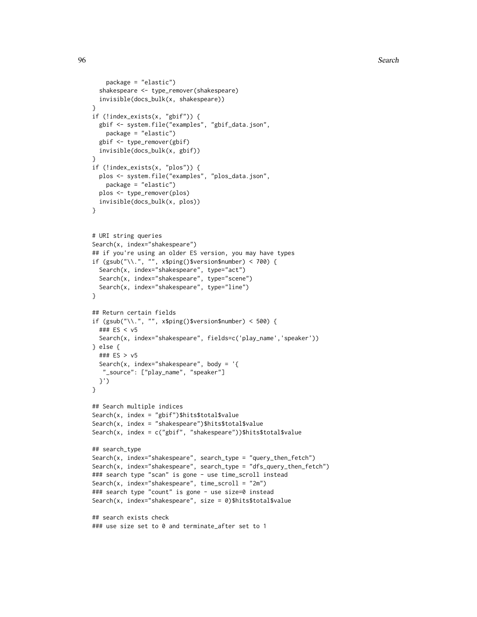```
package = "elastic")
 shakespeare <- type_remover(shakespeare)
 invisible(docs_bulk(x, shakespeare))
}
if (!index_exists(x, "gbif")) {
 gbif <- system.file("examples", "gbif_data.json",
   package = "elastic")
 gbif <- type_remover(gbif)
 invisible(docs_bulk(x, gbif))
}
if (!index_exists(x, "plos")) {
 plos <- system.file("examples", "plos_data.json",
   package = "elastic")
 plos <- type_remover(plos)
 invisible(docs_bulk(x, plos))
}
# URI string queries
Search(x, index="shakespeare")
## if you're using an older ES version, you may have types
if (gsub("\\.", "", x$ping()$version$number) < 700) {
 Search(x, index="shakespeare", type="act")
 Search(x, index="shakespeare", type="scene")
 Search(x, index="shakespeare", type="line")
}
## Return certain fields
if (gsub("\\.", "", x$ping()$version$number) < 500) {
 ### ES < v5
 Search(x, index="shakespeare", fields=c('play_name','speaker'))
} else {
 ### ES > v5
 Search(x, index="shakespeare", body = \lceil \cdot \rceil"_source": ["play_name", "speaker"]
 }')
}
## Search multiple indices
Search(x, index = "gbif")$hits$total$value
Search(x, index = "shakespeare")$hits$total$value
Search(x, index = c("gbif", "shakespeare"))$hits$total$value
## search_type
Search(x, index="shakespeare", search_type = "query_then_fetch")
Search(x, index="shakespeare", search_type = "dfs_query_then_fetch")
### search type "scan" is gone - use time_scroll instead
Search(x, index="shakespeare", time_scroll = "2m")
### search type "count" is gone - use size=0 instead
Search(x, index="shakespeare", size = 0)$hits$total$value
## search exists check
### use size set to 0 and terminate_after set to 1
```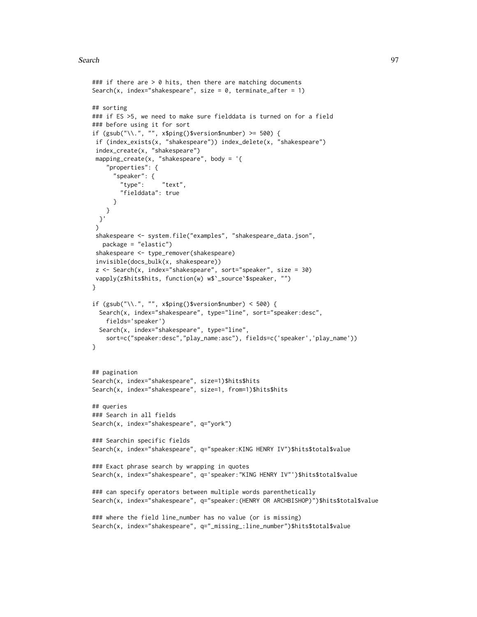```
### if there are > 0 hits, then there are matching documents
Search(x, index="shakespeare", size = 0, terminate_after = 1)
## sorting
### if ES >5, we need to make sure fielddata is turned on for a field
### before using it for sort
if (gsub("\\.", "", x$ping()$version$number) >= 500) {
if (index_exists(x, "shakespeare")) index_delete(x, "shakespeare")
 index_create(x, "shakespeare")
mapping_create(x, "shakespeare", body = \lceil \cdot \rceil"properties": {
      "speaker": {
        "type": "text",
        "fielddata": true
     }
   }
 }'
 )
 shakespeare <- system.file("examples", "shakespeare_data.json",
  package = "elastic")
 shakespeare <- type_remover(shakespeare)
 invisible(docs_bulk(x, shakespeare))
 z <- Search(x, index="shakespeare", sort="speaker", size = 30)
vapply(z$hits$hits, function(w) w$`_source`$speaker, "")
}
if (gsub("\\.", "", x$ping()$version$number) < 500) {
 Search(x, index="shakespeare", type="line", sort="speaker:desc",
   fields='speaker')
 Search(x, index="shakespeare", type="line",
   sort=c("speaker:desc","play_name:asc"), fields=c('speaker','play_name'))
}
## pagination
Search(x, index="shakespeare", size=1)$hits$hits
Search(x, index="shakespeare", size=1, from=1)$hits$hits
## queries
### Search in all fields
Search(x, index="shakespeare", q="york")
### Searchin specific fields
Search(x, index="shakespeare", q="speaker:KING HENRY IV")$hits$total$value
### Exact phrase search by wrapping in quotes
Search(x, index="shakespeare", q='speaker:"KING HENRY IV"')$hits$total$value
### can specify operators between multiple words parenthetically
Search(x, index="shakespeare", q="speaker:(HENRY OR ARCHBISHOP)")$hits$total$value
### where the field line_number has no value (or is missing)
Search(x, index="shakespeare", q="_missing_:line_number")$hits$total$value
```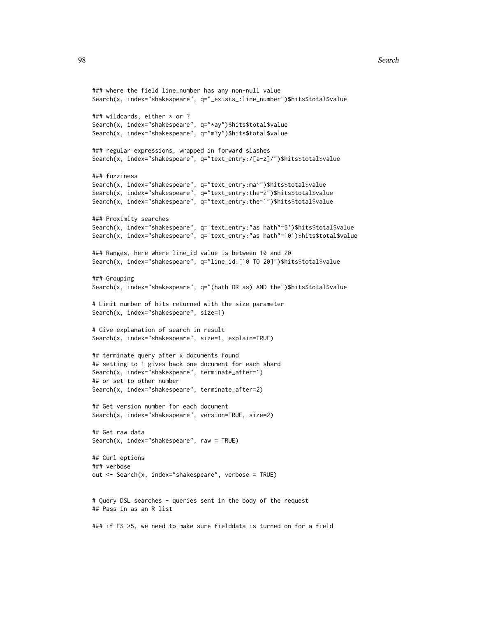```
### where the field line_number has any non-null value
Search(x, index="shakespeare", q="_exists_:line_number")$hits$total$value
### wildcards, either * or ?
Search(x, index="shakespeare", q="*ay")$hits$total$value
Search(x, index="shakespeare", q="m?y")$hits$total$value
### regular expressions, wrapped in forward slashes
Search(x, index="shakespeare", q="text_entry:/[a-z]/")$hits$total$value
### fuzziness
Search(x, index="shakespeare", q="text_entry:ma~")$hits$total$value
Search(x, index="shakespeare", q="text_entry:the~2")$hits$total$value
Search(x, index="shakespeare", q="text_entry:the~1")$hits$total$value
### Proximity searches
Search(x, index="shakespeare", q='text_entry:"as hath"~5')$hits$total$value
Search(x, index="shakespeare", q='text_entry:"as hath"~10')$hits$total$value
### Ranges, here where line_id value is between 10 and 20
Search(x, index="shakespeare", q="line_id:[10 TO 20]")$hits$total$value
### Grouping
Search(x, index="shakespeare", q="(hath OR as) AND the")$hits$total$value
# Limit number of hits returned with the size parameter
Search(x, index="shakespeare", size=1)
# Give explanation of search in result
Search(x, index="shakespeare", size=1, explain=TRUE)
## terminate query after x documents found
## setting to 1 gives back one document for each shard
Search(x, index="shakespeare", terminate_after=1)
## or set to other number
Search(x, index="shakespeare", terminate_after=2)
## Get version number for each document
Search(x, index="shakespeare", version=TRUE, size=2)
## Get raw data
Search(x, index="shakespeare", raw = TRUE)
## Curl options
### verbose
out <- Search(x, index="shakespeare", verbose = TRUE)
# Query DSL searches - queries sent in the body of the request
## Pass in as an R list
### if ES >5, we need to make sure fielddata is turned on for a field
```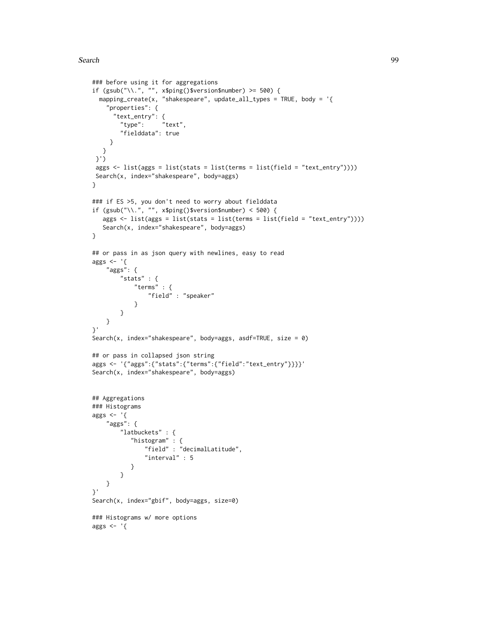```
### before using it for aggregations
if (gsub("\\.", "", x$ping()$version$number) >= 500) {
  mapping_create(x, "shakespeare", update_all_types = TRUE, body = '{
    "properties": {
      "text_entry": {
       "type": "text",
        "fielddata": true
    }
  }
 }')
 aggs <- list(aggs = list(stats = list(terms = list(field = "text_entry"))))
 Search(x, index="shakespeare", body=aggs)
}
### if ES >5, you don't need to worry about fielddata
if (gsub("\\.", "", x$ping()$version$number) < 500) {
   aggs <- list(aggs = list(stats = list(terms = list(field = "text_entry"))))
   Search(x, index="shakespeare", body=aggs)
}
## or pass in as json query with newlines, easy to read
aggs \leftarrow '{
   "aggs": {
        "stats" : {
            "terms" : {
                "field" : "speaker"
            }
        }
   }
}'
Search(x, index="shakespeare", body=aggs, asdf=TRUE, size = 0)
## or pass in collapsed json string
aggs <- '{"aggs":{"stats":{"terms":{"field":"text_entry"}}}}'
Search(x, index="shakespeare", body=aggs)
## Aggregations
### Histograms
aggs \leftarrow '{
    "aggs": {
        "latbuckets" : {
           "histogram" : {
               "field" : "decimalLatitude",
               "interval" : 5
           }
        }
   }
}'
Search(x, index="gbif", body=aggs, size=0)
### Histograms w/ more options
aggs \leftarrow '{
```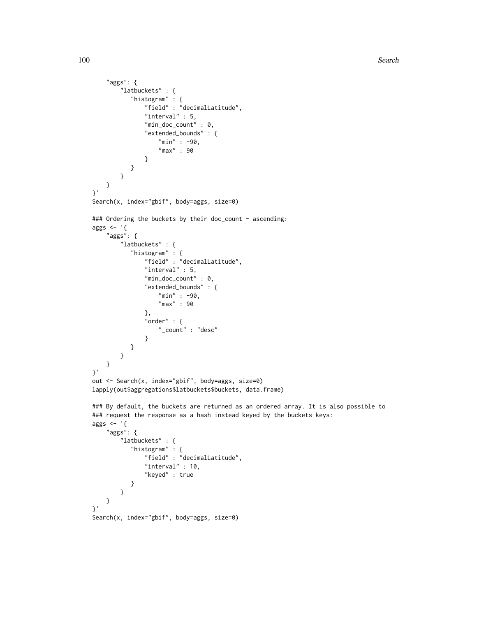```
"aggs": {
        "latbuckets" : {
           "histogram" : {
               "field" : "decimalLatitude",
               "interval" : 5,
               "min_doc_count" : 0,
               "extended_bounds" : {
                   "min" : -90,
                   "max" : 90
               }
           }
        }
   }
}'
Search(x, index="gbif", body=aggs, size=0)
### Ordering the buckets by their doc_count - ascending:
aggs <- '{
    "aggs": {
        "latbuckets" : {
           "histogram" : {
               "field" : "decimalLatitude",
               "interval" : 5,
               "min_doc_count" : 0,
               "extended_bounds" : {
                   "min" : -90,
                   "max" : 90
               },
               "order" : {
                   "_count" : "desc"
               }
           }
       }
   }
}'
out <- Search(x, index="gbif", body=aggs, size=0)
lapply(out$aggregations$latbuckets$buckets, data.frame)
### By default, the buckets are returned as an ordered array. It is also possible to
### request the response as a hash instead keyed by the buckets keys:
aggs \leftarrow '{
    "aggs": {
        "latbuckets" : {
           "histogram" : {
               "field" : "decimalLatitude",
               "interval" : 10,
               "keyed" : true
           }
        }
   }
}'
Search(x, index="gbif", body=aggs, size=0)
```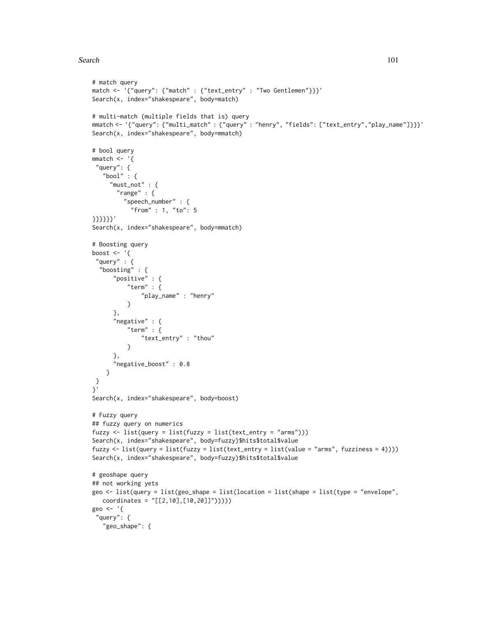```
# match query
match <- '{"query": {"match" : {"text_entry" : "Two Gentlemen"}}}'
Search(x, index="shakespeare", body=match)
# multi-match (multiple fields that is) query
mmatch <- '{"query": {"multi_match" : {"query" : "henry", "fields": ["text_entry","play_name"]}}}'
Search(x, index="shakespeare", body=mmatch)
# bool query
mmatch < - '{
 "query": {
   "bool" : \{"must_not" : {
       "range" : {
         "speech_number" : {
           "from" : 1, "to": 5
}}}}}}'
Search(x, index="shakespeare", body=mmatch)
# Boosting query
boost \leq - '{
 "query" : {
  "boosting" : {
      "positive" : {
          "term" : {
              "play_name" : "henry"
          }
      },
      "negative" : {
          "term" : {
              "text_entry" : "thou"
          }
      },
      "negative_boost" : 0.8
    }
}
}'
Search(x, index="shakespeare", body=boost)
# Fuzzy query
## fuzzy query on numerics
fuzzy <- list(query = list(fuzzy = list(text_entry = "arms")))
Search(x, index="shakespeare", body=fuzzy)$hits$total$value
fuzzy <- list(query = list(fuzzy = list(text_entry = list(value = "arms", fuzziness = 4))))
Search(x, index="shakespeare", body=fuzzy)$hits$total$value
# geoshape query
## not working yets
geo <- list(query = list(geo_shape = list(location = list(shape = list(type = "envelope",
  coordinates = "[[2,10],[10,20]]")))))
geo <- '{
 "query": {
   "geo_shape": {
```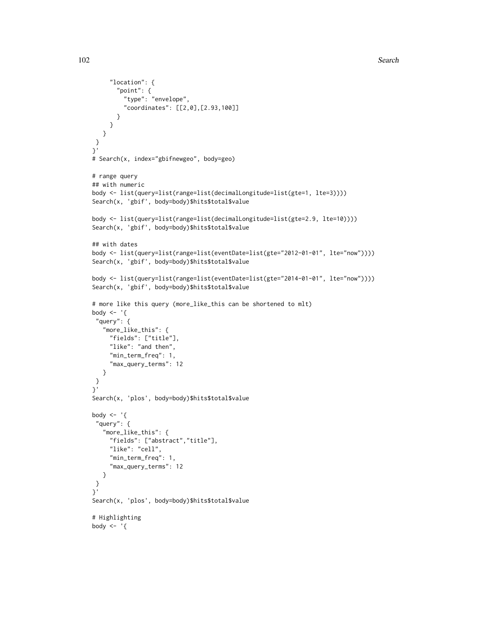```
"location": {
       "point": {
         "type": "envelope",
         "coordinates": [[2,0],[2.93,100]]
       }
    }
   }
}
}'
# Search(x, index="gbifnewgeo", body=geo)
# range query
## with numeric
body <- list(query=list(range=list(decimalLongitude=list(gte=1, lte=3))))
Search(x, 'gbif', body=body)$hits$total$value
body <- list(query=list(range=list(decimalLongitude=list(gte=2.9, lte=10))))
Search(x, 'gbif', body=body)$hits$total$value
## with dates
body <- list(query=list(range=list(eventDate=list(gte="2012-01-01", lte="now"))))
Search(x, 'gbif', body=body)$hits$total$value
body <- list(query=list(range=list(eventDate=list(gte="2014-01-01", lte="now"))))
Search(x, 'gbif', body=body)$hits$total$value
# more like this query (more_like_this can be shortened to mlt)
body \leq - '{
 "query": {
   "more_like_this": {
    "fields": ["title"],
    "like": "and then",
     "min_term_freq": 1,
     "max_query_terms": 12
  }
 }
}'
Search(x, 'plos', body=body)$hits$total$value
body \leq - '{
 "query": {
   "more_like_this": {
     "fields": ["abstract","title"],
     "like": "cell",
     "min_term_freq": 1,
     "max_query_terms": 12
   }
 }
}'
Search(x, 'plos', body=body)$hits$total$value
# Highlighting
body \leq - '{
```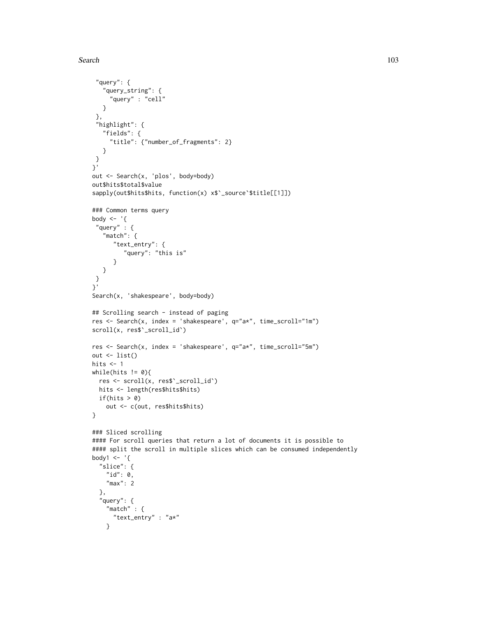```
"query": {
   "query_string": {
     "query" : "cell"
  }
 },
 "highlight": {
  "fields": {
    "title": {"number_of_fragments": 2}
  }
 }
}'
out <- Search(x, 'plos', body=body)
out$hits$total$value
sapply(out$hits$hits, function(x) x$`_source`$title[[1]])
### Common terms query
body <- '{
 "query" : {
   "match": {
      "text_entry": {
         "query": "this is"
      }
  }
}
}'
Search(x, 'shakespeare', body=body)
## Scrolling search - instead of paging
res <- Search(x, index = 'shakespeare', q="a*", time_scroll="1m")
scroll(x, res$`_scroll_id`)
res <- Search(x, index = 'shakespeare', q="a*", time_scroll="5m")
out <- list()
hits <-1while(hits != 0){
 res <- scroll(x, res$`_scroll_id`)
 hits <- length(res$hits$hits)
  if(hits > 0)out <- c(out, res$hits$hits)
}
### Sliced scrolling
#### For scroll queries that return a lot of documents it is possible to
#### split the scroll in multiple slices which can be consumed independently
body1 \leq - '{
  "slice": {
   "id": 0,
   "max": 2
  },
  "query": {
    "match" : {
     "text_entry" : "a*"
    }
```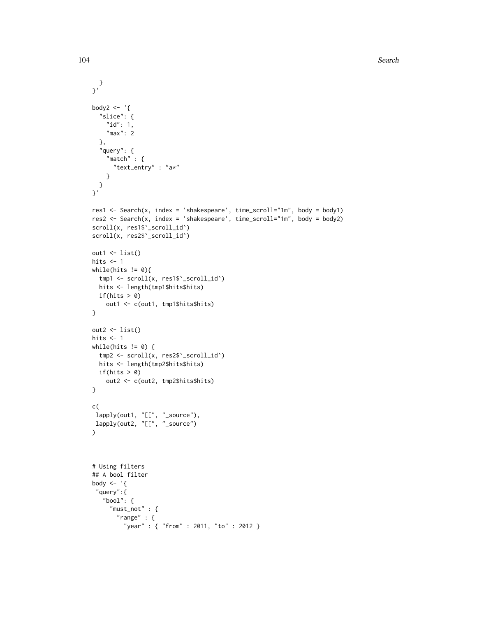```
}
}'
body2 \leq - '{
  "slice": {
   "id": 1,
    "max": 2
  },
  "query": {
    "match" : {
      "text_entry" : "a*"
    }
  }
}'
res1 <- Search(x, index = 'shakespeare', time_scroll="1m", body = body1)
res2 <- Search(x, index = 'shakespeare', time_scroll="1m", body = body2)
scroll(x, res1$`_scroll_id`)
scroll(x, res2$`_scroll_id`)
out1 \leftarrow list()hits <-1while(hits != 0){
  tmp1 <- scroll(x, res1$`_scroll_id`)
  hits <- length(tmp1$hits$hits)
 if(hits > 0)
    out1 <- c(out1, tmp1$hits$hits)
}
out2 <- list()
hits <-1while(hits != 0) {
 tmp2 <- scroll(x, res2$`_scroll_id`)
 hits <- length(tmp2$hits$hits)
 if(hits > 0)
    out2 <- c(out2, tmp2$hits$hits)
}
c(
 lapply(out1, "[[", "_source"),
 lapply(out2, "[[", "_source")
\mathcal{L}# Using filters
## A bool filter
body \leq - '{
 "query":{
   "bool": {
     "must_not" : {
       "range" : {
         "year" : { "from" : 2011, "to" : 2012 }
```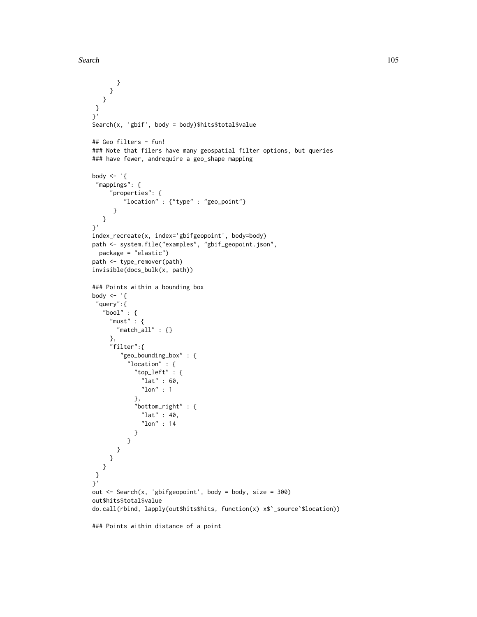```
}
     }
  }
}
}'
Search(x, 'gbif', body = body)$hits$total$value
## Geo filters - fun!
### Note that filers have many geospatial filter options, but queries
### have fewer, andrequire a geo_shape mapping
body \leq - '{
 "mappings": {
     "properties": {
         "location" : {"type" : "geo_point"}
      }
  }
}'
index_recreate(x, index='gbifgeopoint', body=body)
path <- system.file("examples", "gbif_geopoint.json",
 package = "elastic")
path <- type_remover(path)
invisible(docs_bulk(x, path))
### Points within a bounding box
body <- '{
 "query":{
   "bool" : {
     "must" : {\mathcal{L}}"match_all" : {}
     },
     "filter":{
        "geo_bounding_box" : {
          "location" : {
            "top_left" : {
              "lat" : 60,
              "lon" : 1
            },
            "bottom_right" : {
              "lat" : 40,
              "lon" : 14
            }
          }
      }
     }
  }
 }
}'
out <- Search(x, 'gbifgeopoint', body = body, size = 300)
out$hits$total$value
do.call(rbind, lapply(out$hits$hits, function(x) x$`_source`$location))
```
### Points within distance of a point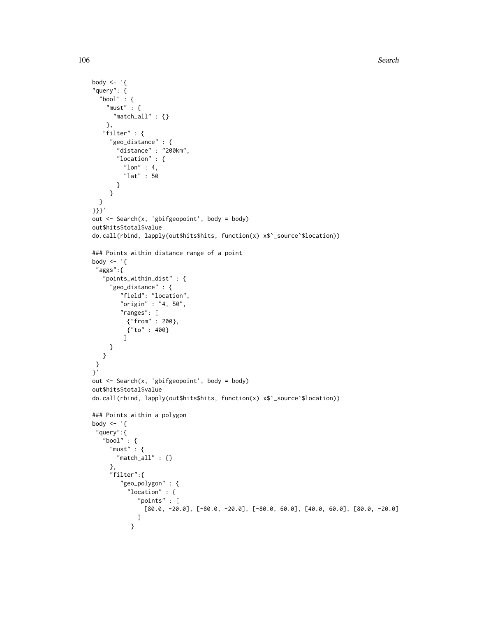```
body \leq - '{
"query": {
  "bool" : {
   "must" : {"match_all" : {}
   },
   "filter" : {
     "geo_distance" : {
       "distance" : "200km",
       "location" : {
         "lon" : 4,
         "lat" : 50
       }
     }
  }
}}}'
out <- Search(x, 'gbifgeopoint', body = body)
out$hits$total$value
do.call(rbind, lapply(out$hits$hits, function(x) x$`_source`$location))
### Points within distance range of a point
body \leq - '{
 "aggs":{
   "points_within_dist" : {
     "geo_distance" : {
        "field": "location",
        "origin" : "4, 50",
        "ranges": [
          {"from" : 200},
          {"to" : 400}
         ]
     }
  }
 }
}'
out <- Search(x, 'gbifgeopoint', body = body)
out$hits$total$value
do.call(rbind, lapply(out$hits$hits, function(x) x$`_source`$location))
### Points within a polygon
body \leq - '{
 "query":{
   "bool" : {
     "must" : {"match_all" : {}
     },
     "filter":{
        "geo_polygon" : {
          "location" : {
             "points" : [
               [80.0, -20.0], [-80.0, -20.0], [-80.0, 60.0], [40.0, 60.0], [80.0, -20.0]]
           }
```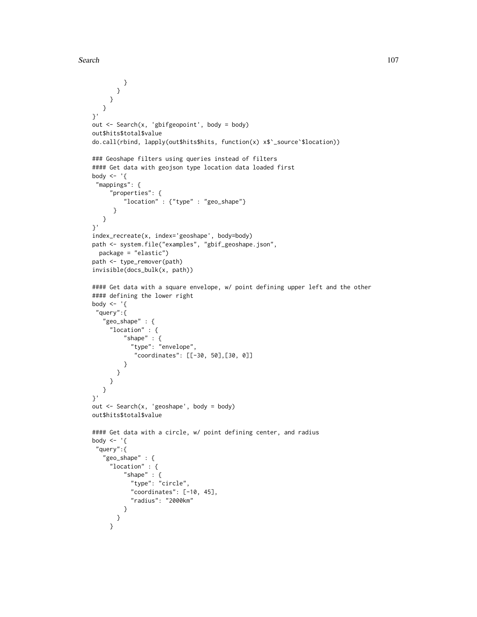```
}
       }
    }
  }
}'
out <- Search(x, 'gbifgeopoint', body = body)
out$hits$total$value
do.call(rbind, lapply(out$hits$hits, function(x) x$`_source`$location))
### Geoshape filters using queries instead of filters
#### Get data with geojson type location data loaded first
body <- '{
 "mappings": {
     "properties": {
         "location" : {"type" : "geo_shape"}
      }
  }
}'
index_recreate(x, index='geoshape', body=body)
path <- system.file("examples", "gbif_geoshape.json",
 package = "elastic")
path <- type_remover(path)
invisible(docs_bulk(x, path))
#### Get data with a square envelope, w/ point defining upper left and the other
#### defining the lower right
body \leq - '{
 "query":{
   "geo_shape" : {
     "location" : {
        "shape" : {
           "type": "envelope",
            "coordinates": [[-30, 50],[30, 0]]
         }
       }
     }
  }
}'
out <- Search(x, 'geoshape', body = body)
out$hits$total$value
#### Get data with a circle, w/ point defining center, and radius
body <- '{
 "query":{
   "geo_shape" : {
     "location" : {
         "shape" : {
           "type": "circle",
           "coordinates": [-10, 45],
           "radius": "2000km"
         }
       }
     }
```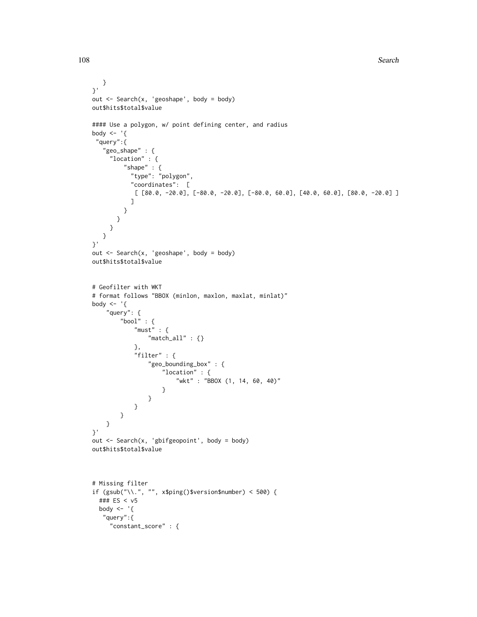```
}
}'
out <- Search(x, 'geoshape', body = body)
out$hits$total$value
#### Use a polygon, w/ point defining center, and radius
body \leq - '{
 "query":{
   "geo_shape" : {
     "location" : {
         "shape" : {
           "type": "polygon",
           "coordinates": [
            [ [80.0, -20.0], [-80.0, -20.0], [-80.0, 60.0], [40.0, 60.0], [80.0, -20.0] ]
           ]
         }
       }
     }
  }
}'
out <- Search(x, 'geoshape', body = body)
out$hits$total$value
# Geofilter with WKT
# format follows "BBOX (minlon, maxlon, maxlat, minlat)"
body \leq - '{
    "query": {
        "bool" : {
            "must" : {
                "match_all" : {}
            },
            "filter" : {
                "geo_bounding_box" : {
                    "location" : {
                        "wkt" : "BBOX (1, 14, 60, 40)"
                    }
                }
            }
       }
   }
}'
out <- Search(x, 'gbifgeopoint', body = body)
out$hits$total$value
# Missing filter
if (gsub("\\.", "", x$ping()$version$number) < 500) {
  ### ES < v5
  body \leq - '{
   "query":{
     "constant_score" : {
```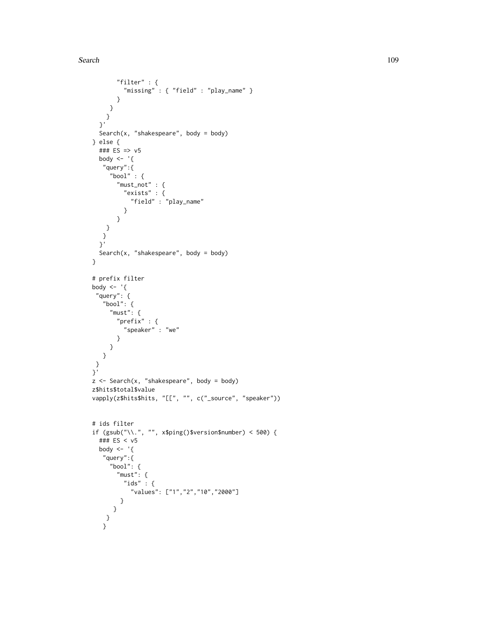#### Search 109

```
"filter" : {
        "missing" : { "field" : "play_name" }
       }
    }
   }
  }'
  Search(x, "shakespeare", body = body)
} else {
  ### ES => v5
  body \leq - '{
   "query":{
     "bool" : {
      "must_not" : {
        "exists" : {
          "field" : "play_name"
         }
       }
    }
   }
  }'
 Search(x, "shakespeare", body = body)
}
# prefix filter
body <- '{
 "query": {
   "bool": {
     "must": {
      "prefix" : {
         "speaker" : "we"
      }
    }
   }
 }
}'
z <- Search(x, "shakespeare", body = body)
z$hits$total$value
vapply(z$hits$hits, "[[", "", c("_source", "speaker"))
# ids filter
if (gsub("\\.", "", x$ping()$version$number) < 500) {
  ### ES < v5
  body <- '{
   "query":{
     "bool": {
      "must": {
        "ids" :: \{"values": ["1","2","10","2000"]
       }
     }
    }
   }
```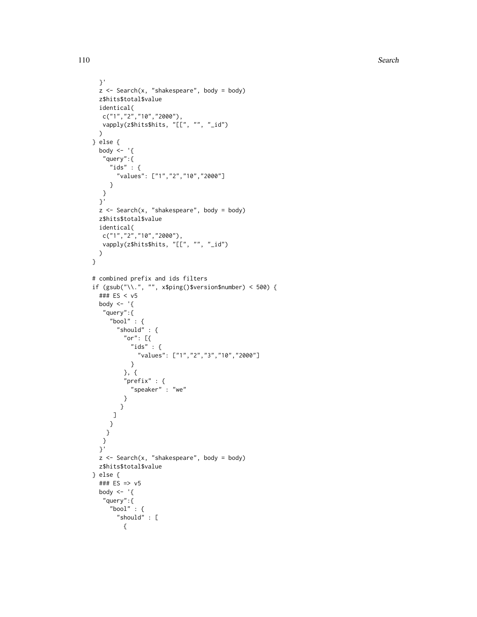```
}'
  z \le Search(x, "shakespeare", body = body)
  z$hits$total$value
 identical(
  c("1","2","10","2000"),
   vapply(z$hits$hits, "[[", "", "_id")
  \sum_{i=1}^{n}} else {
 body \leq - '{
   "query":{
     "ids" : {\mathbb S}"values": ["1","2","10","2000"]
     }
   }
  }'
  z \le Search(x, "shakespeare", body = body)
 z$hits$total$value
 identical(
  c("1","2","10","2000"),
   vapply(z$hits$hits, "[[", "", "_id")
 )
}
# combined prefix and ids filters
if (gsub("\\.", "", x$ping()$version$number) < 500) {
  ### ES < v5
  body \leq - '{
   "query":{
     "bool" : {
       "should" : {
         "or": [{
           "ids" :: \{"values": ["1","2","3","10","2000"]
           }
         }, {
         "prefix" : {
           "speaker" : "we"
         }
        }
      ]
     }
    }
   }
  }'
  z \le Search(x, "shakespeare", body = body)
  z$hits$total$value
} else {
  ### ES => v5
  body \leq - '{
   "query":{
     "bool" : {
       "should" : [
         {
```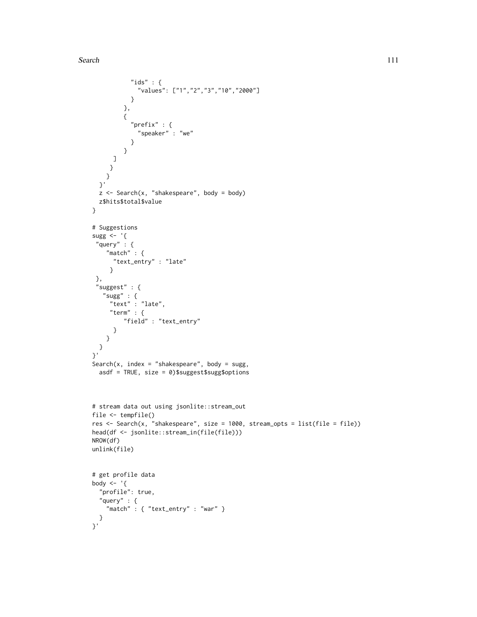```
"ids" : \{"values": ["1","2","3","10","2000"]
           }
         },
         {
           "prefix" : {
             "speaker" : "we"
           }
         }
     ]
    }
   }
  }'
  z \leq Search(x, "shakespeare", body = body)
 z$hits$total$value
}
# Suggestions
sugg <- '{
 "query" :"match" : {
     "text_entry" : "late"
    }
 },
 "suggest" : {
   "sugg" : {
     "text" : "late",
     "term" : {
        "field" : "text_entry"
     }
   }
 }
}'
Search(x, index = "shakespeare", body = sugg,
 asdf = TRUE, size = 0)$suggest$sugg$options
# stream data out using jsonlite::stream_out
file <- tempfile()
res <- Search(x, "shakespeare", size = 1000, stream_opts = list(file = file))
head(df <- jsonlite::stream_in(file(file)))
NROW(df)
unlink(file)
# get profile data
body \leq - '{
  "profile": true,
  "query" : {
   "match" : { "text_entry" : "war" }
 }
}'
```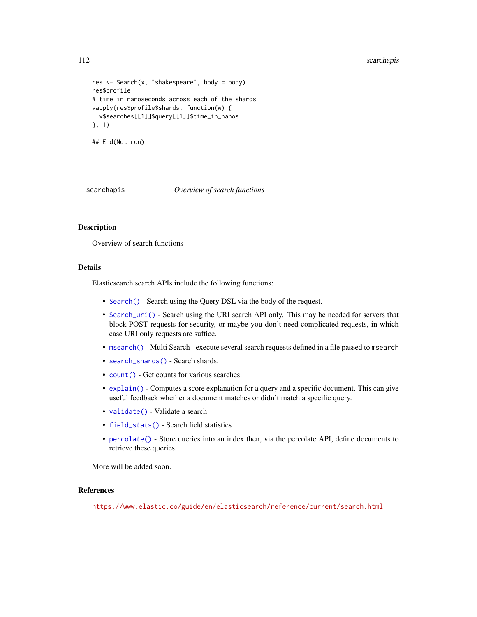#### 112 searchapis

```
res <- Search(x, "shakespeare", body = body)
res$profile
# time in nanoseconds across each of the shards
vapply(res$profile$shards, function(w) {
  w$searches[[1]]$query[[1]]$time_in_nanos
}, 1)
## End(Not run)
```
searchapis *Overview of search functions*

# Description

Overview of search functions

#### Details

Elasticsearch search APIs include the following functions:

- [Search\(\)](#page-91-0) Search using the Query DSL via the body of the request.
- [Search\\_uri\(\)](#page-116-0) Search using the URI search API only. This may be needed for servers that block POST requests for security, or maybe you don't need complicated requests, in which case URI only requests are suffice.
- [msearch\(\)](#page-72-0) Multi Search execute several search requests defined in a file passed to msearch
- [search\\_shards\(\)](#page-112-0) Search shards.
- [count\(\)](#page-15-0) Get counts for various searches.
- [explain\(\)](#page-50-0) Computes a score explanation for a query and a specific document. This can give useful feedback whether a document matches or didn't match a specific query.
- [validate\(\)](#page-128-0) Validate a search
- [field\\_stats\(\)](#page-54-0) Search field statistics
- [percolate\(\)](#page-78-0) Store queries into an index then, via the percolate API, define documents to retrieve these queries.

More will be added soon.

#### References

<https://www.elastic.co/guide/en/elasticsearch/reference/current/search.html>

<span id="page-111-0"></span>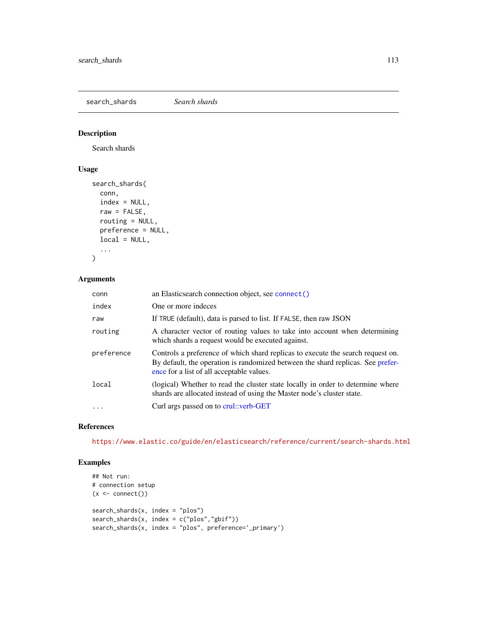<span id="page-112-1"></span><span id="page-112-0"></span>search\_shards *Search shards*

# Description

Search shards

# Usage

```
search_shards(
 conn,
 index = NULL,raw = FALSE,routing = NULL,
 preference = NULL,
 local = NULL,...
```

```
\mathcal{L}
```
# Arguments

| conn       | an Elasticsearch connection object, see connect()                                                                                                                                                               |
|------------|-----------------------------------------------------------------------------------------------------------------------------------------------------------------------------------------------------------------|
| index      | One or more indeces                                                                                                                                                                                             |
| raw        | If TRUE (default), data is parsed to list. If FALSE, then raw JSON                                                                                                                                              |
| routing    | A character vector of routing values to take into account when determining<br>which shards a request would be executed against.                                                                                 |
| preference | Controls a preference of which shard replicas to execute the search request on.<br>By default, the operation is randomized between the shard replicas. See prefer-<br>ence for a list of all acceptable values. |
| local      | (logical) Whether to read the cluster state locally in order to determine where<br>shards are allocated instead of using the Master node's cluster state.                                                       |
| $\ddotsc$  | Curl args passed on to crul::verb-GET                                                                                                                                                                           |

# References

<https://www.elastic.co/guide/en/elasticsearch/reference/current/search-shards.html>

```
## Not run:
# connection setup
(x < - \text{connect}())search_shards(x, index = "plos")
search_shards(x, index = c("plos","gbif"))
search_shards(x, index = "plos", preference='_primary')
```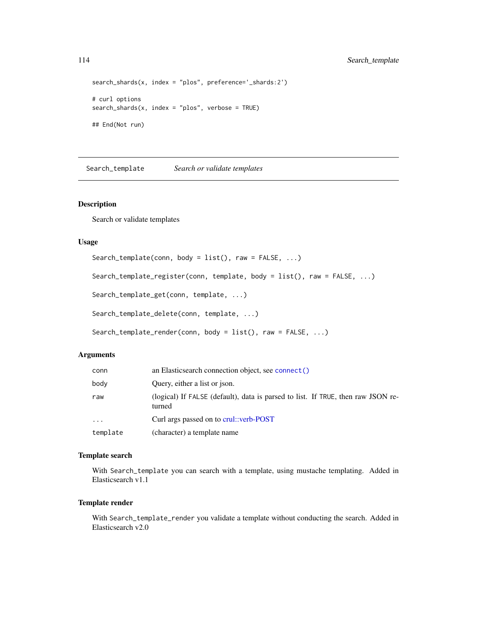```
search_shards(x, index = "plos", preference='_shards:2')
# curl options
search\_shards(x, index = "plos", verbose = TRUE)## End(Not run)
```
<span id="page-113-0"></span>Search\_template *Search or validate templates*

#### Description

Search or validate templates

#### Usage

```
Search_template(conn, body = list(), raw = FALSE, ...)
Search_template_register(conn, template, body = list(), raw = FALSE, ...)
Search_template_get(conn, template, ...)
Search_template_delete(conn, template, ...)
Search_template_render(conn, body = list(), raw = FALSE, ...)
```
#### Arguments

| conn     | an Elasticsearch connection object, see connect()                                          |
|----------|--------------------------------------------------------------------------------------------|
| body     | Ouery, either a list or json.                                                              |
| raw      | (logical) If FALSE (default), data is parsed to list. If TRUE, then raw JSON re-<br>turned |
| $\ddots$ | Curl args passed on to crul::verb-POST                                                     |
| template | (character) a template name                                                                |

# Template search

With Search\_template you can search with a template, using mustache templating. Added in Elasticsearch v1.1

#### Template render

With Search\_template\_render you validate a template without conducting the search. Added in Elasticsearch v2.0

<span id="page-113-1"></span>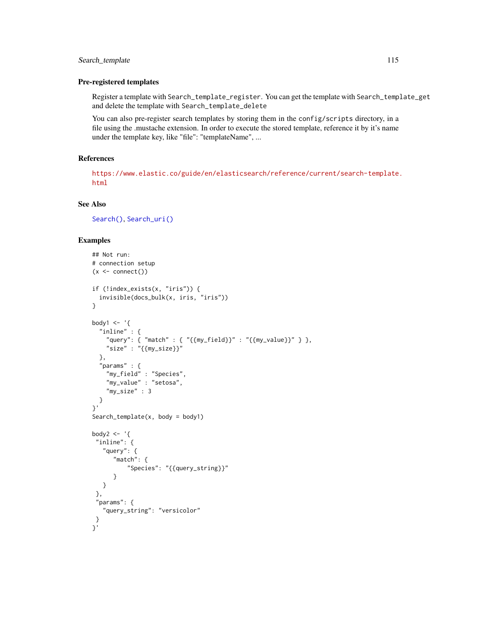# <span id="page-114-0"></span>Search\_template 115

#### Pre-registered templates

Register a template with Search\_template\_register. You can get the template with Search\_template\_get and delete the template with Search\_template\_delete

You can also pre-register search templates by storing them in the config/scripts directory, in a file using the .mustache extension. In order to execute the stored template, reference it by it's name under the template key, like "file": "templateName", ...

# References

[https://www.elastic.co/guide/en/elasticsearch/reference/current/search-template.](https://www.elastic.co/guide/en/elasticsearch/reference/current/search-template.html) [html](https://www.elastic.co/guide/en/elasticsearch/reference/current/search-template.html)

# See Also

[Search\(\)](#page-91-0), [Search\\_uri\(\)](#page-116-0)

```
## Not run:
# connection setup
(x \leq connect())
if (!index_exists(x, "iris")) {
  invisible(docs_bulk(x, iris, "iris"))
}
body1 \leq - '{
  "inline" : {
    "query": { "match" : { "{{my_field}}" : "{{my_value}}" } },
    "size" : "{{my_size}}"
  },
  "params" : {
    "my_field" : "Species",
    "my_value" : "setosa",
    "my_size" : 3
  }
}'
Search_template(x, body = body1)
body2 \leftarrow '{
 "inline": {
   "query": {
      "match": {
          "Species": "{{query_string}}"
      }
   }
 },
 "params": {
   "query_string": "versicolor"
 }
}'
```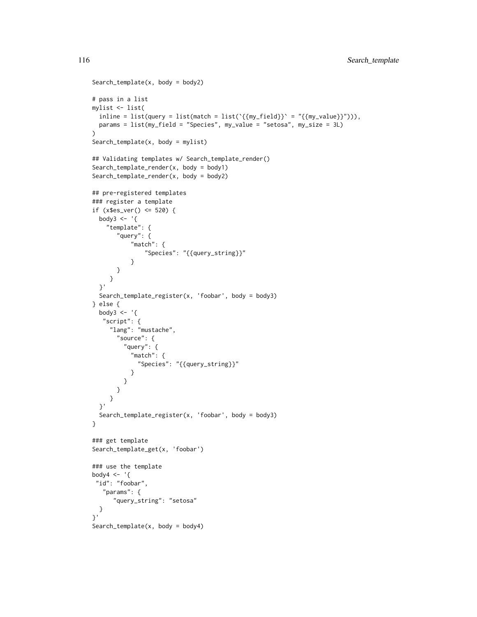```
Search_template(x, body = body2)
# pass in a list
mylist <- list(
 inline = list(query = list(match = list(`{{my_field}}` = "{{my_value}}"))),
  params = list(my_field = "Species", my_value = "setosa", my_size = 3L)
\lambdaSearch_template(x, body = mylist)
## Validating templates w/ Search_template_render()
Search_template_render(x, body = body1)
Search_template_render(x, body = body2)
## pre-registered templates
### register a template
if (x$es_ver() <= 520) {
 body3 <- '{
    "template": {
       "query": {
           "match": {
               "Species": "{{query_string}}"
           }
       }
     }
  }'
  Search_template_register(x, 'foobar', body = body3)
} else {
  body3 <- \left\{ \right. \left\{ \right."script": {
     "lang": "mustache",
       "source": {
         "query": {
           "match": {
             "Species": "{{query_string}}"
           }
         }
       }
     }
  }'
  Search_template_register(x, 'foobar', body = body3)
}
### get template
Search_template_get(x, 'foobar')
### use the template
body4 \leq - '{
 "id": "foobar",
   "params": {
      "query_string": "setosa"
  }
}'
Search_template(x, body = body4)
```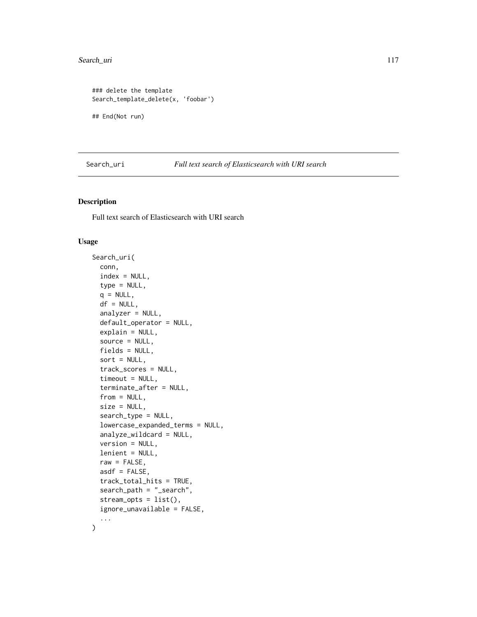# <span id="page-116-1"></span>Search\_uri 117

```
### delete the template
Search_template_delete(x, 'foobar')
## End(Not run)
```
<span id="page-116-0"></span>Search\_uri *Full text search of Elasticsearch with URI search*

# Description

Full text search of Elasticsearch with URI search

#### Usage

```
Search_uri(
  conn,
  index = NULL,type = NULL,
  q = NULL,df = NULL,analyzer = NULL,
  default_operator = NULL,
  explain = NULL,
  source = NULL,
  fields = NULL,
  sort = NULL,track_scores = NULL,
  timeout = NULL,
  terminate_after = NULL,
  from = NULL,size = NULL,
  search_type = NULL,
  lowercase_expanded_terms = NULL,
  analyze_wildcard = NULL,
  version = NULL,
  lenient = NULL,
  raw = FALSE,asdf = FALSE,track_total_hits = TRUE,
  search_path = "_search",
  stream_opts = list(),
  ignore_unavailable = FALSE,
  ...
```
 $\mathcal{L}$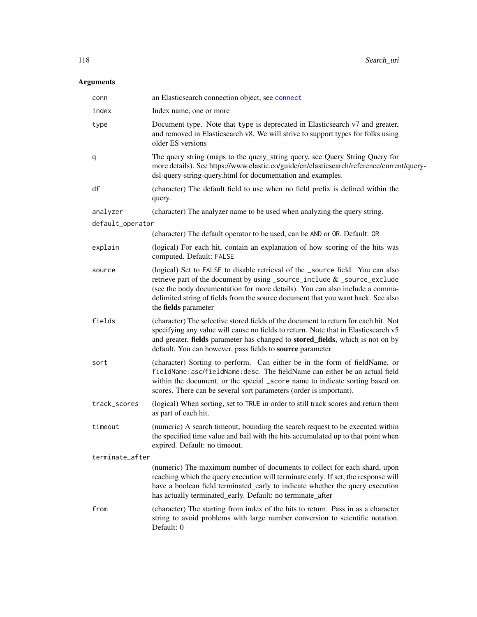# <span id="page-117-0"></span>Arguments

| conn             | an Elasticsearch connection object, see connect                                                                                                                                                                                                                                                                                                        |
|------------------|--------------------------------------------------------------------------------------------------------------------------------------------------------------------------------------------------------------------------------------------------------------------------------------------------------------------------------------------------------|
| index            | Index name, one or more                                                                                                                                                                                                                                                                                                                                |
| type             | Document type. Note that type is deprecated in Elasticsearch v7 and greater,<br>and removed in Elasticsearch v8. We will strive to support types for folks using<br>older ES versions                                                                                                                                                                  |
| q                | The query string (maps to the query_string query, see Query String Query for<br>more details). See https://www.elastic.co/guide/en/elasticsearch/reference/current/query-<br>dsl-query-string-query.html for documentation and examples.                                                                                                               |
| df               | (character) The default field to use when no field prefix is defined within the<br>query.                                                                                                                                                                                                                                                              |
| analyzer         | (character) The analyzer name to be used when analyzing the query string.                                                                                                                                                                                                                                                                              |
| default_operator |                                                                                                                                                                                                                                                                                                                                                        |
|                  | (character) The default operator to be used, can be AND or OR. Default: OR                                                                                                                                                                                                                                                                             |
| explain          | (logical) For each hit, contain an explanation of how scoring of the hits was<br>computed. Default: FALSE                                                                                                                                                                                                                                              |
| source           | (logical) Set to FALSE to disable retrieval of the _source field. You can also<br>retrieve part of the document by using _source_include & _source_exclude<br>(see the body documentation for more details). You can also include a comma-<br>delimited string of fields from the source document that you want back. See also<br>the fields parameter |
| fields           | (character) The selective stored fields of the document to return for each hit. Not<br>specifying any value will cause no fields to return. Note that in Elasticsearch v5<br>and greater, fields parameter has changed to stored_fields, which is not on by<br>default. You can however, pass fields to source parameter                               |
| sort             | (character) Sorting to perform. Can either be in the form of fieldName, or<br>fieldName: asc/fieldName: desc. The fieldName can either be an actual field<br>within the document, or the special _score name to indicate sorting based on<br>scores. There can be several sort parameters (order is important).                                        |
| track_scores     | (logical) When sorting, set to TRUE in order to still track scores and return them<br>as part of each hit.                                                                                                                                                                                                                                             |
| timeout          | (numeric) A search timeout, bounding the search request to be executed within<br>the specified time value and bail with the hits accumulated up to that point when<br>expired. Default: no timeout.                                                                                                                                                    |
| terminate_after  |                                                                                                                                                                                                                                                                                                                                                        |
|                  | (numeric) The maximum number of documents to collect for each shard, upon<br>reaching which the query execution will terminate early. If set, the response will<br>have a boolean field terminated_early to indicate whether the query execution<br>has actually terminated_early. Default: no terminate_after                                         |
| from             | (character) The starting from index of the hits to return. Pass in as a character<br>string to avoid problems with large number conversion to scientific notation.<br>Default: 0                                                                                                                                                                       |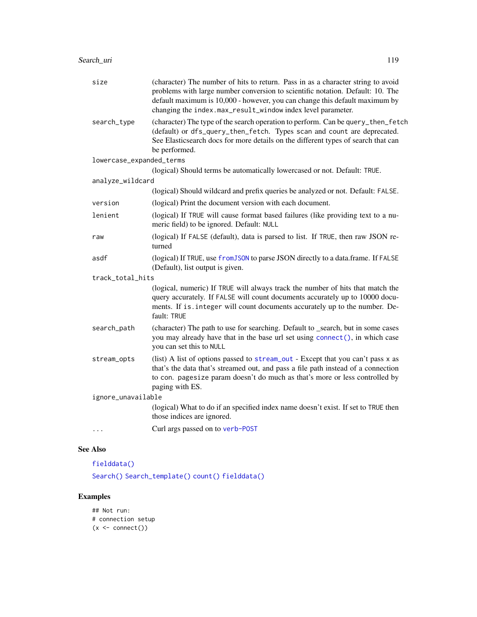<span id="page-118-0"></span>

| size                     | (character) The number of hits to return. Pass in as a character string to avoid<br>problems with large number conversion to scientific notation. Default: 10. The<br>default maximum is 10,000 - however, you can change this default maximum by<br>changing the index.max_result_window index level parameter. |
|--------------------------|------------------------------------------------------------------------------------------------------------------------------------------------------------------------------------------------------------------------------------------------------------------------------------------------------------------|
| search_type              | (character) The type of the search operation to perform. Can be query_then_fetch<br>(default) or dfs_query_then_fetch. Types scan and count are deprecated.<br>See Elasticsearch docs for more details on the different types of search that can<br>be performed.                                                |
| lowercase_expanded_terms |                                                                                                                                                                                                                                                                                                                  |
|                          | (logical) Should terms be automatically lowercased or not. Default: TRUE.                                                                                                                                                                                                                                        |
| analyze_wildcard         |                                                                                                                                                                                                                                                                                                                  |
|                          | (logical) Should wildcard and prefix queries be analyzed or not. Default: FALSE.                                                                                                                                                                                                                                 |
| version                  | (logical) Print the document version with each document.                                                                                                                                                                                                                                                         |
| lenient                  | (logical) If TRUE will cause format based failures (like providing text to a nu-<br>meric field) to be ignored. Default: NULL                                                                                                                                                                                    |
| raw                      | (logical) If FALSE (default), data is parsed to list. If TRUE, then raw JSON re-<br>turned                                                                                                                                                                                                                       |
| asdf                     | (logical) If TRUE, use from JSON to parse JSON directly to a data.frame. If FALSE<br>(Default), list output is given.                                                                                                                                                                                            |
| track_total_hits         |                                                                                                                                                                                                                                                                                                                  |
|                          | (logical, numeric) If TRUE will always track the number of hits that match the<br>query accurately. If FALSE will count documents accurately up to 10000 docu-<br>ments. If is . integer will count documents accurately up to the number. De-<br>fault: TRUE                                                    |
| search_path              | (character) The path to use for searching. Default to _search, but in some cases<br>you may already have that in the base url set using connect(), in which case<br>you can set this to NULL                                                                                                                     |
| stream_opts              | (list) A list of options passed to stream_out - Except that you can't pass x as<br>that's the data that's streamed out, and pass a file path instead of a connection<br>to con. pagesize param doesn't do much as that's more or less controlled by<br>paging with ES.                                           |
| ignore_unavailable       |                                                                                                                                                                                                                                                                                                                  |
|                          | (logical) What to do if an specified index name doesn't exist. If set to TRUE then<br>those indices are ignored.                                                                                                                                                                                                 |
|                          | Curl args passed on to verb-P0ST                                                                                                                                                                                                                                                                                 |

# See Also

[fielddata\(\)](#page-52-0)

[Search\(\)](#page-91-0) [Search\\_template\(\)](#page-113-0) [count\(\)](#page-15-0) [fielddata\(\)](#page-52-0)

```
## Not run:
# connection setup
(x < - \text{connect}())
```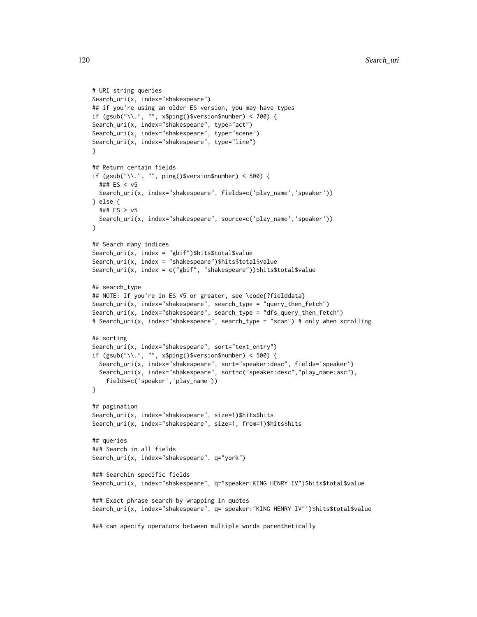```
# URI string queries
Search_uri(x, index="shakespeare")
## if you're using an older ES version, you may have types
if (gsub("\\'.", "", x$ping()$version$number) < 700 {
Search_uri(x, index="shakespeare", type="act")
Search_uri(x, index="shakespeare", type="scene")
Search_uri(x, index="shakespeare", type="line")
}
## Return certain fields
if (gsub("\\.", "", ping()$version$number) < 500) {
 ### ES < v5
 Search_uri(x, index="shakespeare", fields=c('play_name','speaker'))
} else {
 ### ES > v5
 Search_uri(x, index="shakespeare", source=c('play_name','speaker'))
}
## Search many indices
Search_uri(x, index = "gbif")$hits$total$value
Search_uri(x, index = "shakespeare")$hits$total$value
Search_uri(x, index = c("gbif", "shakespeare"))$hits$total$value
## search_type
## NOTE: If you're in ES V5 or greater, see \code{?fielddata}
Search_uri(x, index="shakespeare", search_type = "query_then_fetch")
Search_uri(x, index="shakespeare", search_type = "dfs_query_then_fetch")
# Search_uri(x, index="shakespeare", search_type = "scan") # only when scrolling
## sorting
Search_uri(x, index="shakespeare", sort="text_entry")
if (gsub("\\'.", "", x$ping()$version$number) < 500) {
 Search_uri(x, index="shakespeare", sort="speaker:desc", fields='speaker')
 Search_uri(x, index="shakespeare", sort=c("speaker:desc","play_name:asc"),
    fields=c('speaker','play_name'))
}
## pagination
Search_uri(x, index="shakespeare", size=1)$hits$hits
Search_uri(x, index="shakespeare", size=1, from=1)$hits$hits
## queries
### Search in all fields
Search_uri(x, index="shakespeare", q="york")
### Searchin specific fields
Search_uri(x, index="shakespeare", q="speaker:KING HENRY IV")$hits$total$value
### Exact phrase search by wrapping in quotes
Search_uri(x, index="shakespeare", q='speaker:"KING HENRY IV"')$hits$total$value
### can specify operators between multiple words parenthetically
```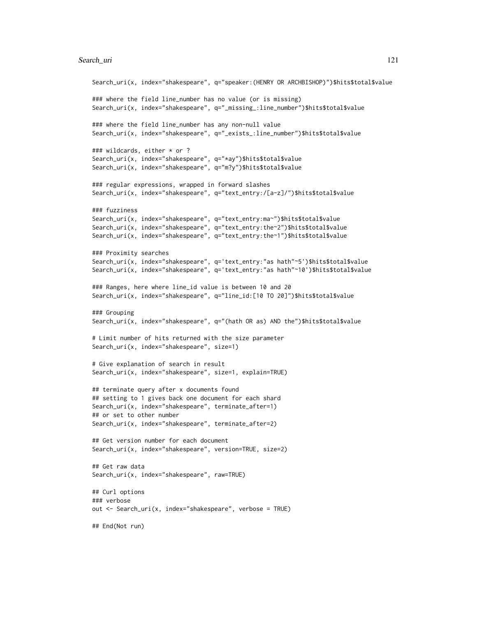#### Search\_uri 121

```
Search_uri(x, index="shakespeare", q="speaker:(HENRY OR ARCHBISHOP)")$hits$total$value
### where the field line_number has no value (or is missing)
Search_uri(x, index="shakespeare", q="_missing_:line_number")$hits$total$value
### where the field line_number has any non-null value
Search_uri(x, index="shakespeare", q="_exists_:line_number")$hits$total$value
### wildcards, either * or ?
Search_uri(x, index="shakespeare", q="*ay")$hits$total$value
Search_uri(x, index="shakespeare", q="m?y")$hits$total$value
### regular expressions, wrapped in forward slashes
Search_uri(x, index="shakespeare", q="text_entry:/[a-z]/")$hits$total$value
### fuzziness
Search_uri(x, index="shakespeare", q="text_entry:ma~")$hits$total$value
Search_uri(x, index="shakespeare", q="text_entry:the~2")$hits$total$value
Search_uri(x, index="shakespeare", q="text_entry:the~1")$hits$total$value
### Proximity searches
Search_uri(x, index="shakespeare", q='text_entry:"as hath"~5')$hits$total$value
Search_uri(x, index="shakespeare", q='text_entry:"as hath"~10')$hits$total$value
### Ranges, here where line_id value is between 10 and 20
Search_uri(x, index="shakespeare", q="line_id:[10 TO 20]")$hits$total$value
### Grouping
Search_uri(x, index="shakespeare", q="(hath OR as) AND the")$hits$total$value
# Limit number of hits returned with the size parameter
Search_uri(x, index="shakespeare", size=1)
# Give explanation of search in result
Search_uri(x, index="shakespeare", size=1, explain=TRUE)
## terminate query after x documents found
## setting to 1 gives back one document for each shard
Search_uri(x, index="shakespeare", terminate_after=1)
## or set to other number
Search_uri(x, index="shakespeare", terminate_after=2)
## Get version number for each document
Search_uri(x, index="shakespeare", version=TRUE, size=2)
## Get raw data
Search_uri(x, index="shakespeare", raw=TRUE)
## Curl options
### verbose
out <- Search_uri(x, index="shakespeare", verbose = TRUE)
## End(Not run)
```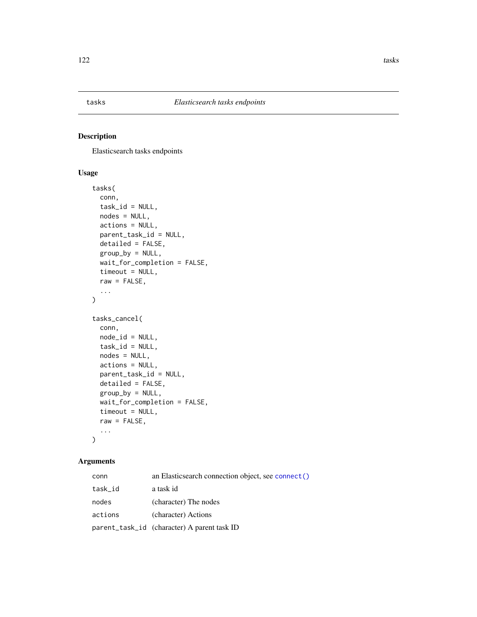<span id="page-121-0"></span>

# Description

Elasticsearch tasks endpoints

# Usage

```
tasks(
  conn,
  task_id = NULL,nodes = NULL,
  actions = NULL,
 parent_task_id = NULL,
  detailed = FALSE,
 group_by = NULL,
 wait_for_completion = FALSE,
  timeout = NULL,
 raw = FALSE,...
)
tasks_cancel(
  conn,
 node_id = NULL,task_id = NULL,nodes = NULL,
  actions = NULL,
 parent_task_id = NULL,
  detailed = FALSE,
  group_by = NULL,wait_for_completion = FALSE,
  timeout = NULL,
  raw = FALSE,...
\mathcal{L}
```
# Arguments

| conn    | an Elasticsearch connection object, see connect() |
|---------|---------------------------------------------------|
| task_id | a task id                                         |
| nodes   | (character) The nodes                             |
| actions | (character) Actions                               |
|         | parent_task_id (character) A parent task ID       |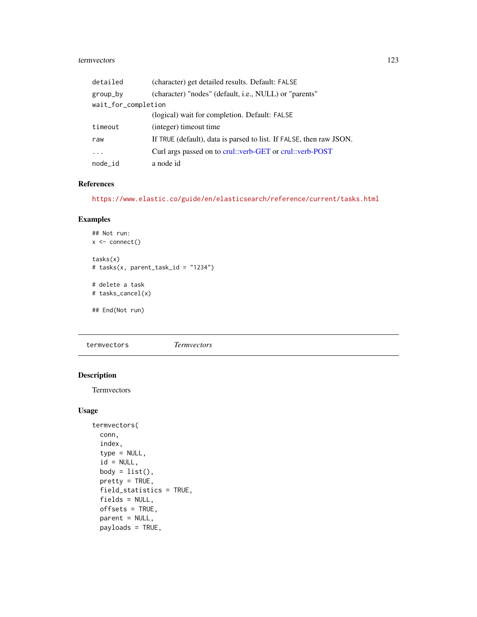#### <span id="page-122-0"></span>termvectors 123

| detailed            | (character) get detailed results. Default: FALSE                    |  |
|---------------------|---------------------------------------------------------------------|--|
| group_by            | (character) "nodes" (default, i.e., NULL) or "parents"              |  |
| wait_for_completion |                                                                     |  |
|                     | (logical) wait for completion. Default: FALSE                       |  |
| timeout             | (integer) timeout time                                              |  |
| raw                 | If TRUE (default), data is parsed to list. If FALSE, then raw JSON. |  |
| .                   | Curl args passed on to crul::verb-GET or crul::verb-POST            |  |
| node_id             | a node id                                                           |  |

# References

<https://www.elastic.co/guide/en/elasticsearch/reference/current/tasks.html>

# Examples

```
## Not run:
x \leftarrow \text{connect}()tasks(x)
# tasks(x, parent_task_id = "1234")
# delete a task
# tasks_cancel(x)
## End(Not run)
```
termvectors *Termvectors*

# Description

Termvectors

# Usage

```
termvectors(
  conn,
  index,
  type = NULL,
  id = NULL,body = list(),
 pretty = TRUE,
 field_statistics = TRUE,
  fields = NULL,
 offsets = TRUE,
  parent = NULL,
  payloads = TRUE,
```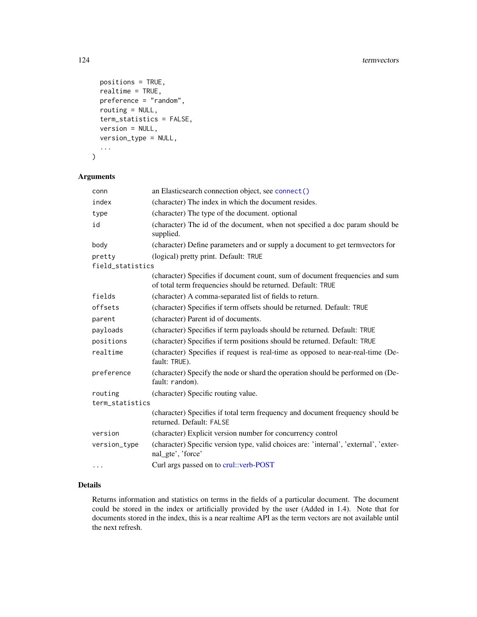```
positions = TRUE,
realtime = TRUE,
preference = "random",
routing = NULL,
term_statistics = FALSE,
version = NULL,
version_type = NULL,
...
```

```
)
```
# Arguments

| conn             | an Elasticsearch connection object, see connect()                                                                                           |  |
|------------------|---------------------------------------------------------------------------------------------------------------------------------------------|--|
| index            | (character) The index in which the document resides.                                                                                        |  |
| type             | (character) The type of the document. optional                                                                                              |  |
| id               | (character) The id of the document, when not specified a doc param should be<br>supplied.                                                   |  |
| body             | (character) Define parameters and or supply a document to get termvectors for                                                               |  |
| pretty           | (logical) pretty print. Default: TRUE                                                                                                       |  |
| field_statistics |                                                                                                                                             |  |
|                  | (character) Specifies if document count, sum of document frequencies and sum<br>of total term frequencies should be returned. Default: TRUE |  |
| fields           | (character) A comma-separated list of fields to return.                                                                                     |  |
| offsets          | (character) Specifies if term offsets should be returned. Default: TRUE                                                                     |  |
| parent           | (character) Parent id of documents.                                                                                                         |  |
| payloads         | (character) Specifies if term payloads should be returned. Default: TRUE                                                                    |  |
| positions        | (character) Specifies if term positions should be returned. Default: TRUE                                                                   |  |
| realtime         | (character) Specifies if request is real-time as opposed to near-real-time (De-<br>fault: TRUE).                                            |  |
| preference       | (character) Specify the node or shard the operation should be performed on (De-<br>fault: random).                                          |  |
| routing          | (character) Specific routing value.                                                                                                         |  |
| term_statistics  |                                                                                                                                             |  |
|                  | (character) Specifies if total term frequency and document frequency should be<br>returned. Default: FALSE                                  |  |
| version          | (character) Explicit version number for concurrency control                                                                                 |  |
| version_type     | (character) Specific version type, valid choices are: 'internal', 'external', 'exter-<br>nal_gte', 'force'                                  |  |
| .                | Curl args passed on to crul: verb-POST                                                                                                      |  |

# Details

Returns information and statistics on terms in the fields of a particular document. The document could be stored in the index or artificially provided by the user (Added in 1.4). Note that for documents stored in the index, this is a near realtime API as the term vectors are not available until the next refresh.

<span id="page-123-0"></span>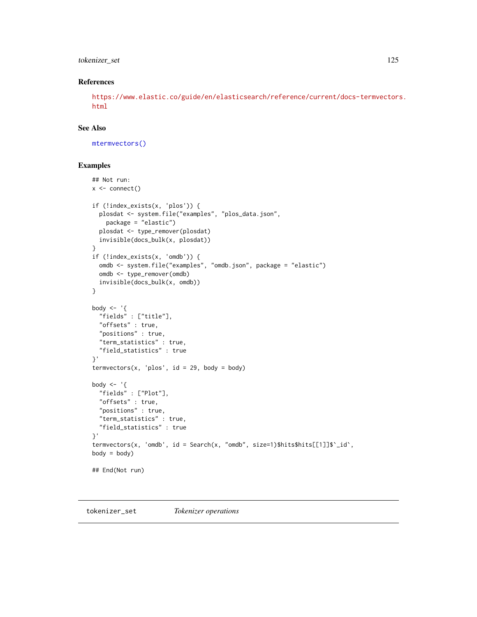# <span id="page-124-0"></span>tokenizer\_set 125

#### References

[https://www.elastic.co/guide/en/elasticsearch/reference/current/docs-termvectors](https://www.elastic.co/guide/en/elasticsearch/reference/current/docs-termvectors.html). [html](https://www.elastic.co/guide/en/elasticsearch/reference/current/docs-termvectors.html)

# See Also

[mtermvectors\(\)](#page-73-0)

#### Examples

```
## Not run:
x \leftarrow \text{connect}()if (!index_exists(x, 'plos')) {
  plosdat <- system.file("examples", "plos_data.json",
    package = "elastic")
  plosdat <- type_remover(plosdat)
  invisible(docs_bulk(x, plosdat))
}
if (!index_exists(x, 'omdb')) {
  omdb <- system.file("examples", "omdb.json", package = "elastic")
  omdb <- type_remover(omdb)
  invisible(docs_bulk(x, omdb))
}
body \leq - '{
  "fields" : ["title"],
  "offsets" : true,
  "positions" : true,
  "term_statistics" : true,
  "field_statistics" : true
}'
termvectors(x, 'plos', id = 29, body = body)body \leq - '{
  "fields" : ["Plot"],
  "offsets" : true,
  "positions" : true,
  "term_statistics" : true,
  "field_statistics" : true
}'
termvectors(x, 'omdb', id = Search(x, "omdb", size=1)$hits$hits[[1]]$`_id`,
body = body)## End(Not run)
```
tokenizer\_set *Tokenizer operations*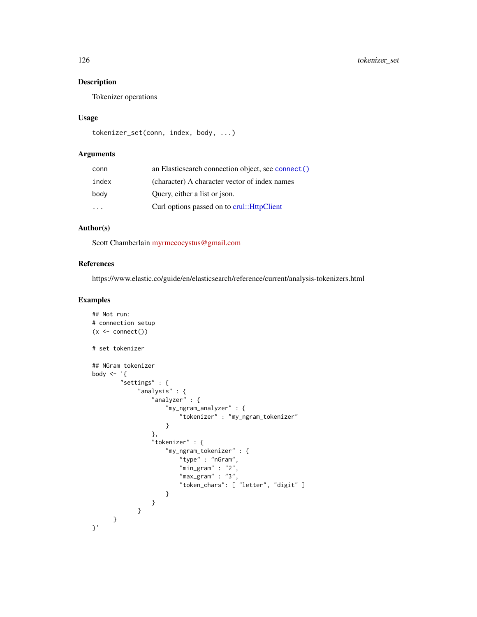# <span id="page-125-0"></span>Description

Tokenizer operations

#### Usage

```
tokenizer_set(conn, index, body, ...)
```
# Arguments

| conn  | an Elasticsearch connection object, see connect () |
|-------|----------------------------------------------------|
| index | (character) A character vector of index names      |
| body  | Query, either a list or json.                      |
|       | Curl options passed on to crul:: HttpClient        |

# Author(s)

Scott Chamberlain [myrmecocystus@gmail.com](mailto:myrmecocystus@gmail.com)

### References

https://www.elastic.co/guide/en/elasticsearch/reference/current/analysis-tokenizers.html

```
## Not run:
# connection setup
(x < - \text{connect}())# set tokenizer
## NGram tokenizer
body \leq - '{
        "settings" : {
              "analysis" : {
                  "analyzer" : {
                      "my_ngram_analyzer" : {
                           "tokenizer" : "my_ngram_tokenizer"
                      }
                  },
                  "tokenizer" : {
                      "my_ngram_tokenizer" : {
                           "type" : "nGram",
                          "min_gram" : "2",
                          "max_{\text{gamma}} : "3",
                           "token_chars": [ "letter", "digit" ]
                      }
                  }
             }
    }
}'
```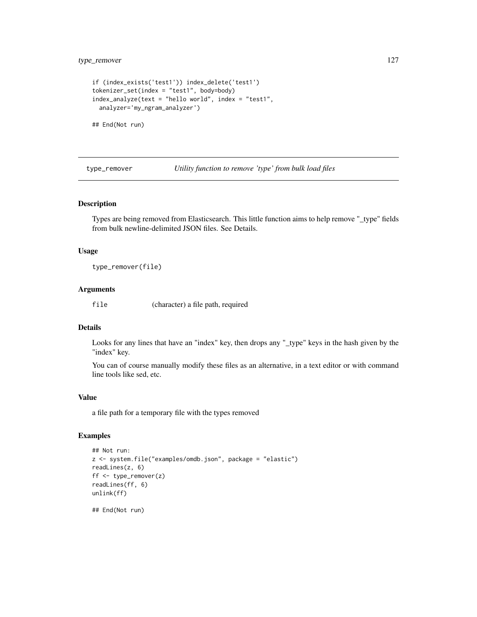```
if (index_exists('test1')) index_delete('test1')
tokenizer_set(index = "test1", body=body)
index_analyze(text = "hello world", index = "test1",
 analyzer='my_ngram_analyzer')
```
## End(Not run)

type\_remover *Utility function to remove 'type' from bulk load files*

#### Description

Types are being removed from Elasticsearch. This little function aims to help remove "\_type" fields from bulk newline-delimited JSON files. See Details.

#### Usage

type\_remover(file)

#### Arguments

file (character) a file path, required

# Details

Looks for any lines that have an "index" key, then drops any "\_type" keys in the hash given by the "index" key.

You can of course manually modify these files as an alternative, in a text editor or with command line tools like sed, etc.

#### Value

a file path for a temporary file with the types removed

```
## Not run:
z <- system.file("examples/omdb.json", package = "elastic")
readLines(z, 6)
ff <- type_remover(z)
readLines(ff, 6)
unlink(ff)
```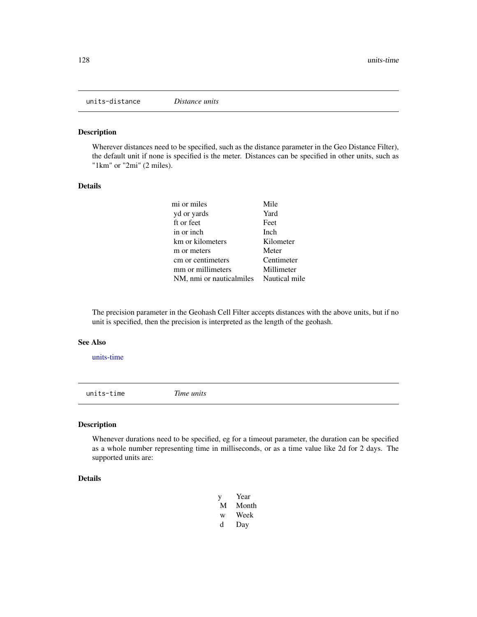<span id="page-127-2"></span><span id="page-127-1"></span>units-distance *Distance units*

# Description

Wherever distances need to be specified, such as the distance parameter in the Geo Distance Filter), the default unit if none is specified is the meter. Distances can be specified in other units, such as "1km" or "2mi" (2 miles).

#### Details

| mi or miles                            | Mile       |
|----------------------------------------|------------|
| yd or yards                            | Yard       |
| ft or feet                             | Feet       |
| in or inch                             | Inch       |
| km or kilometers                       | Kilometer  |
| m or meters                            | Meter      |
| cm or centimeters                      | Centimeter |
| mm or millimeters                      | Millimeter |
| NM, nmi or nauticalmiles Nautical mile |            |

The precision parameter in the Geohash Cell Filter accepts distances with the above units, but if no unit is specified, then the precision is interpreted as the length of the geohash.

#### See Also

[units-time](#page-127-0)

<span id="page-127-0"></span>units-time *Time units*

#### Description

Whenever durations need to be specified, eg for a timeout parameter, the duration can be specified as a whole number representing time in milliseconds, or as a time value like 2d for 2 days. The supported units are:

## Details

- y Year M Month w Week
- 
- d Day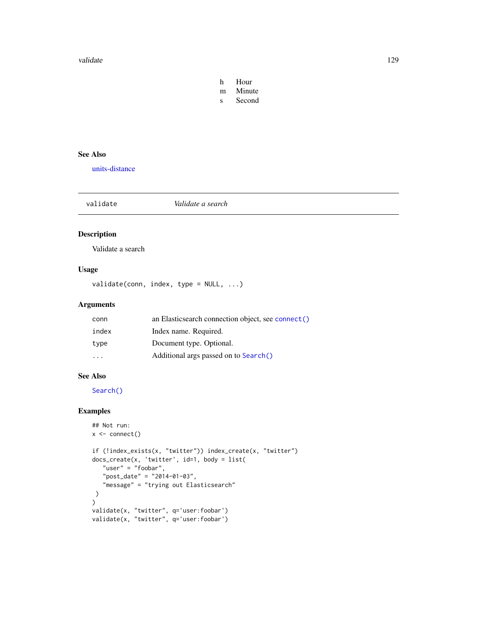#### <span id="page-128-1"></span>validate the contract of the contract of the contract of the contract of the contract of the contract of the contract of the contract of the contract of the contract of the contract of the contract of the contract of the c

- h Hour m Minute
- s Second

# See Also

[units-distance](#page-127-1)

<span id="page-128-0"></span>validate *Validate a search*

# Description

Validate a search

# Usage

validate(conn, index, type = NULL, ...)

# Arguments

| conn                    | an Elasticsearch connection object, see connect () |
|-------------------------|----------------------------------------------------|
| index                   | Index name. Required.                              |
| type                    | Document type. Optional.                           |
| $\cdot$ $\cdot$ $\cdot$ | Additional args passed on to Search()              |

#### See Also

[Search\(\)](#page-91-0)

```
## Not run:
x <- connect()
if (!index_exists(x, "twitter")) index_create(x, "twitter")
docs_create(x, 'twitter', id=1, body = list(
   "user" = "foobar",
   "post_date" = "2014-01-03",
   "message" = "trying out Elasticsearch"
)
\mathcal{L}validate(x, "twitter", q='user:foobar')
validate(x, "twitter", q='user:foobar')
```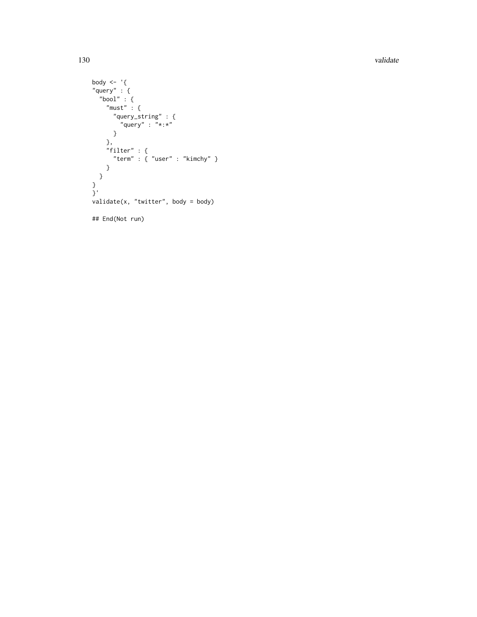130 validate values of the state of the state of the state values of the state values of the values of the values of the values of the values of the values of the values of the values of the values of the values of the val

```
body <- '{
"query" : {
  "bool" : {
    "must" : {"query_string" : {
         "query" : "*:{*}"}
    },
    "filter" : {
     "term" : { "user" : "kimchy" }
    }
 }
}<br>}'
validate(x, "twitter", body = body)
## End(Not run)
```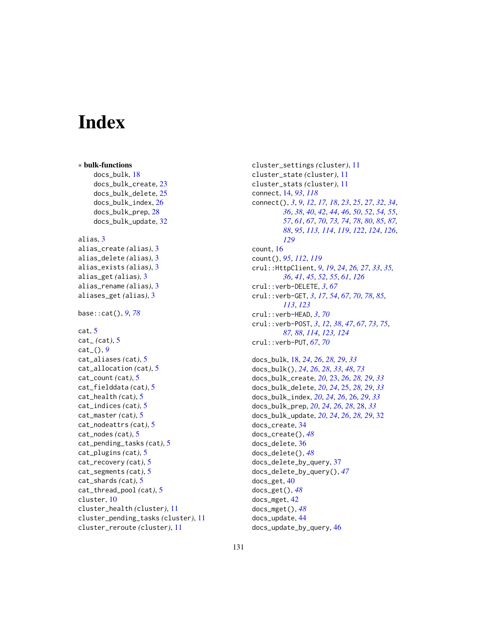# **Index**

```
∗ bulk-functions
    docs_bulk, 18
    docs_bulk_create, 23
    docs_bulk_delete, 25
    docs_bulk_index, 26
    docs_bulk_prep, 28
    docs_bulk_update, 32
alias, 3
alias_create (alias), 3
alias_delete (alias), 3
alias_exists (alias), 3
alias_get (alias), 3
alias_rename (alias), 3
aliases_get (alias), 3
base::cat(), 9, 78
cat, 5
cat_ (cat), 5
cat_(), 9
cat_aliases (cat), 5
cat_allocation (cat), 5
cat_count (cat), 5
cat_fielddata (cat), 5
cat_health (cat), 5
cat_indices (cat), 5
cat_master (cat), 5
cat_nodeattrs (cat), 5
cat_nodes (cat), 5
cat_pending_tasks (cat), 5
cat_plugins (cat), 5
cat_recovery (cat), 5
cat_segments (cat), 5
cat_shards (cat), 5
cat_thread_pool (cat), 5
cluster, 10
cluster_health (cluster), 11
cluster_pending_tasks (cluster), 11
cluster_reroute (cluster), 11
```

```
cluster_settings (cluster), 11
cluster_state (cluster), 11
cluster_stats (cluster), 11
connect, 14, 93, 118
connect(), 3, 9, 12, 17, 18, 23, 25, 27, 32, 34,
         36, 38, 40, 42, 44, 46, 50, 52, 54, 55,
         57, 61, 67, 70, 73, 74, 78, 80, 85, 87,
         88, 95, 113, 114, 119, 122, 124, 126,
         129
count, 16
count(), 95, 112, 119
crul::HttpClient, 9, 19, 24, 26, 27, 33, 35,
         36, 41, 45, 52, 55, 61, 126
crul::verb-DELETE, 3, 67
crul::verb-GET, 3, 17, 54, 67, 70, 78, 85,
         113, 123
crul::verb-HEAD, 3, 70
crul::verb-POST, 3, 12, 38, 47, 67, 73, 75,
         87, 88, 114, 123, 124
crul::verb-PUT, 67, 70
docs_bulk, 18, 24, 26, 28, 29, 33
docs_bulk(), 24, 26, 28, 33, 48, 73
docs_bulk_create, 20, 23, 26, 28, 29, 33
docs_bulk_delete, 20, 24, 25, 28, 29, 33
```

```
docs_bulk_index, 20, 24, 26, 26, 29, 33
docs_bulk_prep, 20, 24, 26, 28, 28, 33
docs_bulk_update, 20, 24, 26, 28, 29, 32
docs_create, 34
docs_create(), 48
docs_delete, 36
docs_delete(), 48
docs_delete_by_query, 37
docs_delete_by_query(), 47
docs_get, 40
docs_get(), 48
docs_mget, 42
docs_mget(), 48
docs_update, 44
docs_update_by_query, 46
```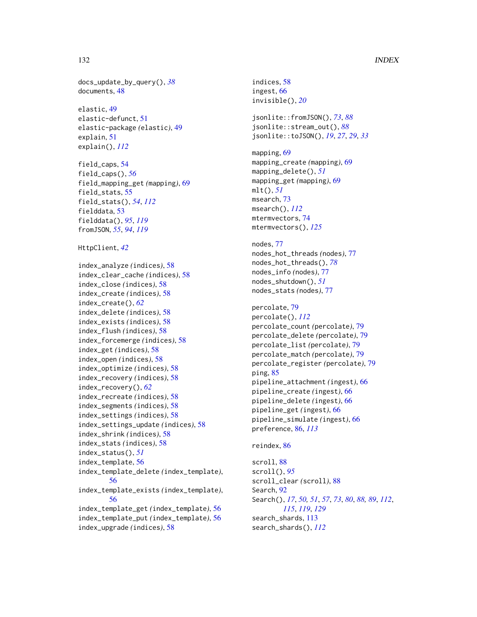#### 132 INDEX

docs\_update\_by\_query(), *[38](#page-37-0)* documents, [48](#page-47-0)

elastic, [49](#page-48-0) elastic-defunct, [51](#page-50-1) elastic-package *(*elastic*)*, [49](#page-48-0) explain, [51](#page-50-1) explain(), *[112](#page-111-0)*

field\_caps, [54](#page-53-0) field\_caps(), *[56](#page-55-0)* field\_mapping\_get *(*mapping*)*, [69](#page-68-0) field\_stats, [55](#page-54-1) field\_stats(), *[54](#page-53-0)*, *[112](#page-111-0)* fielddata, [53](#page-52-1) fielddata(), *[95](#page-94-0)*, *[119](#page-118-0)* fromJSON, *[55](#page-54-1)*, *[94](#page-93-0)*, *[119](#page-118-0)*

HttpClient, *[42](#page-41-0)*

index\_analyze *(*indices*)*, [58](#page-57-0) index\_clear\_cache *(*indices*)*, [58](#page-57-0) index\_close *(*indices*)*, [58](#page-57-0) index\_create *(*indices*)*, [58](#page-57-0) index\_create(), *[62](#page-61-0)* index\_delete *(*indices*)*, [58](#page-57-0) index\_exists *(*indices*)*, [58](#page-57-0) index\_flush *(*indices*)*, [58](#page-57-0) index\_forcemerge *(*indices*)*, [58](#page-57-0) index\_get *(*indices*)*, [58](#page-57-0) index\_open *(*indices*)*, [58](#page-57-0) index\_optimize *(*indices*)*, [58](#page-57-0) index\_recovery *(*indices*)*, [58](#page-57-0) index\_recovery(), *[62](#page-61-0)* index\_recreate *(*indices*)*, [58](#page-57-0) index\_segments *(*indices*)*, [58](#page-57-0) index\_settings *(*indices*)*, [58](#page-57-0) index\_settings\_update *(*indices*)*, [58](#page-57-0) index\_shrink *(*indices*)*, [58](#page-57-0) index\_stats *(*indices*)*, [58](#page-57-0) index\_status(), *[51](#page-50-1)* index\_template, [56](#page-55-0) index\_template\_delete *(*index\_template*)*, [56](#page-55-0) index\_template\_exists *(*index\_template*)*, [56](#page-55-0) index\_template\_get *(*index\_template*)*, [56](#page-55-0) index\_template\_put *(*index\_template*)*, [56](#page-55-0) index\_upgrade *(*indices*)*, [58](#page-57-0)

indices, [58](#page-57-0) ingest, [66](#page-65-0) invisible(), *[20](#page-19-0)* jsonlite::fromJSON(), *[73](#page-72-1)*, *[88](#page-87-0)* jsonlite::stream\_out(), *[88](#page-87-0)* jsonlite::toJSON(), *[19](#page-18-0)*, *[27](#page-26-0)*, *[29](#page-28-0)*, *[33](#page-32-0)* mapping, [69](#page-68-0) mapping\_create *(*mapping*)*, [69](#page-68-0) mapping\_delete(), *[51](#page-50-1)* mapping\_get *(*mapping*)*, [69](#page-68-0) mlt(), *[51](#page-50-1)* msearch, [73](#page-72-1) msearch(), *[112](#page-111-0)* mtermvectors, [74](#page-73-1) mtermvectors(), *[125](#page-124-0)* nodes, [77](#page-76-0) nodes\_hot\_threads *(*nodes*)*, [77](#page-76-0) nodes\_hot\_threads(), *[78](#page-77-0)* nodes\_info *(*nodes*)*, [77](#page-76-0) nodes\_shutdown(), *[51](#page-50-1)* nodes\_stats *(*nodes*)*, [77](#page-76-0) percolate, [79](#page-78-1) percolate(), *[112](#page-111-0)* percolate\_count *(*percolate*)*, [79](#page-78-1) percolate\_delete *(*percolate*)*, [79](#page-78-1) percolate\_list *(*percolate*)*, [79](#page-78-1) percolate\_match *(*percolate*)*, [79](#page-78-1) percolate\_register *(*percolate*)*, [79](#page-78-1) ping, [85](#page-84-0) pipeline\_attachment *(*ingest*)*, [66](#page-65-0) pipeline\_create *(*ingest*)*, [66](#page-65-0) pipeline\_delete *(*ingest*)*, [66](#page-65-0) pipeline\_get *(*ingest*)*, [66](#page-65-0) pipeline\_simulate *(*ingest*)*, [66](#page-65-0) preference, [86,](#page-85-1) *[113](#page-112-1)* reindex, [86](#page-85-1) scroll, [88](#page-87-0) scroll(), *[95](#page-94-0)* scroll\_clear *(*scroll*)*, [88](#page-87-0)

Search, [92](#page-91-1) Search(), *[17](#page-16-0)*, *[50,](#page-49-0) [51](#page-50-1)*, *[57](#page-56-0)*, *[73](#page-72-1)*, *[80](#page-79-0)*, *[88,](#page-87-0) [89](#page-88-0)*, *[112](#page-111-0)*, *[115](#page-114-0)*, *[119](#page-118-0)*, *[129](#page-128-1)* search\_shards, [113](#page-112-1) search\_shards(), *[112](#page-111-0)*